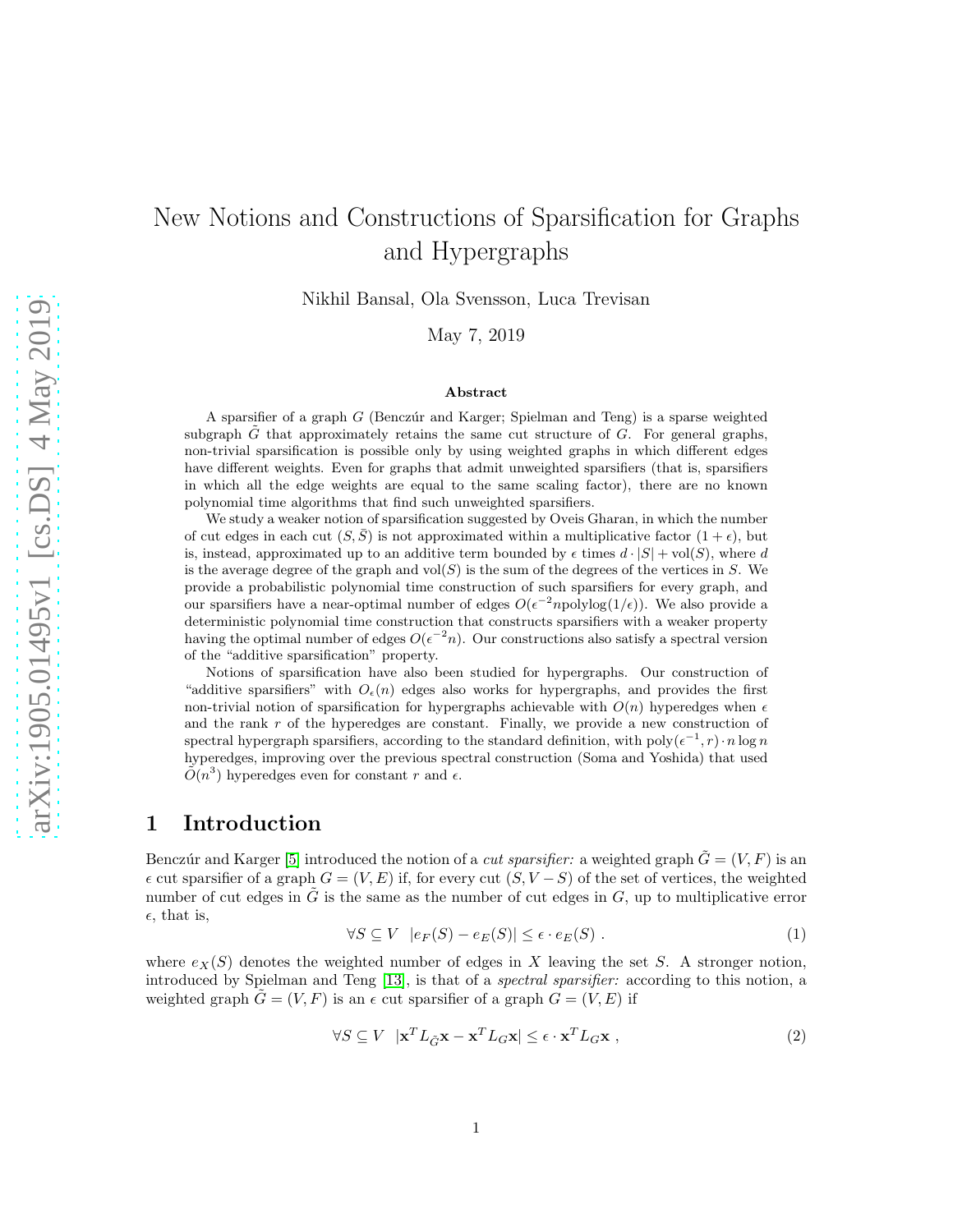# New Notions and Constructions of Sparsification for Graphs and Hypergraphs

Nikhil Bansal, Ola Svensson, Luca Trevisan

May 7, 2019

### Abstract

A sparsifier of a graph  $G$  (Benczúr and Karger; Spielman and Teng) is a sparse weighted subgraph  $\tilde{G}$  that approximately retains the same cut structure of G. For general graphs, non-trivial sparsification is possible only by using weighted graphs in which different edges have different weights. Even for graphs that admit unweighted sparsifiers (that is, sparsifiers in which all the edge weights are equal to the same scaling factor), there are no known polynomial time algorithms that find such unweighted sparsifiers.

We study a weaker notion of sparsification suggested by Oveis Gharan, in which the number of cut edges in each cut  $(S, S)$  is not approximated within a multiplicative factor  $(1 + \epsilon)$ , but is, instead, approximated up to an additive term bounded by  $\epsilon$  times  $d \cdot |S| + \text{vol}(S)$ , where d is the average degree of the graph and vol(S) is the sum of the degrees of the vertices in S. We provide a probabilistic polynomial time construction of such sparsifiers for every graph, and our sparsifiers have a near-optimal number of edges  $O(\epsilon^{-2} n \text{polylog}(1/\epsilon))$ . We also provide a deterministic polynomial time construction that constructs sparsifiers with a weaker property having the optimal number of edges  $O(\epsilon^{-2}n)$ . Our constructions also satisfy a spectral version of the "additive sparsification" property.

Notions of sparsification have also been studied for hypergraphs. Our construction of "additive sparsifiers" with  $O_\epsilon(n)$  edges also works for hypergraphs, and provides the first non-trivial notion of sparsification for hypergraphs achievable with  $O(n)$  hyperedges when  $\epsilon$ and the rank  $r$  of the hyperedges are constant. Finally, we provide a new construction of spectral hypergraph sparsifiers, according to the standard definition, with poly $(e^{-1}, r) \cdot n \log n$ hyperedges, improving over the previous spectral construction (Soma and Yoshida) that used  $\tilde{O}(n^3)$  hyperedges even for constant r and  $\epsilon$ .

# 1 Introduction

Benczúr and Karger [\[5\]](#page-29-0) introduced the notion of a *cut sparsifier:* a weighted graph  $\tilde{G} = (V, F)$  is an  $\epsilon$  cut sparsifier of a graph  $G = (V, E)$  if, for every cut  $(S, V - S)$  of the set of vertices, the weighted number of cut edges in  $\tilde{G}$  is the same as the number of cut edges in  $G$ , up to multiplicative error  $\epsilon$ , that is,

<span id="page-0-0"></span>
$$
\forall S \subseteq V \ \left| e_F(S) - e_E(S) \right| \le \epsilon \cdot e_E(S) \ . \tag{1}
$$

where  $e_X(S)$  denotes the weighted number of edges in X leaving the set S. A stronger notion, introduced by Spielman and Teng [\[13\]](#page-30-0), is that of a spectral sparsifier: according to this notion, a weighted graph  $\tilde{G} = (V, F)$  is an  $\epsilon$  cut sparsifier of a graph  $G = (V, E)$  if

<span id="page-0-1"></span>
$$
\forall S \subseteq V \ | \mathbf{x}^T L_{\tilde{G}} \mathbf{x} - \mathbf{x}^T L_G \mathbf{x} | \leq \epsilon \cdot \mathbf{x}^T L_G \mathbf{x} , \qquad (2)
$$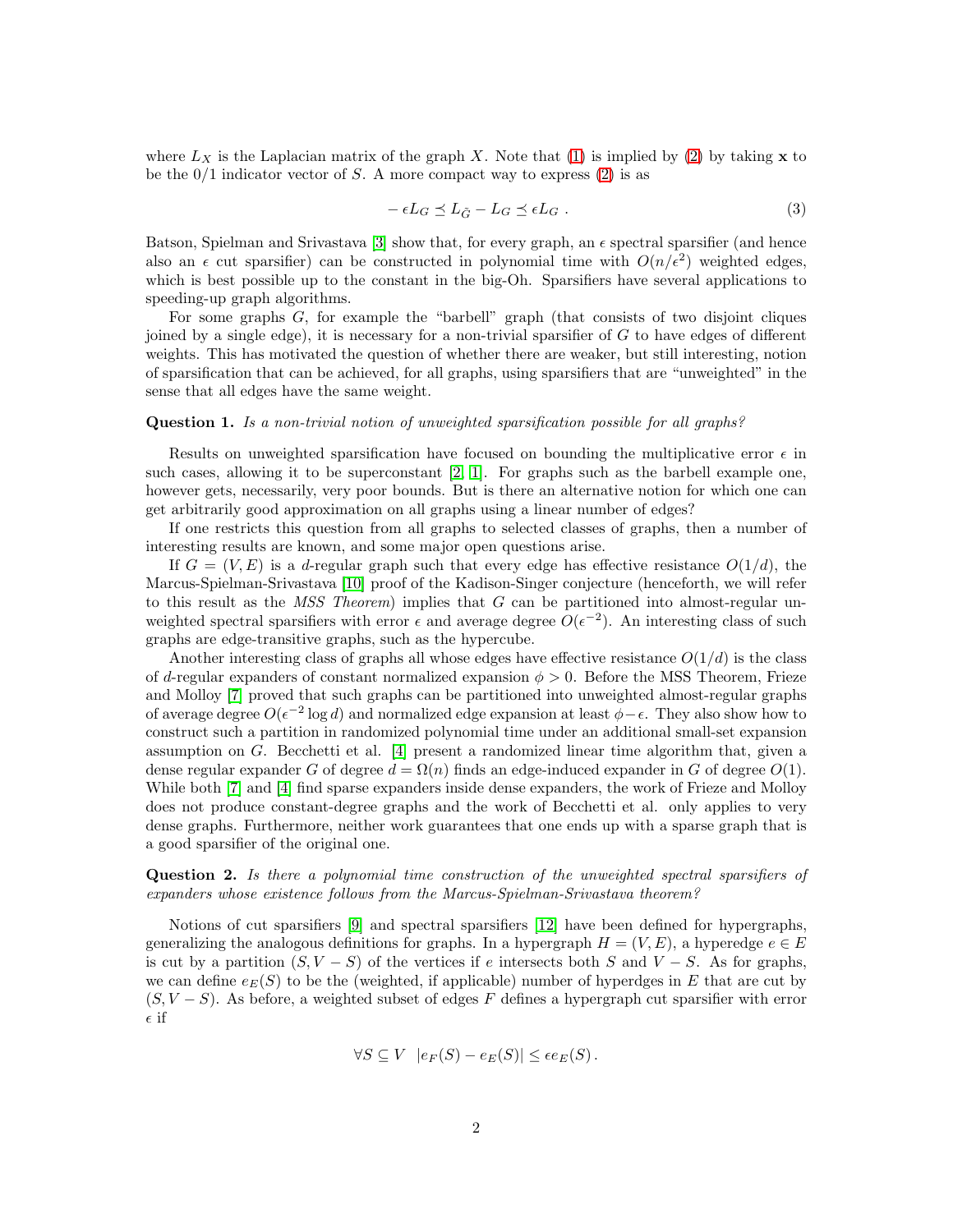where  $L_X$  is the Laplacian matrix of the graph X. Note that [\(1\)](#page-0-0) is implied by [\(2\)](#page-0-1) by taking x to be the  $0/1$  indicator vector of S. A more compact way to express [\(2\)](#page-0-1) is as

$$
-\epsilon L_G \preceq L_{\tilde{G}} - L_G \preceq \epsilon L_G . \tag{3}
$$

Batson, Spielman and Srivastava [\[3\]](#page-29-1) show that, for every graph, an  $\epsilon$  spectral sparsifier (and hence also an  $\epsilon$  cut sparsifier) can be constructed in polynomial time with  $O(n/\epsilon^2)$  weighted edges, which is best possible up to the constant in the big-Oh. Sparsifiers have several applications to speeding-up graph algorithms.

For some graphs G, for example the "barbell" graph (that consists of two disjoint cliques joined by a single edge), it is necessary for a non-trivial sparsifier of G to have edges of different weights. This has motivated the question of whether there are weaker, but still interesting, notion of sparsification that can be achieved, for all graphs, using sparsifiers that are "unweighted" in the sense that all edges have the same weight.

### Question 1. Is a non-trivial notion of unweighted sparsification possible for all graphs?

Results on unweighted sparsification have focused on bounding the multiplicative error  $\epsilon$  in such cases, allowing it to be superconstant [\[2,](#page-29-2) [1\]](#page-29-3). For graphs such as the barbell example one, however gets, necessarily, very poor bounds. But is there an alternative notion for which one can get arbitrarily good approximation on all graphs using a linear number of edges?

If one restricts this question from all graphs to selected classes of graphs, then a number of interesting results are known, and some major open questions arise.

If  $G = (V, E)$  is a d-regular graph such that every edge has effective resistance  $O(1/d)$ , the Marcus-Spielman-Srivastava [\[10\]](#page-30-1) proof of the Kadison-Singer conjecture (henceforth, we will refer to this result as the *MSS Theorem*) implies that  $G$  can be partitioned into almost-regular unweighted spectral sparsifiers with error  $\epsilon$  and average degree  $O(\epsilon^{-2})$ . An interesting class of such graphs are edge-transitive graphs, such as the hypercube.

Another interesting class of graphs all whose edges have effective resistance  $O(1/d)$  is the class of d-regular expanders of constant normalized expansion  $\phi > 0$ . Before the MSS Theorem, Frieze and Molloy [\[7\]](#page-29-4) proved that such graphs can be partitioned into unweighted almost-regular graphs of average degree  $O(\epsilon^{-2} \log d)$  and normalized edge expansion at least  $\phi - \epsilon$ . They also show how to construct such a partition in randomized polynomial time under an additional small-set expansion assumption on G. Becchetti et al. [\[4\]](#page-29-5) present a randomized linear time algorithm that, given a dense regular expander G of degree  $d = \Omega(n)$  finds an edge-induced expander in G of degree  $O(1)$ . While both [\[7\]](#page-29-4) and [\[4\]](#page-29-5) find sparse expanders inside dense expanders, the work of Frieze and Molloy does not produce constant-degree graphs and the work of Becchetti et al. only applies to very dense graphs. Furthermore, neither work guarantees that one ends up with a sparse graph that is a good sparsifier of the original one.

Question 2. Is there a polynomial time construction of the unweighted spectral sparsifiers of expanders whose existence follows from the Marcus-Spielman-Srivastava theorem?

Notions of cut sparsifiers [\[9\]](#page-29-6) and spectral sparsifiers [\[12\]](#page-30-2) have been defined for hypergraphs, generalizing the analogous definitions for graphs. In a hypergraph  $H = (V, E)$ , a hyperedge  $e \in E$ is cut by a partition  $(S, V - S)$  of the vertices if e intersects both S and  $V - S$ . As for graphs, we can define  $e_E(S)$  to be the (weighted, if applicable) number of hyperdges in E that are cut by  $(S, V - S)$ . As before, a weighted subset of edges F defines a hypergraph cut sparsifier with error  $\epsilon$  if

$$
\forall S \subseteq V \ \left| e_F(S) - e_E(S) \right| \leq \epsilon e_E(S).
$$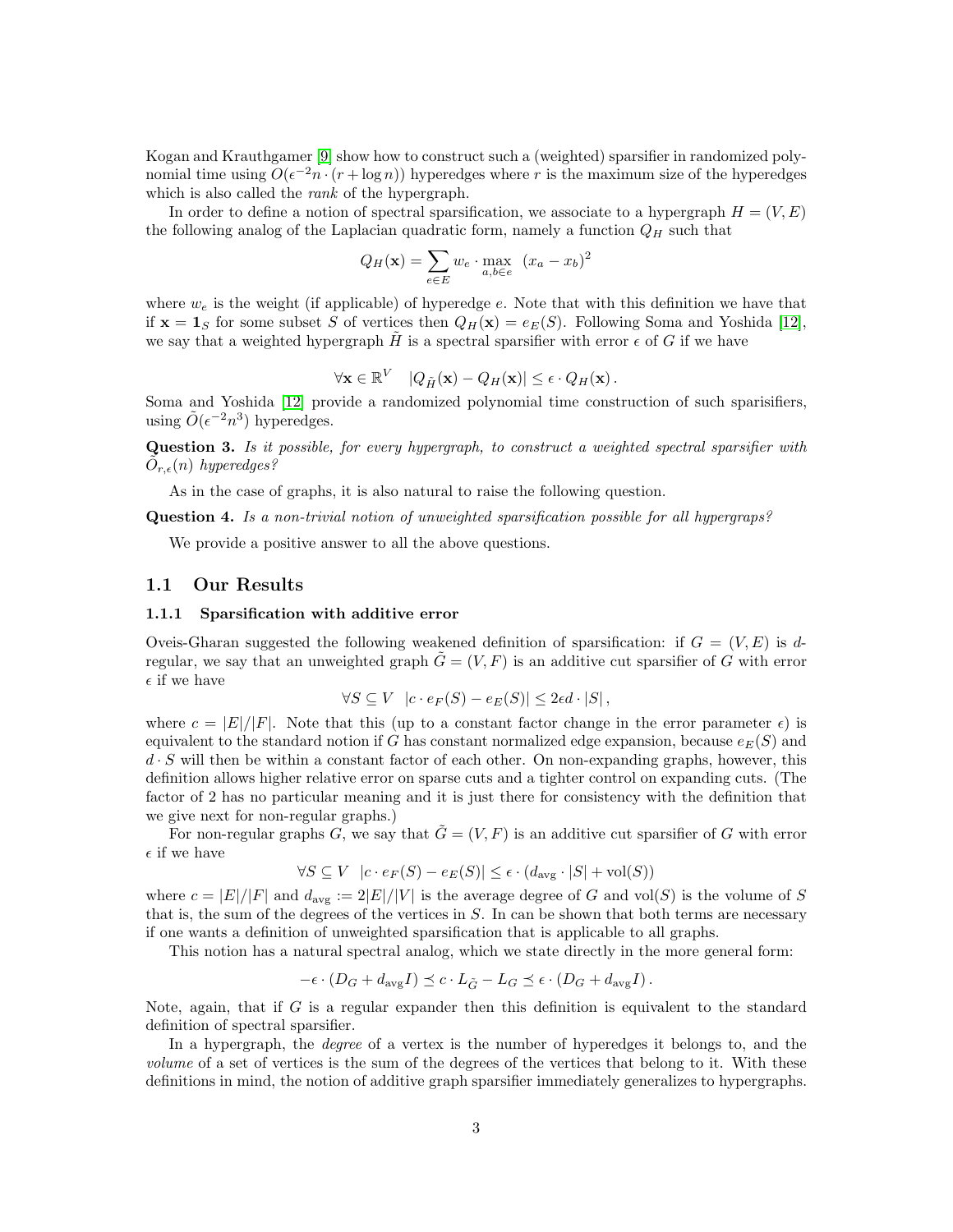Kogan and Krauthgamer [\[9\]](#page-29-6) show how to construct such a (weighted) sparsifier in randomized polynomial time using  $O(\epsilon^{-2}n \cdot (r + \log n))$  hyperedges where r is the maximum size of the hyperedges which is also called the *rank* of the hypergraph.

In order to define a notion of spectral sparsification, we associate to a hypergraph  $H = (V, E)$ the following analog of the Laplacian quadratic form, namely a function  $Q_H$  such that

$$
Q_H(\mathbf{x}) = \sum_{e \in E} w_e \cdot \max_{a,b \in e} (x_a - x_b)^2
$$

where  $w_e$  is the weight (if applicable) of hyperedge  $e$ . Note that with this definition we have that if  $\mathbf{x} = \mathbf{1}_S$  for some subset S of vertices then  $Q_H(\mathbf{x}) = e_E(S)$ . Following Soma and Yoshida [\[12\]](#page-30-2), we say that a weighted hypergraph  $\hat{H}$  is a spectral sparsifier with error  $\epsilon$  of G if we have

$$
\forall \mathbf{x} \in \mathbb{R}^V \quad |Q_{\tilde{H}}(\mathbf{x}) - Q_H(\mathbf{x})| \leq \epsilon \cdot Q_H(\mathbf{x}).
$$

Soma and Yoshida [\[12\]](#page-30-2) provide a randomized polynomial time construction of such sparisifiers, using  $\tilde{O}(\epsilon^{-2}n^3)$  hyperedges.

Question 3. Is it possible, for every hypergraph, to construct a weighted spectral sparsifier with  $\tilde{O}_{r,\epsilon}(n)$  hyperedges?

As in the case of graphs, it is also natural to raise the following question.

Question 4. Is a non-trivial notion of unweighted sparsification possible for all hypergraps?

We provide a positive answer to all the above questions.

### 1.1 Our Results

### 1.1.1 Sparsification with additive error

Oveis-Gharan suggested the following weakened definition of sparsification: if  $G = (V, E)$  is dregular, we say that an unweighted graph  $\tilde{G} = (V, F)$  is an additive cut sparsifier of G with error  $\epsilon$  if we have

$$
\forall S \subseteq V \ \left| c \cdot e_F(S) - e_E(S) \right| \leq 2\epsilon d \cdot |S| \,,
$$

where  $c = |E|/|F|$ . Note that this (up to a constant factor change in the error parameter  $\epsilon$ ) is equivalent to the standard notion if G has constant normalized edge expansion, because  $e_E(S)$  and  $d \cdot S$  will then be within a constant factor of each other. On non-expanding graphs, however, this definition allows higher relative error on sparse cuts and a tighter control on expanding cuts. (The factor of 2 has no particular meaning and it is just there for consistency with the definition that we give next for non-regular graphs.)

For non-regular graphs G, we say that  $\tilde{G} = (V, F)$  is an additive cut sparsifier of G with error  $\epsilon$  if we have

$$
\forall S \subseteq V \ \left| c \cdot e_F(S) - e_E(S) \right| \le \epsilon \cdot (d_{\text{avg}} \cdot |S| + \text{vol}(S))
$$

where  $c = |E|/|F|$  and  $d_{\text{avg}} := 2|E|/|V|$  is the average degree of G and vol(S) is the volume of S that is, the sum of the degrees of the vertices in  $S$ . In can be shown that both terms are necessary if one wants a definition of unweighted sparsification that is applicable to all graphs.

This notion has a natural spectral analog, which we state directly in the more general form:

$$
-\epsilon \cdot (D_G + d_{\text{avg}}I) \preceq c \cdot L_{\tilde{G}} - L_G \preceq \epsilon \cdot (D_G + d_{\text{avg}}I).
$$

Note, again, that if G is a regular expander then this definition is equivalent to the standard definition of spectral sparsifier.

In a hypergraph, the degree of a vertex is the number of hyperedges it belongs to, and the volume of a set of vertices is the sum of the degrees of the vertices that belong to it. With these definitions in mind, the notion of additive graph sparsifier immediately generalizes to hypergraphs.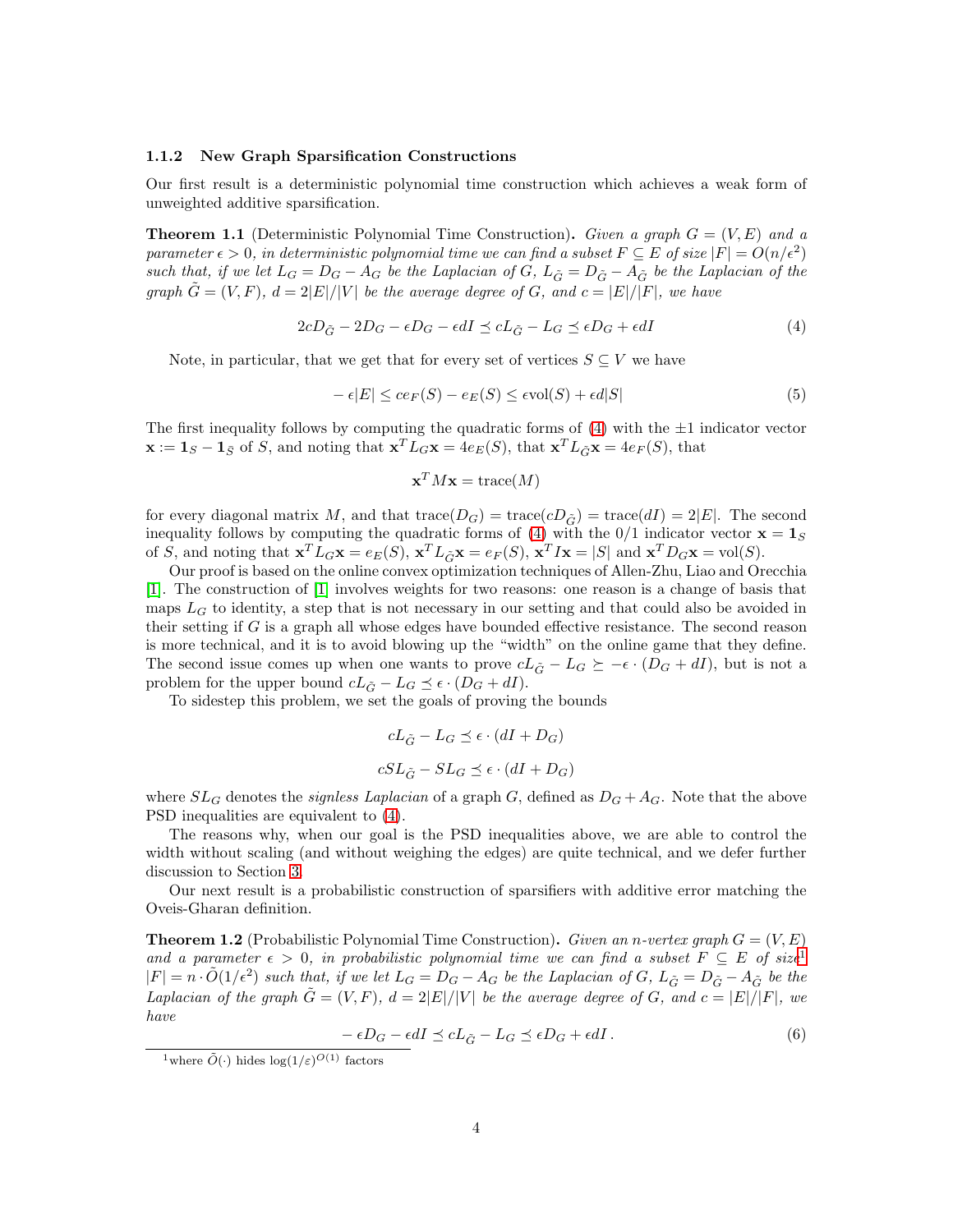### 1.1.2 New Graph Sparsification Constructions

Our first result is a deterministic polynomial time construction which achieves a weak form of unweighted additive sparsification.

<span id="page-3-3"></span>**Theorem 1.1** (Deterministic Polynomial Time Construction). Given a graph  $G = (V, E)$  and a parameter  $\epsilon > 0$ , in deterministic polynomial time we can find a subset  $F \subseteq E$  of size  $|F| = O(n/\epsilon^2)$ such that, if we let  $L_G = D_G - A_G$  be the Laplacian of G,  $L_{\tilde{G}} = D_{\tilde{G}} - A_{\tilde{G}}$  be the Laplacian of the graph  $G = (V, F), d = 2|E|/|V|$  be the average degree of G, and  $c = |E|/|F|$ , we have

<span id="page-3-0"></span>
$$
2cD_{\tilde{G}} - 2D_G - \epsilon D_G - \epsilon dI \preceq cL_{\tilde{G}} - L_G \preceq \epsilon D_G + \epsilon dI \tag{4}
$$

Note, in particular, that we get that for every set of vertices  $S \subseteq V$  we have

$$
-\epsilon|E| \le c e_F(S) - e_E(S) \le \epsilon \text{vol}(S) + \epsilon d|S| \tag{5}
$$

The first inequality follows by computing the quadratic forms of  $(4)$  with the  $\pm 1$  indicator vector  $\mathbf{x} := \mathbf{1}_S - \mathbf{1}_{\bar{S}}$  of S, and noting that  $\mathbf{x}^T L_G \mathbf{x} = 4e_E(S)$ , that  $\mathbf{x}^T L_{\tilde{G}} \mathbf{x} = 4e_F(S)$ , that

$$
\mathbf{x}^T M \mathbf{x} = \text{trace}(M)
$$

for every diagonal matrix M, and that  $trace(D_G) = trace(cD_{\tilde{G}}) = trace(dI) = 2|E|$ . The second inequality follows by computing the quadratic forms of [\(4\)](#page-3-0) with the  $0/1$  indicator vector  $\mathbf{x} = \mathbf{1}_S$ of S, and noting that  $\mathbf{x}^T L_G \mathbf{x} = e_E(S)$ ,  $\mathbf{x}^T L_{\tilde{G}} \mathbf{x} = e_F(S)$ ,  $\mathbf{x}^T I \mathbf{x} = |S|$  and  $\mathbf{x}^T D_G \mathbf{x} = \text{vol}(S)$ .

Our proof is based on the online convex optimization techniques of Allen-Zhu, Liao and Orecchia [\[1\]](#page-29-3). The construction of [\[1\]](#page-29-3) involves weights for two reasons: one reason is a change of basis that maps  $L_G$  to identity, a step that is not necessary in our setting and that could also be avoided in their setting if G is a graph all whose edges have bounded effective resistance. The second reason is more technical, and it is to avoid blowing up the "width" on the online game that they define. The second issue comes up when one wants to prove  $cL_{\tilde{G}}-L_G \succeq -\epsilon \cdot (D_G + dI)$ , but is not a problem for the upper bound  $cL_{\tilde{G}} - L_G \preceq \epsilon \cdot (D_G + dI)$ .

To sidestep this problem, we set the goals of proving the bounds

$$
cL_{\tilde{G}} - L_G \preceq \epsilon \cdot (dI + D_G)
$$

$$
cSL_{\tilde{G}} - SL_G \preceq \epsilon \cdot (dI + D_G)
$$

where  $SL_G$  denotes the *signless Laplacian* of a graph G, defined as  $D_G + A_G$ . Note that the above PSD inequalities are equivalent to [\(4\)](#page-3-0).

The reasons why, when our goal is the PSD inequalities above, we are able to control the width without scaling (and without weighing the edges) are quite technical, and we defer further discussion to Section [3.](#page-7-0)

Our next result is a probabilistic construction of sparsifiers with additive error matching the Oveis-Gharan definition.

<span id="page-3-2"></span>**Theorem 1.2** (Probabilistic Polynomial Time Construction). Given an n-vertex graph  $G = (V, E)$ and a parameter  $\epsilon > 0$ , in probabilistic polynomial time we can find a subset  $F \subseteq E$  of size<sup>[1](#page-3-1)</sup>  $|F| = n \cdot \tilde{O}(1/\epsilon^2)$  such that, if we let  $L_G = D_G - A_G$  be the Laplacian of G,  $L_{\tilde{G}} = D_{\tilde{G}} - A_{\tilde{G}}$  be the Laplacian of the graph  $\tilde{G} = (V, F), d = 2|E|/|V|$  be the average degree of G, and  $c = |E|/|F|$ , we have

$$
-\epsilon D_G - \epsilon dI \preceq cL_{\tilde{G}} - L_G \preceq \epsilon D_G + \epsilon dI. \tag{6}
$$

<span id="page-3-1"></span><sup>&</sup>lt;sup>1</sup>where  $\tilde{O}(\cdot)$  hides  $\log(1/\varepsilon)^{O(1)}$  factors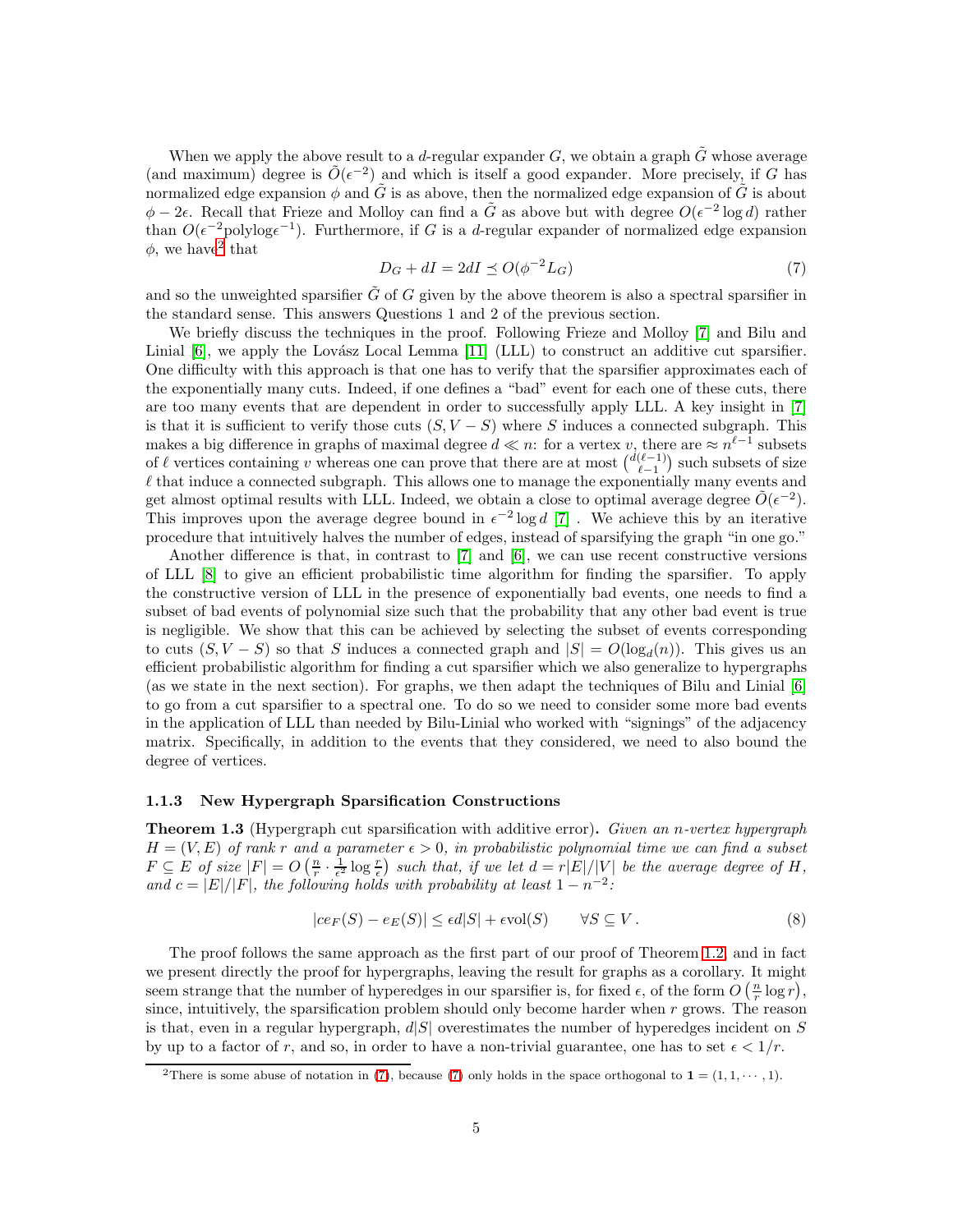When we apply the above result to a d-regular expander G, we obtain a graph  $\tilde{G}$  whose average (and maximum) degree is  $\tilde{O}(\epsilon^{-2})$  and which is itself a good expander. More precisely, if G has normalized edge expansion  $\phi$  and  $\tilde{G}$  is as above, then the normalized edge expansion of  $\tilde{G}$  is about  $\phi - 2\epsilon$ . Recall that Frieze and Molloy can find a  $\tilde{G}$  as above but with degree  $O(\epsilon^{-2} \log d)$  rather than  $O(\epsilon^{-2}$ polylog $\epsilon^{-1}$ ). Furthermore, if G is a d-regular expander of normalized edge expansion  $\phi$ , we have<sup>[2](#page-4-0)</sup> that

<span id="page-4-1"></span>
$$
D_G + dI = 2dI \preceq O(\phi^{-2}L_G) \tag{7}
$$

and so the unweighted sparsifier  $G$  of  $G$  given by the above theorem is also a spectral sparsifier in the standard sense. This answers Questions 1 and 2 of the previous section.

We briefly discuss the techniques in the proof. Following Frieze and Molloy [\[7\]](#page-29-4) and Bilu and Linial  $[6]$ , we apply the Lovász Local Lemma  $[11]$  (LLL) to construct an additive cut sparsifier. One difficulty with this approach is that one has to verify that the sparsifier approximates each of the exponentially many cuts. Indeed, if one defines a "bad" event for each one of these cuts, there are too many events that are dependent in order to successfully apply LLL. A key insight in [\[7\]](#page-29-4) is that it is sufficient to verify those cuts  $(S, V - S)$  where S induces a connected subgraph. This makes a big difference in graphs of maximal degree  $d \ll n$ : for a vertex v, there are  $\approx n^{\ell-1}$  subsets of  $\ell$  vertices containing v whereas one can prove that there are at most  $\binom{d(\ell-1)}{\ell-1}$  such subsets of size  $\ell$  that induce a connected subgraph. This allows one to manage the exponentially many events and get almost optimal results with LLL. Indeed, we obtain a close to optimal average degree  $\tilde{O}(\epsilon^{-2})$ . This improves upon the average degree bound in  $\epsilon^{-2} \log d$  [\[7\]](#page-29-4). We achieve this by an iterative procedure that intuitively halves the number of edges, instead of sparsifying the graph "in one go."

Another difference is that, in contrast to [\[7\]](#page-29-4) and [\[6\]](#page-29-7), we can use recent constructive versions of LLL [\[8\]](#page-29-8) to give an efficient probabilistic time algorithm for finding the sparsifier. To apply the constructive version of LLL in the presence of exponentially bad events, one needs to find a subset of bad events of polynomial size such that the probability that any other bad event is true is negligible. We show that this can be achieved by selecting the subset of events corresponding to cuts  $(S, V - S)$  so that S induces a connected graph and  $|S| = O(\log_d(n))$ . This gives us an efficient probabilistic algorithm for finding a cut sparsifier which we also generalize to hypergraphs (as we state in the next section). For graphs, we then adapt the techniques of Bilu and Linial [\[6\]](#page-29-7) to go from a cut sparsifier to a spectral one. To do so we need to consider some more bad events in the application of LLL than needed by Bilu-Linial who worked with "signings" of the adjacency matrix. Specifically, in addition to the events that they considered, we need to also bound the degree of vertices.

### 1.1.3 New Hypergraph Sparsification Constructions

<span id="page-4-2"></span>**Theorem 1.3** (Hypergraph cut sparsification with additive error). Given an n-vertex hypergraph  $H = (V, E)$  of rank r and a parameter  $\epsilon > 0$ , in probabilistic polynomial time we can find a subset  $F \subseteq E$  of size  $|F| = O\left(\frac{n}{r} \cdot \frac{1}{\epsilon^2} \log \frac{r}{\epsilon}\right)$  such that, if we let  $d = r|E|/|V|$  be the average degree of H, and  $c = |E|/|F|$ , the following holds with probability at least  $1 - n^{-2}$ :

$$
|ce_F(S) - e_E(S)| \le \epsilon d|S| + \epsilon \text{vol}(S) \qquad \forall S \subseteq V. \tag{8}
$$

The proof follows the same approach as the first part of our proof of Theorem [1.2,](#page-3-2) and in fact we present directly the proof for hypergraphs, leaving the result for graphs as a corollary. It might seem strange that the number of hyperedges in our sparsifier is, for fixed  $\epsilon$ , of the form  $O\left(\frac{n}{r}\log r\right)$ , since, intuitively, the sparsification problem should only become harder when  $r$  grows. The reason is that, even in a regular hypergraph,  $d|S|$  overestimates the number of hyperedges incident on S by up to a factor of r, and so, in order to have a non-trivial guarantee, one has to set  $\epsilon < 1/r$ .

<span id="page-4-0"></span><sup>&</sup>lt;sup>2</sup>There is some abuse of notation in [\(7\)](#page-4-1), because (7) only holds in the space orthogonal to  $\mathbf{1} = (1, 1, \dots, 1)$ .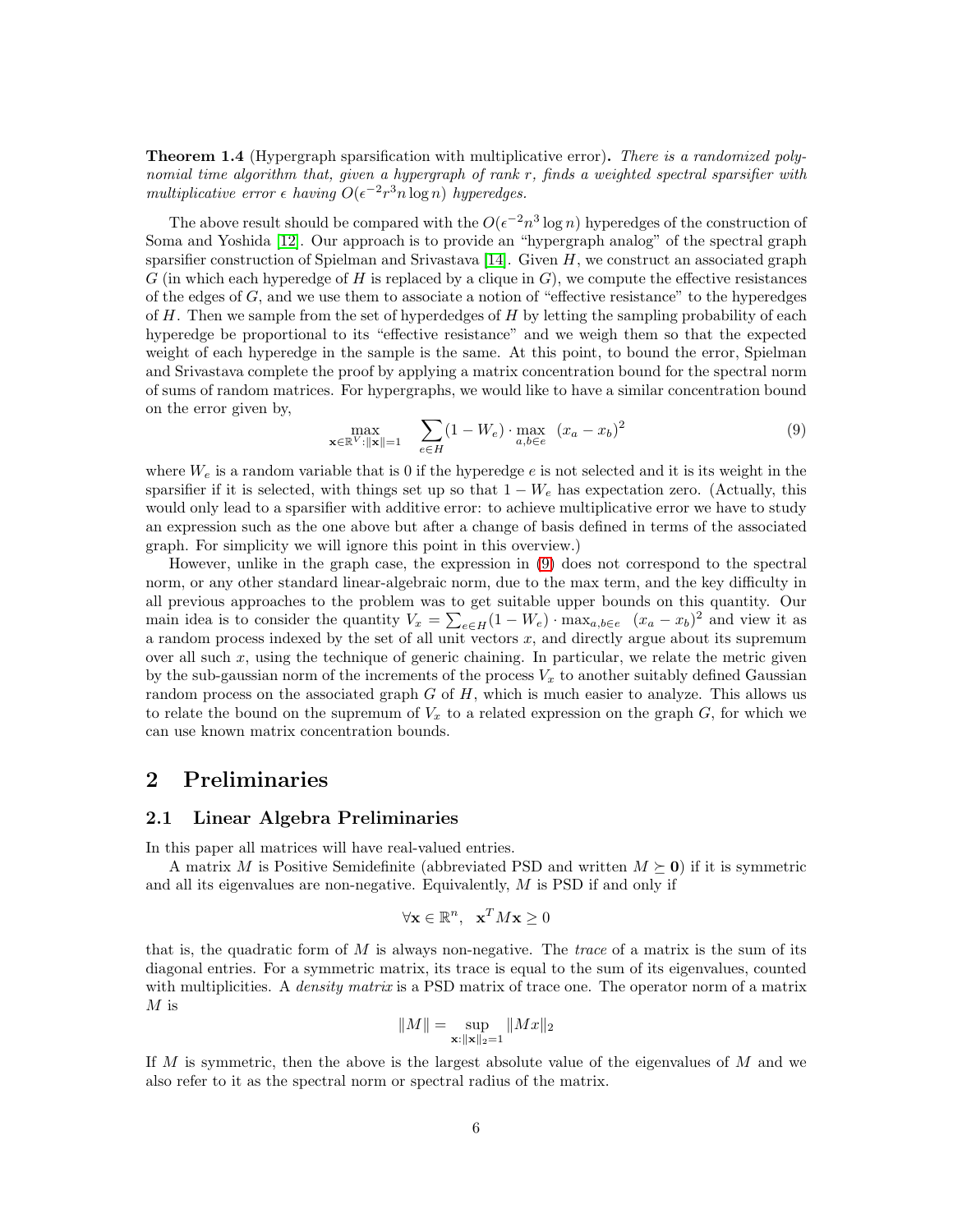**Theorem 1.4** (Hypergraph sparsification with multiplicative error). There is a randomized polynomial time algorithm that, given a hypergraph of rank r, finds a weighted spectral sparsifier with multiplicative error  $\epsilon$  having  $O(\epsilon^{-2}r^3 n \log n)$  hyperedges.

The above result should be compared with the  $O(\epsilon^{-2}n^3 \log n)$  hyperedges of the construction of Soma and Yoshida [\[12\]](#page-30-2). Our approach is to provide an "hypergraph analog" of the spectral graph sparsifier construction of Spielman and Srivastava [\[14\]](#page-30-4). Given  $H$ , we construct an associated graph G (in which each hyperedge of H is replaced by a clique in  $G$ ), we compute the effective resistances of the edges of  $G$ , and we use them to associate a notion of "effective resistance" to the hyperedges of  $H$ . Then we sample from the set of hyperdedges of  $H$  by letting the sampling probability of each hyperedge be proportional to its "effective resistance" and we weigh them so that the expected weight of each hyperedge in the sample is the same. At this point, to bound the error, Spielman and Srivastava complete the proof by applying a matrix concentration bound for the spectral norm of sums of random matrices. For hypergraphs, we would like to have a similar concentration bound on the error given by,

<span id="page-5-0"></span>
$$
\max_{\mathbf{x}\in\mathbb{R}^V:\|\mathbf{x}\|=1} \quad \sum_{e\in H} (1-W_e)\cdot \max_{a,b\in e} \ (x_a - x_b)^2 \tag{9}
$$

where  $W_e$  is a random variable that is 0 if the hyperedge e is not selected and it is its weight in the sparsifier if it is selected, with things set up so that  $1 - W_e$  has expectation zero. (Actually, this would only lead to a sparsifier with additive error: to achieve multiplicative error we have to study an expression such as the one above but after a change of basis defined in terms of the associated graph. For simplicity we will ignore this point in this overview.)

However, unlike in the graph case, the expression in [\(9\)](#page-5-0) does not correspond to the spectral norm, or any other standard linear-algebraic norm, due to the max term, and the key difficulty in all previous approaches to the problem was to get suitable upper bounds on this quantity. Our main idea is to consider the quantity  $V_x = \sum_{e \in H} (1 - W_e) \cdot \max_{a, b \in e} (x_a - x_b)^2$  and view it as a random process indexed by the set of all unit vectors  $x$ , and directly argue about its supremum over all such  $x$ , using the technique of generic chaining. In particular, we relate the metric given by the sub-gaussian norm of the increments of the process  $V_x$  to another suitably defined Gaussian random process on the associated graph  $G$  of  $H$ , which is much easier to analyze. This allows us to relate the bound on the supremum of  $V_x$  to a related expression on the graph G, for which we can use known matrix concentration bounds.

# 2 Preliminaries

### 2.1 Linear Algebra Preliminaries

In this paper all matrices will have real-valued entries.

A matrix M is Positive Semidefinite (abbreviated PSD and written  $M \succeq 0$ ) if it is symmetric and all its eigenvalues are non-negative. Equivalently,  $M$  is PSD if and only if

$$
\forall \mathbf{x} \in \mathbb{R}^n, \ \mathbf{x}^T M \mathbf{x} \ge 0
$$

that is, the quadratic form of  $M$  is always non-negative. The *trace* of a matrix is the sum of its diagonal entries. For a symmetric matrix, its trace is equal to the sum of its eigenvalues, counted with multiplicities. A *density matrix* is a PSD matrix of trace one. The operator norm of a matrix  $M$  is

$$
\|M\| = \sup_{{\bf x}:\|{\bf x}\|_2=1}\|Mx\|_2
$$

If M is symmetric, then the above is the largest absolute value of the eigenvalues of M and we also refer to it as the spectral norm or spectral radius of the matrix.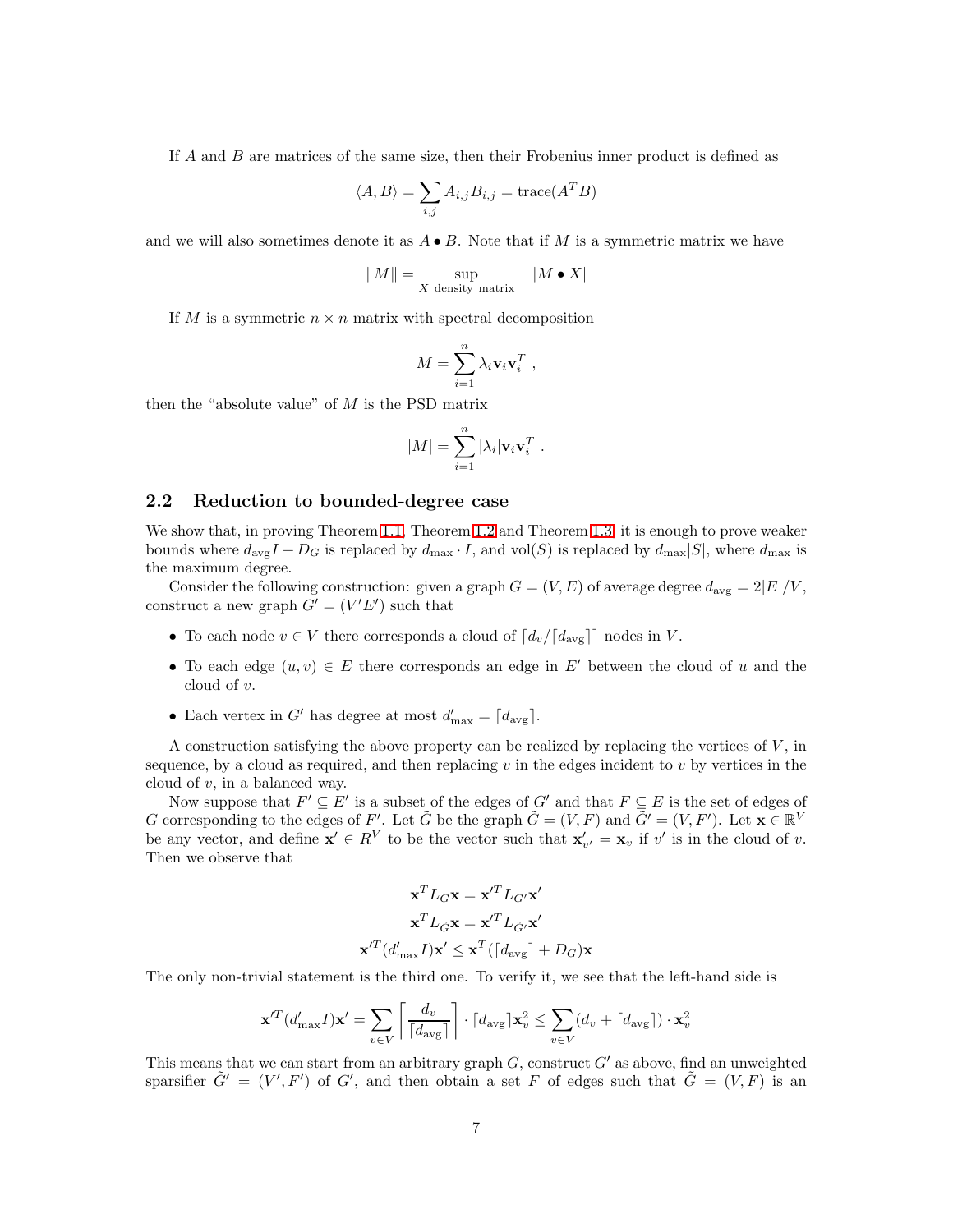If A and B are matrices of the same size, then their Frobenius inner product is defined as

$$
\langle A, B \rangle = \sum_{i,j} A_{i,j} B_{i,j} = \text{trace}(A^T B)
$$

and we will also sometimes denote it as  $A \bullet B$ . Note that if M is a symmetric matrix we have

$$
||M|| = \sup_{X \text{ density matrix}} |M \bullet X|
$$

If M is a symmetric  $n \times n$  matrix with spectral decomposition

$$
M = \sum_{i=1}^{n} \lambda_i \mathbf{v}_i \mathbf{v}_i^T ,
$$

then the "absolute value" of  $M$  is the PSD matrix

$$
|M| = \sum_{i=1}^n |\lambda_i| \mathbf{v}_i \mathbf{v}_i^T.
$$

### <span id="page-6-0"></span>2.2 Reduction to bounded-degree case

We show that, in proving Theorem [1.1,](#page-3-3) Theorem [1.2](#page-3-2) and Theorem [1.3,](#page-4-2) it is enough to prove weaker bounds where  $d_{\text{avg}}I + D_G$  is replaced by  $d_{\text{max}} \cdot I$ , and vol(S) is replaced by  $d_{\text{max}}|S|$ , where  $d_{\text{max}}$  is the maximum degree.

Consider the following construction: given a graph  $G = (V, E)$  of average degree  $d_{\text{avg}} = 2|E|/V$ , construct a new graph  $G' = (V'E')$  such that

- To each node  $v \in V$  there corresponds a cloud of  $\lfloor d_v / \lfloor d_{\text{avg}} \rfloor \rfloor$  nodes in V.
- To each edge  $(u, v) \in E$  there corresponds an edge in E' between the cloud of u and the cloud of v.
- Each vertex in G' has degree at most  $d'_{\text{max}} = \lceil d_{\text{avg}} \rceil$ .

A construction satisfying the above property can be realized by replacing the vertices of  $V$ , in sequence, by a cloud as required, and then replacing  $v$  in the edges incident to  $v$  by vertices in the cloud of v, in a balanced way.

Now suppose that  $F' \subseteq E'$  is a subset of the edges of  $G'$  and that  $F \subseteq E$  is the set of edges of G corresponding to the edges of F'. Let  $\tilde{G}$  be the graph  $\tilde{G} = (V, F)$  and  $\tilde{G}' = (V, F')$ . Let  $\mathbf{x} \in \mathbb{R}^V$ be any vector, and define  $\mathbf{x}' \in R^V$  to be the vector such that  $\mathbf{x}'_{v'} = \mathbf{x}_v$  if  $v'$  is in the cloud of  $v$ . Then we observe that

$$
\mathbf{x}^{T} L_{G} \mathbf{x} = \mathbf{x}'^{T} L_{G'} \mathbf{x}'
$$

$$
\mathbf{x}^{T} L_{\tilde{G}} \mathbf{x} = \mathbf{x}'^{T} L_{\tilde{G}'} \mathbf{x}'
$$

$$
\mathbf{x}'^{T} (d'_{\text{max}} I) \mathbf{x}' \le \mathbf{x}^{T} (\lceil d_{\text{avg}} \rceil + D_{G}) \mathbf{x}
$$

The only non-trivial statement is the third one. To verify it, we see that the left-hand side is

$$
\mathbf{x}'^T(d'_{\max}I)\mathbf{x}' = \sum_{v \in V} \left[ \frac{d_v}{\lceil d_{\text{avg}} \rceil} \right] \cdot \lceil d_{\text{avg}} \rceil \mathbf{x}_v^2 \le \sum_{v \in V} (d_v + \lceil d_{\text{avg}} \rceil) \cdot \mathbf{x}_v^2
$$

This means that we can start from an arbitrary graph  $G$ , construct  $G'$  as above, find an unweighted sparsifier  $\tilde{G}' = (V', F')$  of G', and then obtain a set F of edges such that  $\tilde{G} = (V, F)$  is an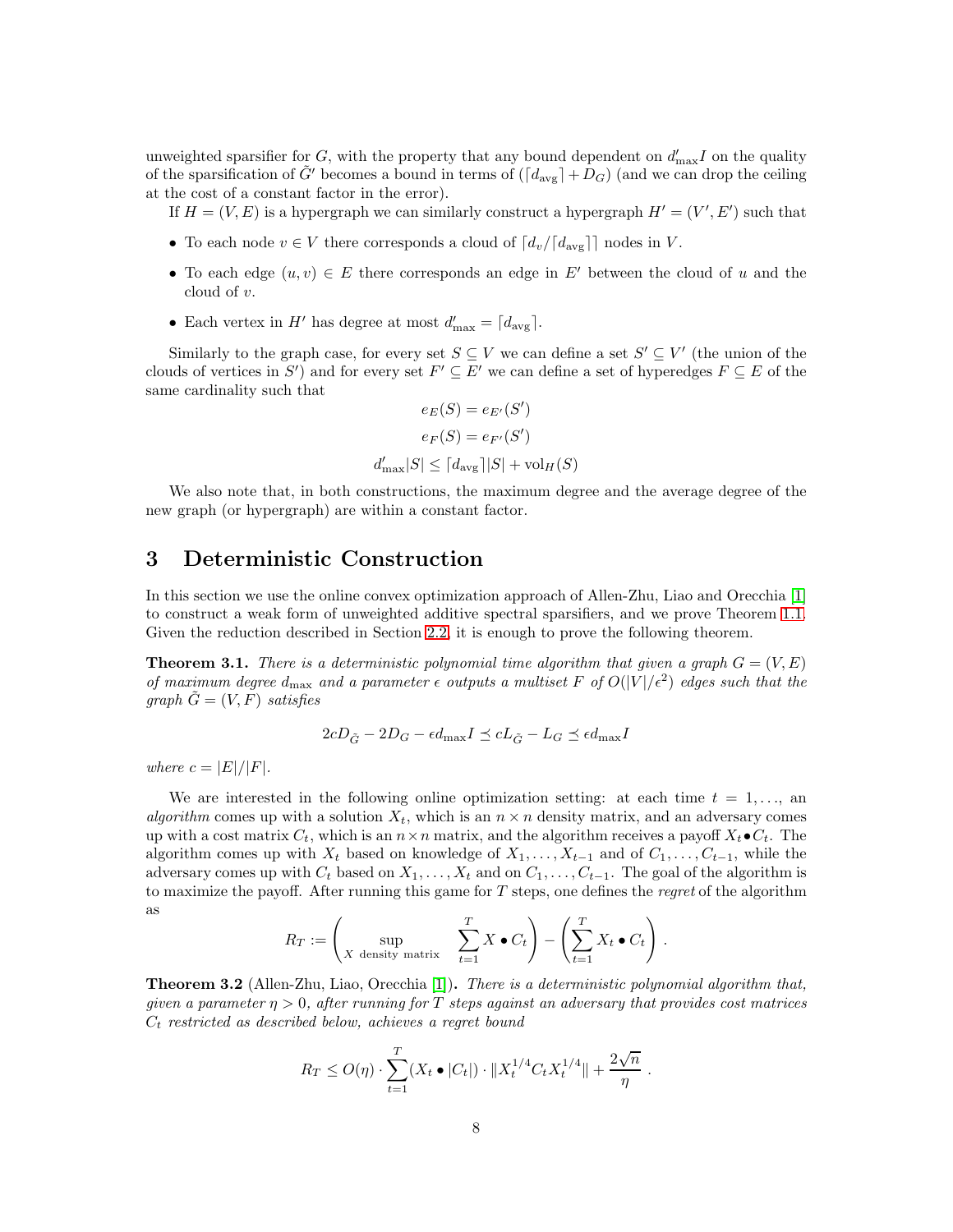unweighted sparsifier for G, with the property that any bound dependent on  $d'_{\text{max}}I$  on the quality of the sparsification of  $\tilde{G}'$  becomes a bound in terms of  $(\ulcorner d_{\text{avg}}\urcorner + D_G)$  (and we can drop the ceiling at the cost of a constant factor in the error).

If  $H = (V, E)$  is a hypergraph we can similarly construct a hypergraph  $H' = (V', E')$  such that

- To each node  $v \in V$  there corresponds a cloud of  $\lfloor d_v / \lfloor d_{\text{avg}} \rfloor \rfloor$  nodes in V.
- To each edge  $(u, v) \in E$  there corresponds an edge in E' between the cloud of u and the cloud of v.
- Each vertex in  $H'$  has degree at most  $d'_{\text{max}} = \lceil d_{\text{avg}} \rceil$ .

Similarly to the graph case, for every set  $S \subseteq V$  we can define a set  $S' \subseteq V'$  (the union of the clouds of vertices in  $S'$ ) and for every set  $F' \subseteq E'$  we can define a set of hyperedges  $F \subseteq E$  of the same cardinality such that

$$
e_E(S) = e_{E'}(S')
$$

$$
e_F(S) = e_{F'}(S')
$$

$$
d'_{\text{max}}|S| \le |d_{\text{avg}}||S| + \text{vol}_H(S)
$$

We also note that, in both constructions, the maximum degree and the average degree of the new graph (or hypergraph) are within a constant factor.

## <span id="page-7-0"></span>3 Deterministic Construction

In this section we use the online convex optimization approach of Allen-Zhu, Liao and Orecchia [\[1\]](#page-29-3) to construct a weak form of unweighted additive spectral sparsifiers, and we prove Theorem [1.1.](#page-3-3) Given the reduction described in Section [2.2,](#page-6-0) it is enough to prove the following theorem.

<span id="page-7-2"></span>**Theorem 3.1.** There is a deterministic polynomial time algorithm that given a graph  $G = (V, E)$ of maximum degree  $d_{\text{max}}$  and a parameter  $\epsilon$  outputs a multiset F of  $O(|V|/\epsilon^2)$  edges such that the graph  $\tilde{G} = (V, F)$  satisfies

$$
2cD_{\tilde{G}} - 2D_G - \epsilon d_{\max} I \preceq cL_{\tilde{G}} - L_G \preceq \epsilon d_{\max} I
$$

where  $c = |E|/|F|$ .

We are interested in the following online optimization setting: at each time  $t = 1, \ldots,$  and algorithm comes up with a solution  $X_t$ , which is an  $n \times n$  density matrix, and an adversary comes up with a cost matrix  $C_t$ , which is an  $n \times n$  matrix, and the algorithm receives a payoff  $X_t \bullet C_t$ . The algorithm comes up with  $X_t$  based on knowledge of  $X_1, \ldots, X_{t-1}$  and of  $C_1, \ldots, C_{t-1}$ , while the adversary comes up with  $C_t$  based on  $X_1, \ldots, X_t$  and on  $C_1, \ldots, C_{t-1}$ . The goal of the algorithm is to maximize the payoff. After running this game for  $T$  steps, one defines the *regret* of the algorithm as

$$
R_T := \left(\sup_{X \text{ density matrix}} \sum_{t=1}^T X \bullet C_t\right) - \left(\sum_{t=1}^T X_t \bullet C_t\right).
$$

<span id="page-7-1"></span>**Theorem 3.2** (Allen-Zhu, Liao, Orecchia [\[1\]](#page-29-3)). There is a deterministic polynomial algorithm that, given a parameter  $\eta > 0$ , after running for T steps against an adversary that provides cost matrices  $C_t$  restricted as described below, achieves a regret bound

$$
R_T \leq O(\eta) \cdot \sum_{t=1}^T (X_t \bullet |C_t|) \cdot ||X_t^{1/4} C_t X_t^{1/4}|| + \frac{2\sqrt{n}}{\eta}.
$$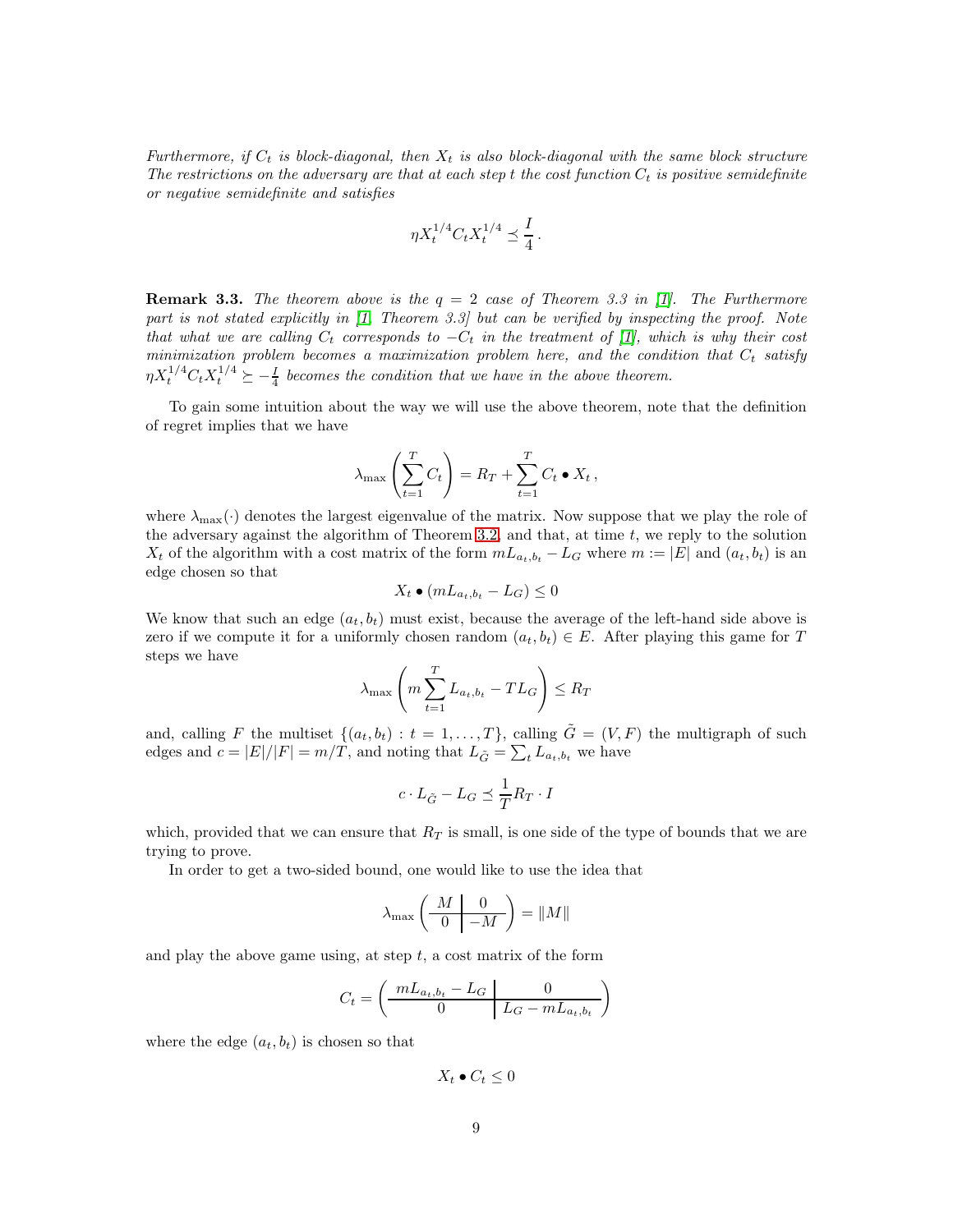Furthermore, if  $C_t$  is block-diagonal, then  $X_t$  is also block-diagonal with the same block structure The restrictions on the adversary are that at each step t the cost function  $C_t$  is positive semidefinite or negative semidefinite and satisfies

$$
\eta X_t^{1/4} C_t X_t^{1/4} \preceq \frac{I}{4}.
$$

**Remark 3.3.** The theorem above is the  $q = 2$  case of Theorem 3.3 in [\[1\]](#page-29-3). The Furthermore part is not stated explicitly in [\[1,](#page-29-3) Theorem 3.3] but can be verified by inspecting the proof. Note that what we are calling  $C_t$  corresponds to  $-C_t$  in the treatment of [\[1\]](#page-29-3), which is why their cost minimization problem becomes a maximization problem here, and the condition that  $C_t$  satisfy  $\eta X_t^{1/4} C_t X_t^{1/4} \succeq -\frac{I}{4}$  becomes the condition that we have in the above theorem.

To gain some intuition about the way we will use the above theorem, note that the definition of regret implies that we have

$$
\lambda_{\max}\left(\sum_{t=1}^T C_t\right) = R_T + \sum_{t=1}^T C_t \bullet X_t,
$$

where  $\lambda_{\max}(\cdot)$  denotes the largest eigenvalue of the matrix. Now suppose that we play the role of the adversary against the algorithm of Theorem [3.2,](#page-7-1) and that, at time  $t$ , we reply to the solution  $X_t$  of the algorithm with a cost matrix of the form  $mL_{a_t,b_t} - L_G$  where  $m := |E|$  and  $(a_t, b_t)$  is an edge chosen so that

$$
X_t \bullet (mL_{a_t,b_t} - L_G) \leq 0
$$

We know that such an edge  $(a_t, b_t)$  must exist, because the average of the left-hand side above is zero if we compute it for a uniformly chosen random  $(a_t, b_t) \in E$ . After playing this game for T steps we have

$$
\lambda_{\max} \left( m \sum_{t=1}^{T} L_{a_t, b_t} - T L_G \right) \le R_T
$$

and, calling F the multiset  $\{(a_t, b_t): t = 1, \ldots, T\}$ , calling  $\tilde{G} = (V, F)$  the multigraph of such edges and  $c = |E|/|F| = m/T$ , and noting that  $L_{\tilde{G}} = \sum_{t} L_{a_t, b_t}$  we have

$$
c \cdot L_{\tilde{G}} - L_G \preceq \frac{1}{T} R_T \cdot I
$$

which, provided that we can ensure that  $R_T$  is small, is one side of the type of bounds that we are trying to prove.

In order to get a two-sided bound, one would like to use the idea that

$$
\lambda_{\max}\left(\begin{array}{c|c}M&0\\ \hline 0&-M\end{array}\right)=\|M\|
$$

and play the above game using, at step  $t$ , a cost matrix of the form

$$
C_t = \left(\begin{array}{c|c} mL_{a_t, b_t} - L_G & 0 \\ \hline 0 & L_G - mL_{a_t, b_t} \end{array}\right)
$$

where the edge  $(a_t, b_t)$  is chosen so that

 $X_t \bullet C_t \leq 0$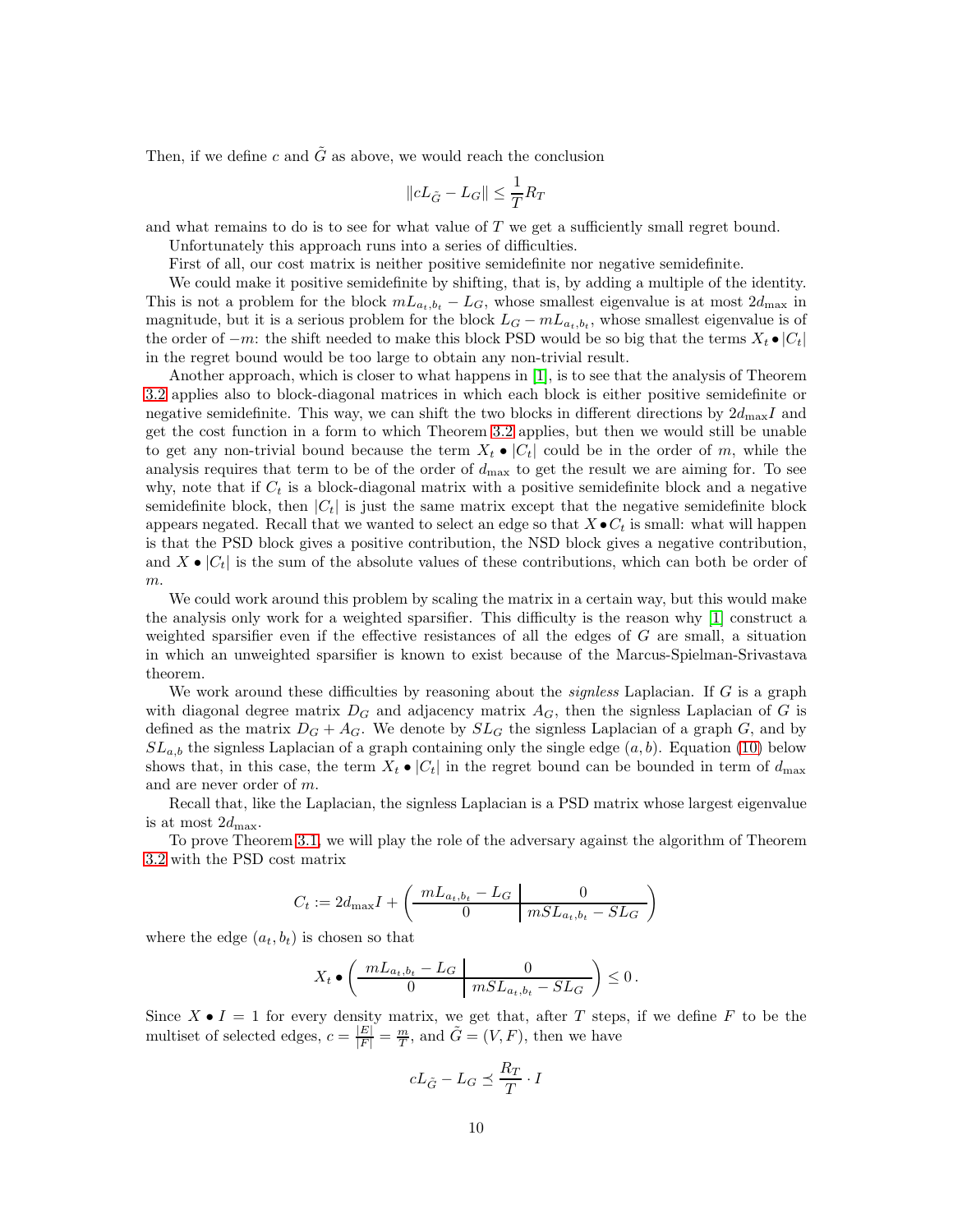Then, if we define c and  $\tilde{G}$  as above, we would reach the conclusion

$$
||cL_{\tilde{G}} - L_G|| \le \frac{1}{T}R_T
$$

and what remains to do is to see for what value of T we get a sufficiently small regret bound.

Unfortunately this approach runs into a series of difficulties.

First of all, our cost matrix is neither positive semidefinite nor negative semidefinite.

We could make it positive semidefinite by shifting, that is, by adding a multiple of the identity. This is not a problem for the block  $mL_{a_t,b_t} - L_G$ , whose smallest eigenvalue is at most  $2d_{\text{max}}$  in magnitude, but it is a serious problem for the block  $L_G - mL_{a_t, b_t}$ , whose smallest eigenvalue is of the order of  $-m$ : the shift needed to make this block PSD would be so big that the terms  $X_t \bullet |C_t|$ in the regret bound would be too large to obtain any non-trivial result.

Another approach, which is closer to what happens in [\[1\]](#page-29-3), is to see that the analysis of Theorem [3.2](#page-7-1) applies also to block-diagonal matrices in which each block is either positive semidefinite or negative semidefinite. This way, we can shift the two blocks in different directions by  $2d_{\text{max}}I$  and get the cost function in a form to which Theorem [3.2](#page-7-1) applies, but then we would still be unable to get any non-trivial bound because the term  $X_t \bullet |C_t|$  could be in the order of m, while the analysis requires that term to be of the order of  $d_{\text{max}}$  to get the result we are aiming for. To see why, note that if  $C_t$  is a block-diagonal matrix with a positive semidefinite block and a negative semidefinite block, then  $|C_t|$  is just the same matrix except that the negative semidefinite block appears negated. Recall that we wanted to select an edge so that  $X \bullet C_t$  is small: what will happen is that the PSD block gives a positive contribution, the NSD block gives a negative contribution, and  $X \bullet |C_t|$  is the sum of the absolute values of these contributions, which can both be order of m.

We could work around this problem by scaling the matrix in a certain way, but this would make the analysis only work for a weighted sparsifier. This difficulty is the reason why [\[1\]](#page-29-3) construct a weighted sparsifier even if the effective resistances of all the edges of  $G$  are small, a situation in which an unweighted sparsifier is known to exist because of the Marcus-Spielman-Srivastava theorem.

We work around these difficulties by reasoning about the *signless* Laplacian. If G is a graph with diagonal degree matrix  $D_G$  and adjacency matrix  $A_G$ , then the signless Laplacian of G is defined as the matrix  $D_G + A_G$ . We denote by  $SL_G$  the signless Laplacian of a graph G, and by  $SL_{a,b}$  the signless Laplacian of a graph containing only the single edge  $(a, b)$ . Equation [\(10\)](#page-10-0) below shows that, in this case, the term  $X_t \bullet |C_t|$  in the regret bound can be bounded in term of  $d_{\text{max}}$ and are never order of m.

Recall that, like the Laplacian, the signless Laplacian is a PSD matrix whose largest eigenvalue is at most  $2d_{\text{max}}$ .

To prove Theorem [3.1,](#page-7-2) we will play the role of the adversary against the algorithm of Theorem [3.2](#page-7-1) with the PSD cost matrix

$$
C_t := 2d_{\max}I + \left(\begin{array}{c|c} mL_{a_t,b_t} - L_G & 0 \\ \hline 0 & mSL_{a_t,b_t} - SL_G \end{array}\right)
$$

where the edge  $(a_t, b_t)$  is chosen so that

$$
X_t \bullet \left( \begin{array}{c|c} mL_{a_t, b_t} - L_G & 0 \\ \hline 0 & mSL_{a_t, b_t} - SL_G \end{array} \right) \leq 0.
$$

Since  $X \bullet I = 1$  for every density matrix, we get that, after T steps, if we define F to be the multiset of selected edges,  $c = \frac{|E|}{|F|} = \frac{m}{T}$ , and  $\tilde{G} = (V, F)$ , then we have

$$
cL_{\tilde{G}} - L_G \preceq \frac{R_T}{T} \cdot I
$$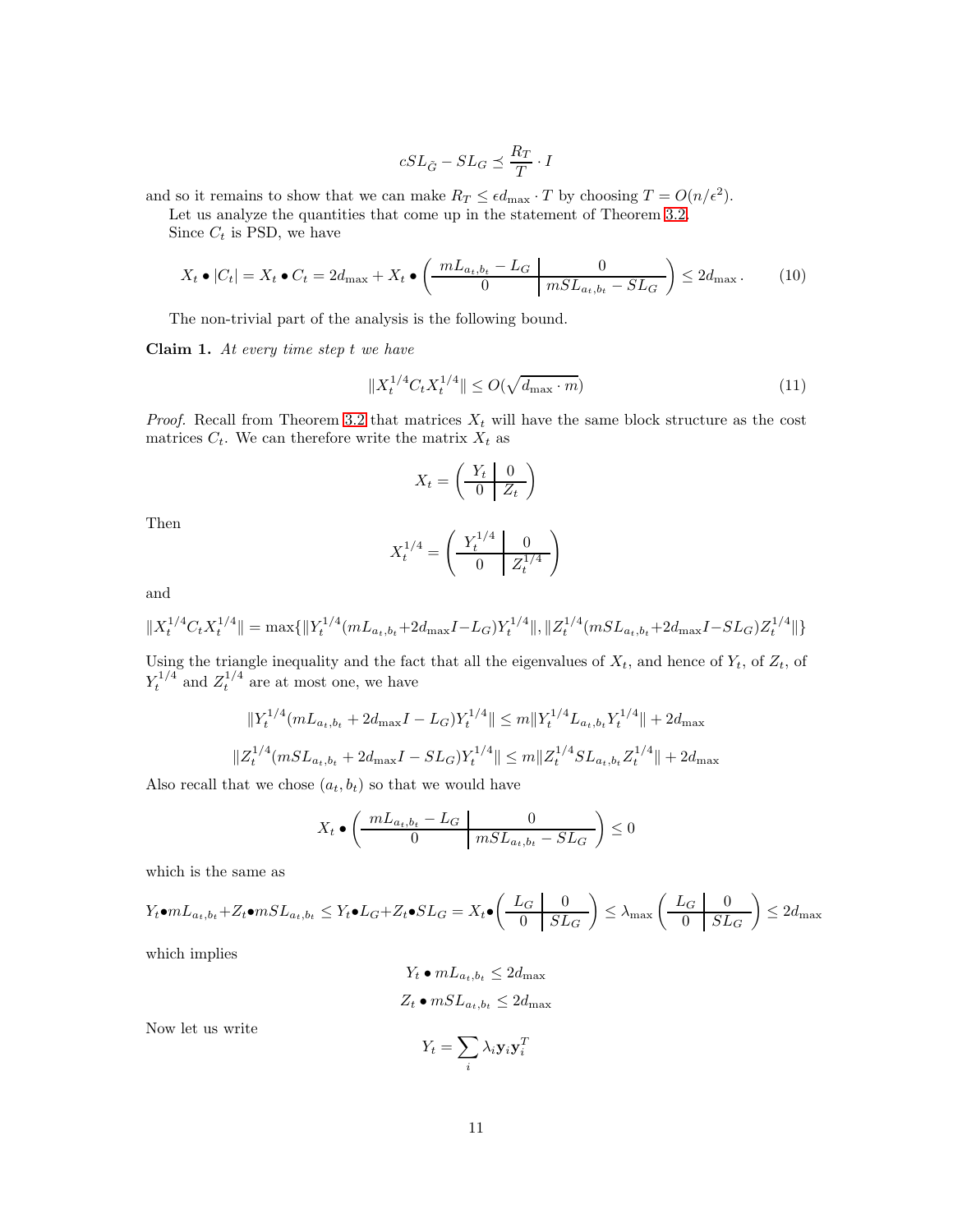$$
cSL_{\tilde{G}} - SL_G \preceq \frac{R_T}{T} \cdot I
$$

and so it remains to show that we can make  $R_T \leq \epsilon d_{\text{max}} \cdot T$  by choosing  $T = O(n/\epsilon^2)$ .

Let us analyze the quantities that come up in the statement of Theorem [3.2.](#page-7-1)

Since  $C_t$  is PSD, we have

<span id="page-10-0"></span>
$$
X_t \bullet |C_t| = X_t \bullet C_t = 2d_{\max} + X_t \bullet \left(\begin{array}{c|c} mL_{a_t, b_t} - L_G & 0 \\ \hline 0 & mSL_{a_t, b_t} - SL_G \end{array}\right) \le 2d_{\max}.
$$
 (10)

The non-trivial part of the analysis is the following bound.

Claim 1. At every time step t we have

$$
||X_t^{1/4} C_t X_t^{1/4}|| \le O(\sqrt{d_{\max} \cdot m})
$$
\n(11)

*Proof.* Recall from Theorem [3.2](#page-7-1) that matrices  $X_t$  will have the same block structure as the cost matrices  $C_t$ . We can therefore write the matrix  $X_t$  as

$$
X_t = \left(\begin{array}{c|c} Y_t & 0 \\ \hline 0 & Z_t \end{array}\right)
$$

Then

$$
X_t^{1/4} = \left(\begin{array}{c|c} Y_t^{1/4} & 0\\ \hline 0 & Z_t^{1/4} \end{array}\right)
$$

and

$$
||X_t^{1/4}C_tX_t^{1/4}|| = \max{||Y_t^{1/4}(m_{a_t,b_t} + 2d_{\max}I - L_G)Y_t^{1/4}||, ||Z_t^{1/4}(mSL_{a_t,b_t} + 2d_{\max}I - SL_G)Z_t^{1/4}||}
$$

Using the triangle inequality and the fact that all the eigenvalues of  $X_t$ , and hence of  $Y_t$ , of  $Z_t$ , of  $Y_t^{1/4}$  and  $Z_t^{1/4}$  are at most one, we have

$$
||Y_t^{1/4}(mL_{a_t,b_t} + 2d_{\max}I - L_G)Y_t^{1/4}|| \le m||Y_t^{1/4}L_{a_t,b_t}Y_t^{1/4}|| + 2d_{\max}
$$
  

$$
||Z_t^{1/4}(mSL_{a_t,b_t} + 2d_{\max}I - SL_G)Y_t^{1/4}|| \le m||Z_t^{1/4}SL_{a_t,b_t}Z_t^{1/4}|| + 2d_{\max}
$$

Also recall that we chose  $(a_t, b_t)$  so that we would have

$$
X_t \bullet \left(\begin{array}{c|c} mL_{a_t,b_t} - L_G & 0 \\ \hline 0 & mSL_{a_t,b_t} - SL_G \end{array}\right) \le 0
$$

which is the same as

$$
Y_t \bullet mL_{a_t,b_t} + Z_t \bullet mSL_{a_t,b_t} \le Y_t \bullet L_G + Z_t \bullet SL_G = X_t \bullet \left(\frac{L_G \mid 0}{0 \mid SL_G}\right) \le \lambda_{\max}\left(\frac{L_G \mid 0}{0 \mid SL_G}\right) \le 2d_{\max}
$$

which implies

$$
Y_t \bullet mL_{a_t, b_t} \le 2d_{\max}
$$

$$
Z_t \bullet mSL_{a_t, b_t} \le 2d_{\max}
$$

Now let us write

$$
Y_t = \sum_i \lambda_i \mathbf{y}_i \mathbf{y}_i^T
$$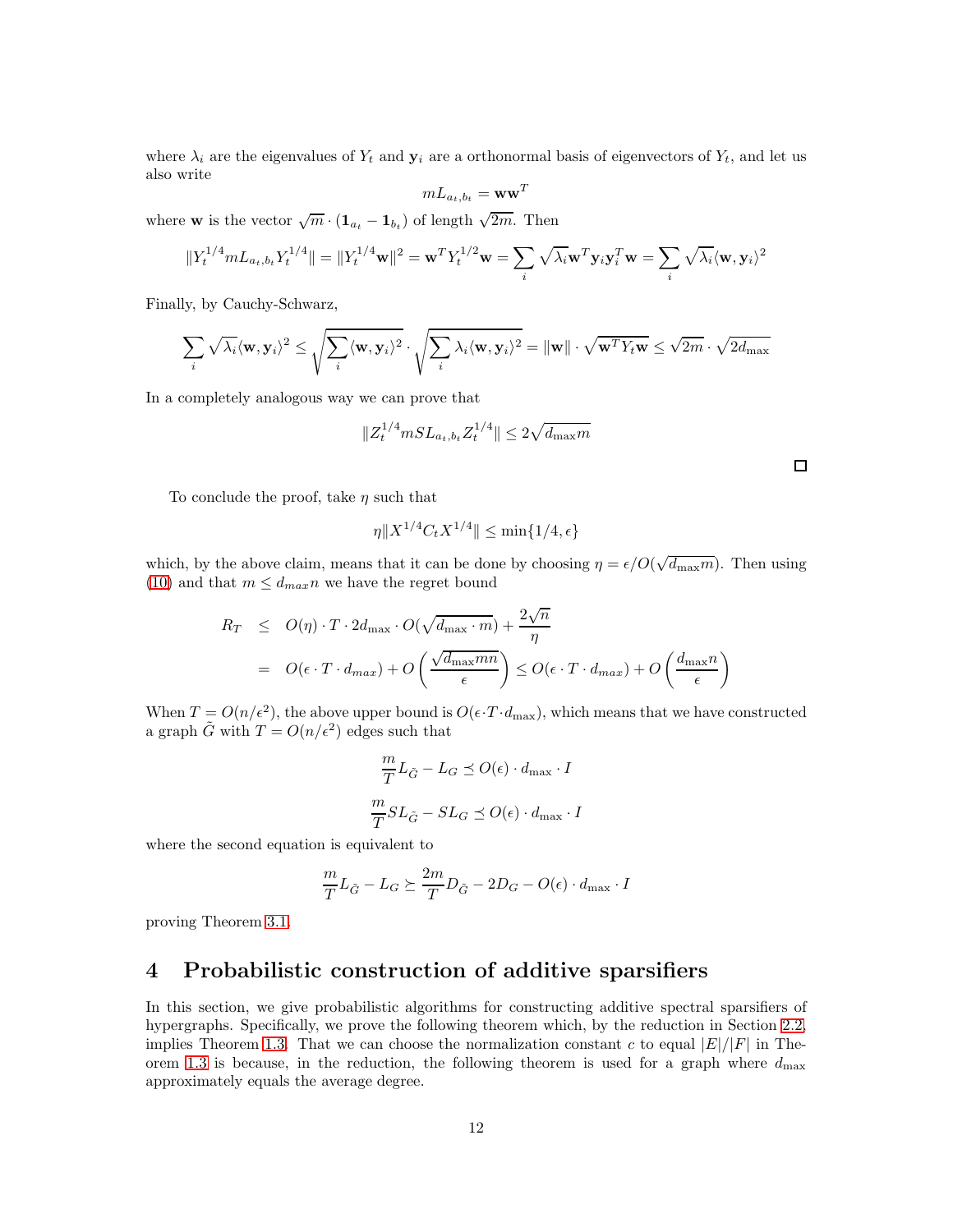where  $\lambda_i$  are the eigenvalues of  $Y_t$  and  $\mathbf{y}_i$  are a orthonormal basis of eigenvectors of  $Y_t$ , and let us also write

$$
mL_{a_t,b_t} = \mathbf{w}\mathbf{w}^T
$$

where **w** is the vector  $\sqrt{m} \cdot (\mathbf{1}_{a_t} - \mathbf{1}_{b_t})$  of length  $\sqrt{2m}$ . Then

$$
||Y_t^{1/4}mL_{a_t,b_t}Y_t^{1/4}|| = ||Y_t^{1/4}\mathbf{w}||^2 = \mathbf{w}^T Y_t^{1/2}\mathbf{w} = \sum_i \sqrt{\lambda_i} \mathbf{w}^T \mathbf{y}_i \mathbf{y}_i^T \mathbf{w} = \sum_i \sqrt{\lambda_i} \langle \mathbf{w}, \mathbf{y}_i \rangle^2
$$

Finally, by Cauchy-Schwarz,

$$
\sum_{i} \sqrt{\lambda_i} \langle \mathbf{w}, \mathbf{y}_i \rangle^2 \le \sqrt{\sum_{i} \langle \mathbf{w}, \mathbf{y}_i \rangle^2} \cdot \sqrt{\sum_{i} \lambda_i \langle \mathbf{w}, \mathbf{y}_i \rangle^2} = \|\mathbf{w}\| \cdot \sqrt{\mathbf{w}^T Y_t \mathbf{w}} \le \sqrt{2m} \cdot \sqrt{2d_{\text{max}}}
$$

In a completely analogous way we can prove that

$$
||Z_t^{1/4} mSL_{a_t,b_t} Z_t^{1/4}|| \leq 2\sqrt{d_{\max} m}
$$

To conclude the proof, take  $\eta$  such that

$$
\eta \|X^{1/4}C_tX^{1/4}\| \le \min\{1/4, \epsilon\}
$$

which, by the above claim, means that it can be done by choosing  $\eta = \epsilon / O(\sqrt{d_{\text{max}}m})$ . Then using [\(10\)](#page-10-0) and that  $m \leq d_{max}n$  we have the regret bound

$$
R_T \leq O(\eta) \cdot T \cdot 2d_{\max} \cdot O(\sqrt{d_{\max} \cdot m}) + \frac{2\sqrt{n}}{\eta}
$$
  
=  $O(\epsilon \cdot T \cdot d_{max}) + O\left(\frac{\sqrt{d_{\max} mn}}{\epsilon}\right) \leq O(\epsilon \cdot T \cdot d_{max}) + O\left(\frac{d_{\max} n}{\epsilon}\right)$ 

When  $T = O(n/\epsilon^2)$ , the above upper bound is  $O(\epsilon \cdot T \cdot d_{\text{max}})$ , which means that we have constructed a graph  $\tilde{G}$  with  $T = O(n/\epsilon^2)$  edges such that

$$
\frac{m}{T}L_{\tilde{G}} - L_G \preceq O(\epsilon) \cdot d_{\text{max}} \cdot I
$$

$$
\frac{m}{T}SL_{\tilde{G}} - SL_G \preceq O(\epsilon) \cdot d_{\text{max}} \cdot I
$$

where the second equation is equivalent to

$$
\frac{m}{T}L_{\tilde{G}} - L_G \succeq \frac{2m}{T}D_{\tilde{G}} - 2D_G - O(\epsilon) \cdot d_{\text{max}} \cdot I
$$

proving Theorem [3.1.](#page-7-2)

# 4 Probabilistic construction of additive sparsifiers

In this section, we give probabilistic algorithms for constructing additive spectral sparsifiers of hypergraphs. Specifically, we prove the following theorem which, by the reduction in Section [2.2,](#page-6-0) implies Theorem [1.3.](#page-4-2) That we can choose the normalization constant c to equal  $|E|/|F|$  in The-orem [1.3](#page-4-2) is because, in the reduction, the following theorem is used for a graph where  $d_{\text{max}}$ approximately equals the average degree.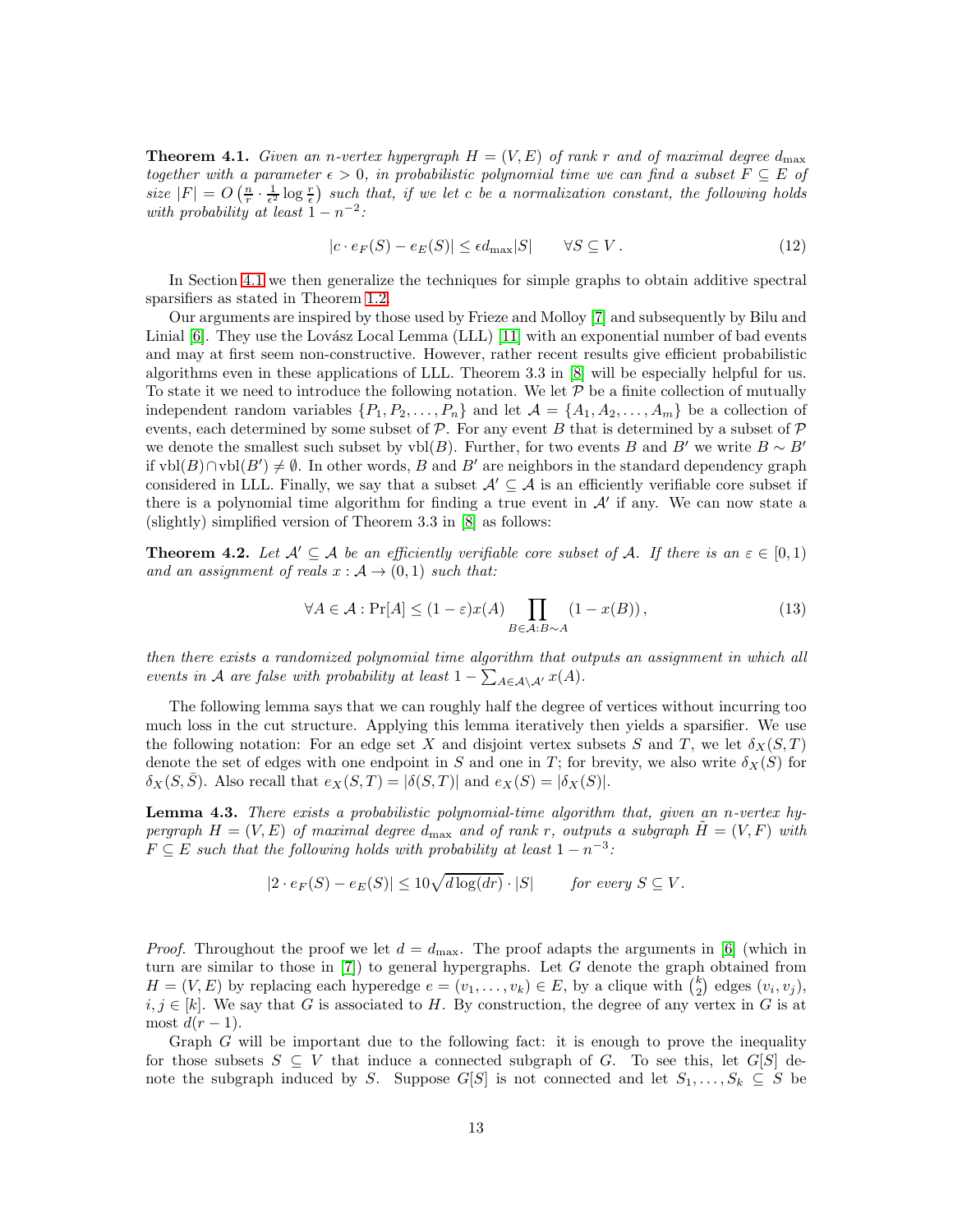<span id="page-12-1"></span>**Theorem 4.1.** Given an n-vertex hypergraph  $H = (V, E)$  of rank r and of maximal degree  $d_{\text{max}}$ together with a parameter  $\epsilon > 0$ , in probabilistic polynomial time we can find a subset  $F \subseteq E$  of size  $|F| = O\left(\frac{n}{r} \cdot \frac{1}{\epsilon^2} \log \frac{r}{\epsilon}\right)$  such that, if we let c be a normalization constant, the following holds with probability at least  $1 - n^{-2}$ :

$$
|c \cdot e_F(S) - e_E(S)| \le \epsilon d_{\text{max}}|S| \qquad \forall S \subseteq V. \tag{12}
$$

In Section [4.1](#page-15-0) we then generalize the techniques for simple graphs to obtain additive spectral sparsifiers as stated in Theorem [1.2.](#page-3-2)

Our arguments are inspired by those used by Frieze and Molloy [\[7\]](#page-29-4) and subsequently by Bilu and Linial  $[6]$ . They use the Lovász Local Lemma (LLL) [\[11\]](#page-30-3) with an exponential number of bad events and may at first seem non-constructive. However, rather recent results give efficient probabilistic algorithms even in these applications of LLL. Theorem 3.3 in [\[8\]](#page-29-8) will be especially helpful for us. To state it we need to introduce the following notation. We let  $\mathcal P$  be a finite collection of mutually independent random variables  $\{P_1, P_2, \ldots, P_n\}$  and let  $\mathcal{A} = \{A_1, A_2, \ldots, A_m\}$  be a collection of events, each determined by some subset of  $P$ . For any event B that is determined by a subset of  $P$ we denote the smallest such subset by vbl(B). Further, for two events B and B' we write  $B \sim B'$ if  $vbl(B) \cap vol(B') \neq \emptyset$ . In other words, B and B' are neighbors in the standard dependency graph considered in LLL. Finally, we say that a subset  $A' \subseteq A$  is an efficiently verifiable core subset if there is a polynomial time algorithm for finding a true event in  $\mathcal{A}'$  if any. We can now state a (slightly) simplified version of Theorem 3.3 in [\[8\]](#page-29-8) as follows:

**Theorem 4.2.** Let  $A' \subseteq A$  be an efficiently verifiable core subset of A. If there is an  $\varepsilon \in [0,1)$ and an assignment of reals  $x : A \rightarrow (0,1)$  such that:

<span id="page-12-0"></span>
$$
\forall A \in \mathcal{A} : \Pr[A] \le (1 - \varepsilon)x(A) \prod_{B \in \mathcal{A}:B \sim A} (1 - x(B)), \tag{13}
$$

then there exists a randomized polynomial time algorithm that outputs an assignment in which all events in A are false with probability at least  $1 - \sum_{A \in \mathcal{A} \setminus \mathcal{A}'} x(A)$ .

The following lemma says that we can roughly half the degree of vertices without incurring too much loss in the cut structure. Applying this lemma iteratively then yields a sparsifier. We use the following notation: For an edge set X and disjoint vertex subsets S and T, we let  $\delta_X(S,T)$ denote the set of edges with one endpoint in S and one in T; for brevity, we also write  $\delta_X(S)$  for  $\delta_X(S, \overline{S})$ . Also recall that  $e_X(S, T) = |\delta(S, T)|$  and  $e_X(S) = |\delta_X(S)|$ .

<span id="page-12-2"></span>**Lemma 4.3.** There exists a probabilistic polynomial-time algorithm that, given an n-vertex hypergraph  $H = (V, E)$  of maximal degree  $d_{\text{max}}$  and of rank r, outputs a subgraph  $H = (V, F)$  with  $F \subseteq E$  such that the following holds with probability at least  $1 - n^{-3}$ :

$$
|2 \cdot e_F(S) - e_E(S)| \le 10\sqrt{d \log(dr)} \cdot |S| \qquad \text{for every } S \subseteq V.
$$

*Proof.* Throughout the proof we let  $d = d_{\text{max}}$ . The proof adapts the arguments in [\[6\]](#page-29-7) (which in turn are similar to those in  $[7]$ ) to general hypergraphs. Let G denote the graph obtained from  $H = (V, E)$  by replacing each hyperedge  $e = (v_1, \ldots, v_k) \in E$ , by a clique with  $\binom{k}{2}$  edges  $(v_i, v_j)$ ,  $i, j \in [k]$ . We say that G is associated to H. By construction, the degree of any vertex in G is at most  $d(r-1)$ .

Graph  $G$  will be important due to the following fact: it is enough to prove the inequality for those subsets  $S \subseteq V$  that induce a connected subgraph of G. To see this, let  $G[S]$  denote the subgraph induced by S. Suppose  $G[S]$  is not connected and let  $S_1, \ldots, S_k \subseteq S$  be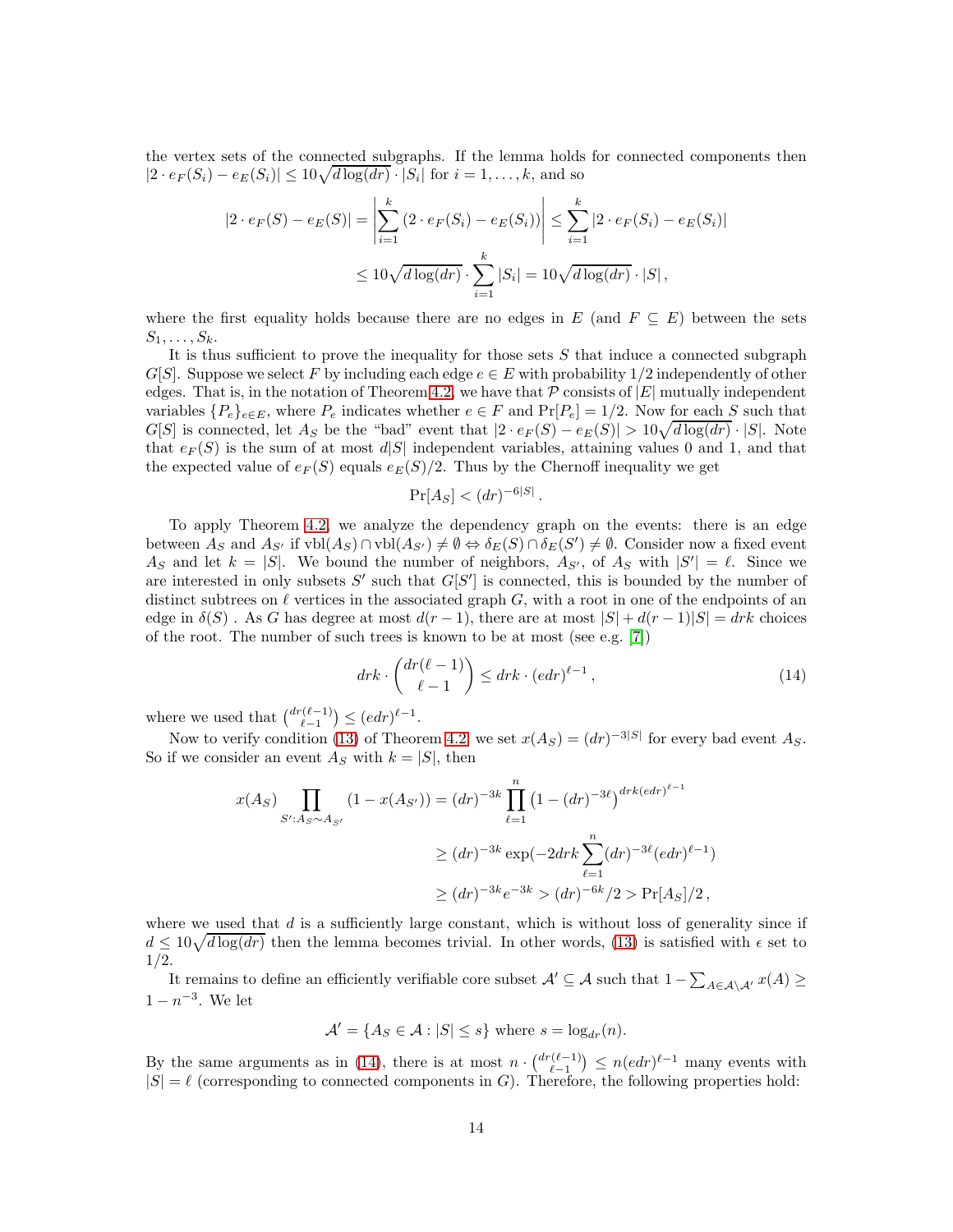the vertex sets of the connected subgraphs. If the lemma holds for connected components then  $|2 \cdot e_F(S_i) - e_E(S_i)| \leq 10\sqrt{d \log(dr)} \cdot |S_i|$  for  $i = 1, ..., k$ , and so

$$
|2 \cdot e_F(S) - e_E(S)| = \left| \sum_{i=1}^k (2 \cdot e_F(S_i) - e_E(S_i)) \right| \le \sum_{i=1}^k |2 \cdot e_F(S_i) - e_E(S_i)|
$$
  

$$
\le 10\sqrt{d \log(dr)} \cdot \sum_{i=1}^k |S_i| = 10\sqrt{d \log(dr)} \cdot |S|,
$$

where the first equality holds because there are no edges in  $E$  (and  $F \subseteq E$ ) between the sets  $S_1, \ldots, S_k$ .

It is thus sufficient to prove the inequality for those sets  $S$  that induce a connected subgraph G[S]. Suppose we select F by including each edge  $e \in E$  with probability  $1/2$  independently of other edges. That is, in the notation of Theorem [4.2,](#page-12-0) we have that  $P$  consists of  $|E|$  mutually independent variables  ${P_e}_{e \in E}$ , where  $P_e$  indicates whether  $e \in F$  and  $Pr[P_e] = 1/2$ . Now for each S such that  $G[S]$  is connected, let  $A_S$  be the "bad" event that  $|2 \cdot e_F(S) - e_E(S)| > 10\sqrt{d \log(dr)} \cdot |S|$ . Note that  $e_F(S)$  is the sum of at most  $d|S|$  independent variables, attaining values 0 and 1, and that the expected value of  $e_F(S)$  equals  $e_F(S)/2$ . Thus by the Chernoff inequality we get

<span id="page-13-0"></span>
$$
\Pr[A_S] < (dr)^{-6|S|} \, .
$$

To apply Theorem [4.2,](#page-12-0) we analyze the dependency graph on the events: there is an edge between  $A_S$  and  $A_{S'}$  if  $\text{vbl}(A_S) \cap \text{vbl}(A_{S'}) \neq \emptyset \Leftrightarrow \delta_E(S) \cap \delta_E(S') \neq \emptyset$ . Consider now a fixed event  $A_S$  and let  $k = |S|$ . We bound the number of neighbors,  $A_{S'}$ , of  $A_S$  with  $|S'| = \ell$ . Since we are interested in only subsets  $S'$  such that  $G[S']$  is connected, this is bounded by the number of distinct subtrees on  $\ell$  vertices in the associated graph G, with a root in one of the endpoints of an edge in  $\delta(S)$ . As G has degree at most  $d(r-1)$ , there are at most  $|S| + d(r-1)|S| = drk$  choices of the root. The number of such trees is known to be at most (see e.g. [\[7\]](#page-29-4))

$$
drk \cdot \begin{pmatrix} dr(\ell-1) \\ \ell-1 \end{pmatrix} \leq drk \cdot (edr)^{\ell-1},\tag{14}
$$

where we used that  $\binom{dr(\ell-1)}{\ell-1} \leq (edr)^{\ell-1}$ .

Now to verify condition [\(13\)](#page-12-0) of Theorem [4.2,](#page-12-0) we set  $x(A_s) = (dr)^{-3|S|}$  for every bad event  $A_s$ . So if we consider an event  $A_S$  with  $k = |S|$ , then

$$
x(A_S) \prod_{S':A_{S}\sim A_{S'}} (1 - x(A_{S'})) = (dr)^{-3k} \prod_{\ell=1}^n (1 - (dr)^{-3\ell})^{drk(edr)^{\ell-1}}
$$
  
 
$$
\geq (dr)^{-3k} \exp(-2drk \sum_{\ell=1}^n (dr)^{-3\ell} (edr)^{\ell-1})
$$
  
 
$$
\geq (dr)^{-3k} e^{-3k} > (dr)^{-6k} / 2 > \Pr[A_S] / 2,
$$

where we used that  $d$  is a sufficiently large constant, which is without loss of generality since if  $d \leq 10\sqrt{d \log(dr)}$  then the lemma becomes trivial. In other words, [\(13\)](#page-12-0) is satisfied with  $\epsilon$  set to 1/2.

It remains to define an efficiently verifiable core subset  $\mathcal{A}' \subseteq \mathcal{A}$  such that  $1 - \sum_{A \in \mathcal{A} \setminus \mathcal{A}'} x(A) \ge$  $1 - n^{-3}$ . We let

$$
\mathcal{A}' = \{ A_S \in \mathcal{A} : |S| \le s \} \text{ where } s = \log_{dr}(n).
$$

By the same arguments as in [\(14\)](#page-13-0), there is at most  $n \cdot {dr(\ell-1) \choose \ell-1} \le n (edr)^{\ell-1}$  many events with  $|S| = \ell$  (corresponding to connected components in G). Therefore, the following properties hold: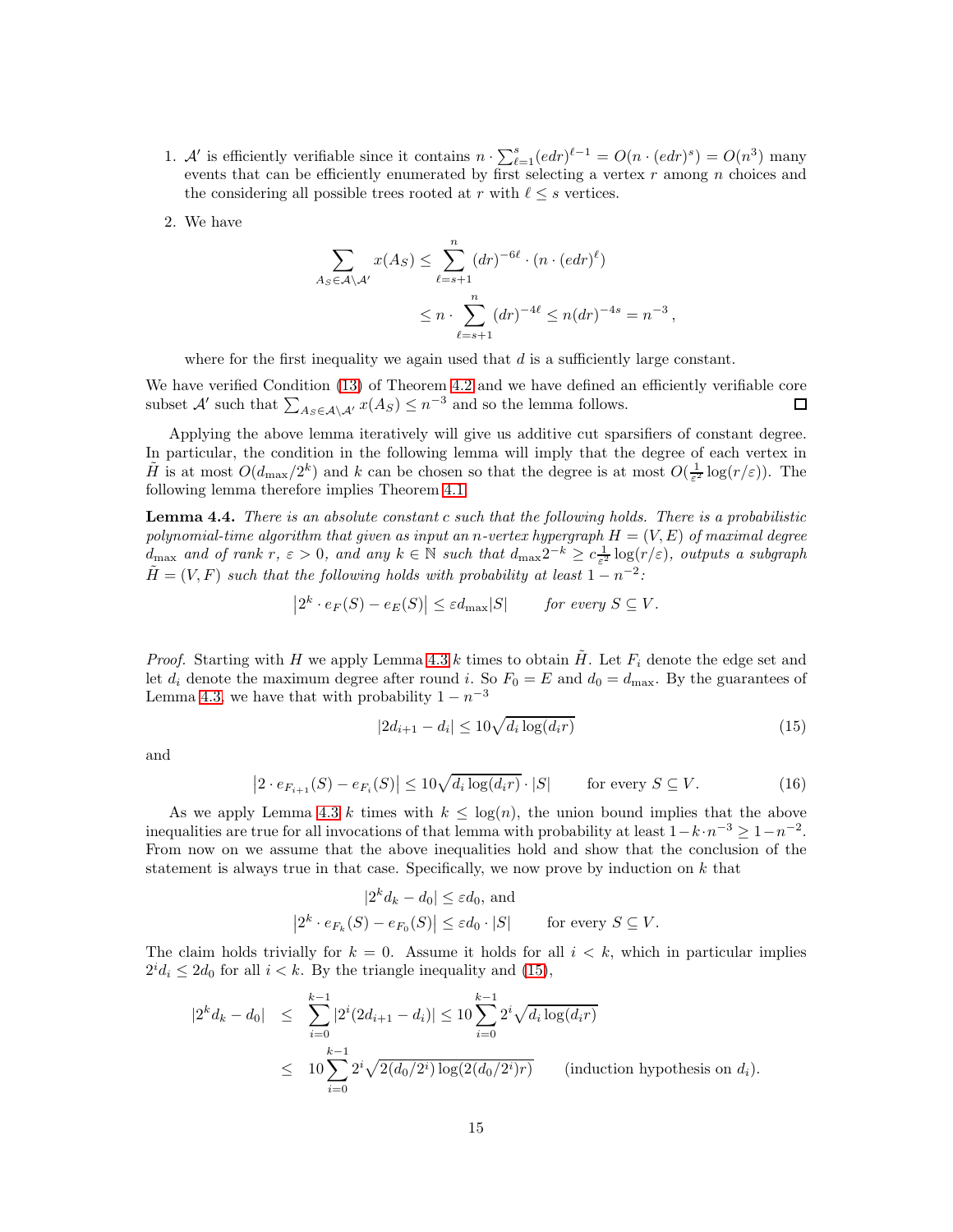- 1. A' is efficiently verifiable since it contains  $n \cdot \sum_{\ell=1}^{s} (edr)^{\ell-1} = O(n \cdot (edr)^s) = O(n^3)$  many events that can be efficiently enumerated by first selecting a vertex  $r$  among  $n$  choices and the considering all possible trees rooted at r with  $\ell \leq s$  vertices.
- 2. We have

$$
\sum_{A_S \in \mathcal{A} \setminus \mathcal{A}'} x(A_S) \le \sum_{\ell=s+1}^n (dr)^{-6\ell} \cdot (n \cdot (edr)^{\ell})
$$
  
 
$$
\le n \cdot \sum_{\ell=s+1}^n (dr)^{-4\ell} \le n(dr)^{-4s} = n^{-3}
$$

where for the first inequality we again used that  $d$  is a sufficiently large constant.

We have verified Condition [\(13\)](#page-12-0) of Theorem [4.2](#page-12-0) and we have defined an efficiently verifiable core subset A' such that  $\sum_{A_S \in \mathcal{A} \setminus \mathcal{A}'} x(A_S) \leq n^{-3}$  and so the lemma follows. 囗

Applying the above lemma iteratively will give us additive cut sparsifiers of constant degree. In particular, the condition in the following lemma will imply that the degree of each vertex in  $\tilde{H}$  is at most  $O(d_{\max}/2^k)$  and k can be chosen so that the degree is at most  $O(\frac{1}{\varepsilon^2} \log(r/\varepsilon))$ . The following lemma therefore implies Theorem [4.1.](#page-12-1)

<span id="page-14-2"></span>**Lemma 4.4.** There is an absolute constant c such that the following holds. There is a probabilistic polynomial-time algorithm that given as input an n-vertex hypergraph  $H = (V, E)$  of maximal degree  $d_{\text{max}}$  and of rank  $r, \varepsilon > 0$ , and any  $k \in \mathbb{N}$  such that  $d_{\text{max}} 2^{-k} \geq c \frac{1}{\varepsilon^2} \log(r/\varepsilon)$ , outputs a subgraph  $\tilde{H} = (V, F)$  such that the following holds with probability at least  $1 - n^{-2}$ :

$$
\left|2^k \cdot e_F(S) - e_E(S)\right| \le \varepsilon d_{\text{max}}|S| \qquad \text{for every } S \subseteq V.
$$

*Proof.* Starting with H we apply Lemma [4.3](#page-12-2) k times to obtain  $\tilde{H}$ . Let  $F_i$  denote the edge set and let  $d_i$  denote the maximum degree after round i. So  $F_0 = E$  and  $d_0 = d_{\text{max}}$ . By the guarantees of Lemma [4.3,](#page-12-2) we have that with probability  $1 - n^{-3}$ 

<span id="page-14-1"></span><span id="page-14-0"></span>
$$
|2d_{i+1} - d_i| \le 10\sqrt{d_i \log(d_i r)}\tag{15}
$$

,

and

$$
\left|2 \cdot e_{F_{i+1}}(S) - e_{F_i}(S)\right| \le 10\sqrt{d_i \log(d_i r)} \cdot |S| \qquad \text{for every } S \subseteq V. \tag{16}
$$

As we apply Lemma [4.3](#page-12-2) k times with  $k \leq \log(n)$ , the union bound implies that the above inequalities are true for all invocations of that lemma with probability at least  $1-k \cdot n^{-3} \ge 1-n^{-2}$ . From now on we assume that the above inequalities hold and show that the conclusion of the statement is always true in that case. Specifically, we now prove by induction on  $k$  that

$$
|2^k d_k - d_0| \le \varepsilon d_0, \text{ and}
$$
  

$$
|2^k \cdot e_{F_k}(S) - e_{F_0}(S)| \le \varepsilon d_0 \cdot |S| \qquad \text{for every } S \subseteq V.
$$

The claim holds trivially for  $k = 0$ . Assume it holds for all  $i < k$ , which in particular implies  $2^{i}d_{i} \leq 2d_{0}$  for all  $i < k$ . By the triangle inequality and [\(15\)](#page-14-0),

$$
|2^{k}d_{k} - d_{0}| \leq \sum_{i=0}^{k-1} |2^{i}(2d_{i+1} - d_{i})| \leq 10 \sum_{i=0}^{k-1} 2^{i} \sqrt{d_{i} \log(d_{i}r)}
$$
  
 
$$
\leq 10 \sum_{i=0}^{k-1} 2^{i} \sqrt{2(d_{0}/2^{i}) \log(2(d_{0}/2^{i})r)} \qquad \text{(induction hypothesis on } d_{i}\text{).}
$$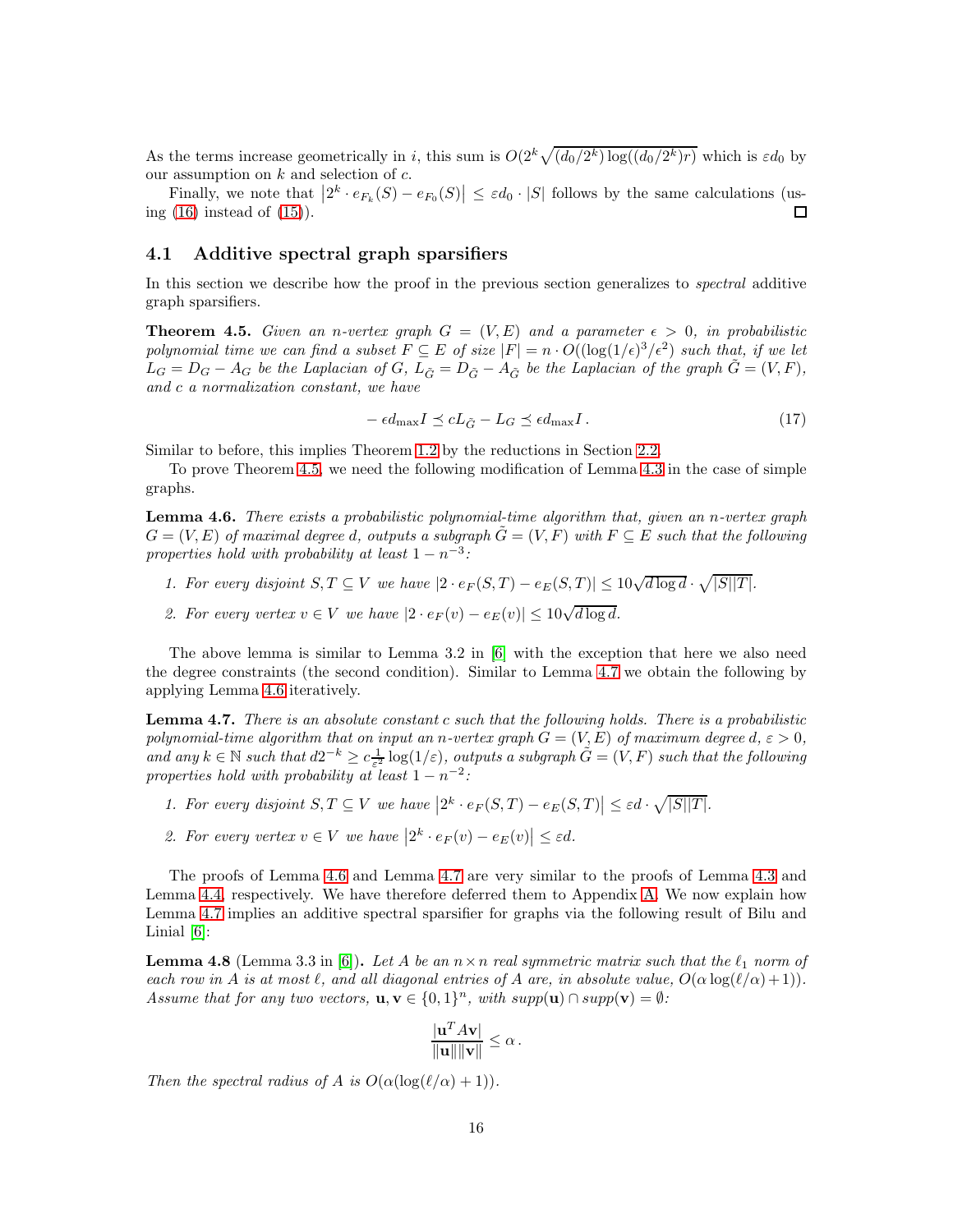As the terms increase geometrically in i, this sum is  $O(2^k \sqrt{(d_0/2^k) \log((d_0/2^k)r)})$  which is  $\varepsilon d_0$  by our assumption on  $k$  and selection of  $c$ .

Finally, we note that  $|2^k \cdot e_{F_k}(S) - e_{F_0}(S)| \leq \varepsilon d_0 \cdot |S|$  follows by the same calculations (us-<br>(16) in the left (15)) ing  $(16)$  instead of  $(15)$ ).

### <span id="page-15-0"></span>4.1 Additive spectral graph sparsifiers

In this section we describe how the proof in the previous section generalizes to *spectral* additive graph sparsifiers.

<span id="page-15-1"></span>**Theorem 4.5.** Given an n-vertex graph  $G = (V, E)$  and a parameter  $\epsilon > 0$ , in probabilistic polynomial time we can find a subset  $F \subseteq E$  of size  $|F| = n \cdot O((\log(1/\epsilon)^3/\epsilon^2))$  such that, if we let  $L_G = D_G - A_G$  be the Laplacian of G,  $L_{\tilde{G}} = D_{\tilde{G}} - A_{\tilde{G}}$  be the Laplacian of the graph  $\tilde{G} = (V, F)$ , and c a normalization constant, we have

$$
- \epsilon d_{\text{max}} I \preceq c L_{\tilde{G}} - L_G \preceq \epsilon d_{\text{max}} I. \tag{17}
$$

Similar to before, this implies Theorem [1.2](#page-3-2) by the reductions in Section [2.2.](#page-6-0)

To prove Theorem [4.5,](#page-15-1) we need the following modification of Lemma [4.3](#page-12-2) in the case of simple graphs.

Lemma 4.6. There exists a probabilistic polynomial-time algorithm that, given an n-vertex graph  $G = (V, E)$  of maximal degree d, outputs a subgraph  $G = (V, F)$  with  $F \subseteq E$  such that the following properties hold with probability at least  $1 - n^{-3}$ :

- <span id="page-15-6"></span><span id="page-15-3"></span>1. For every disjoint  $S, T \subseteq V$  we have  $|2 \cdot e_F(S,T) - e_E(S,T)| \leq 10\sqrt{d \log d} \cdot \sqrt{|S||T|}$ .
- 2. For every vertex  $v \in V$  we have  $|2 \cdot e_F(v) e_E(v)| \leq 10\sqrt{d \log d}$ .

The above lemma is similar to Lemma 3.2 in [\[6\]](#page-29-7) with the exception that here we also need the degree constraints (the second condition). Similar to Lemma [4.7](#page-15-2) we obtain the following by applying Lemma [4.6](#page-15-3) iteratively.

Lemma 4.7. There is an absolute constant c such that the following holds. There is a probabilistic polynomial-time algorithm that on input an n-vertex graph  $G = (V, E)$  of maximum degree d,  $\varepsilon > 0$ , and any  $k \in \mathbb{N}$  such that  $d2^{-k} \geq c \frac{1}{\varepsilon^2} \log(1/\varepsilon)$ , outputs a subgraph  $\tilde{G} = (V, F)$  such that the following properties hold with probability at least  $1 - n^{-2}$ :

- <span id="page-15-4"></span><span id="page-15-2"></span>1. For every disjoint  $S, T \subseteq V$  we have  $|2^k \cdot e_F(S,T) - e_E(S,T)| \leq \varepsilon d \cdot \sqrt{|S||T|}$ .
- 2. For every vertex  $v \in V$  we have  $|2^k \cdot e_F(v) e_E(v)| \leq \varepsilon d$ .

The proofs of Lemma [4.6](#page-15-3) and Lemma [4.7](#page-15-2) are very similar to the proofs of Lemma [4.3](#page-12-2) and Lemma [4.4,](#page-14-2) respectively. We have therefore deferred them to Appendix [A.](#page-26-0) We now explain how Lemma [4.7](#page-15-2) implies an additive spectral sparsifier for graphs via the following result of Bilu and Linial [\[6\]](#page-29-7):

<span id="page-15-5"></span>**Lemma 4.8** (Lemma 3.3 in [\[6\]](#page-29-7)). Let A be an  $n \times n$  real symmetric matrix such that the  $\ell_1$  norm of each row in A is at most  $\ell$ , and all diagonal entries of A are, in absolute value,  $O(\alpha \log(\ell/\alpha)+1)$ . Assume that for any two vectors,  $\mathbf{u}, \mathbf{v} \in \{0,1\}^n$ , with  $supp(\mathbf{u}) \cap supp(\mathbf{v}) = \emptyset$ :

$$
\frac{|\mathbf{u}^T A \mathbf{v}|}{\|\mathbf{u}\| \|\mathbf{v}\|} \leq \alpha.
$$

Then the spectral radius of A is  $O(\alpha(\log(\ell/\alpha) + 1)).$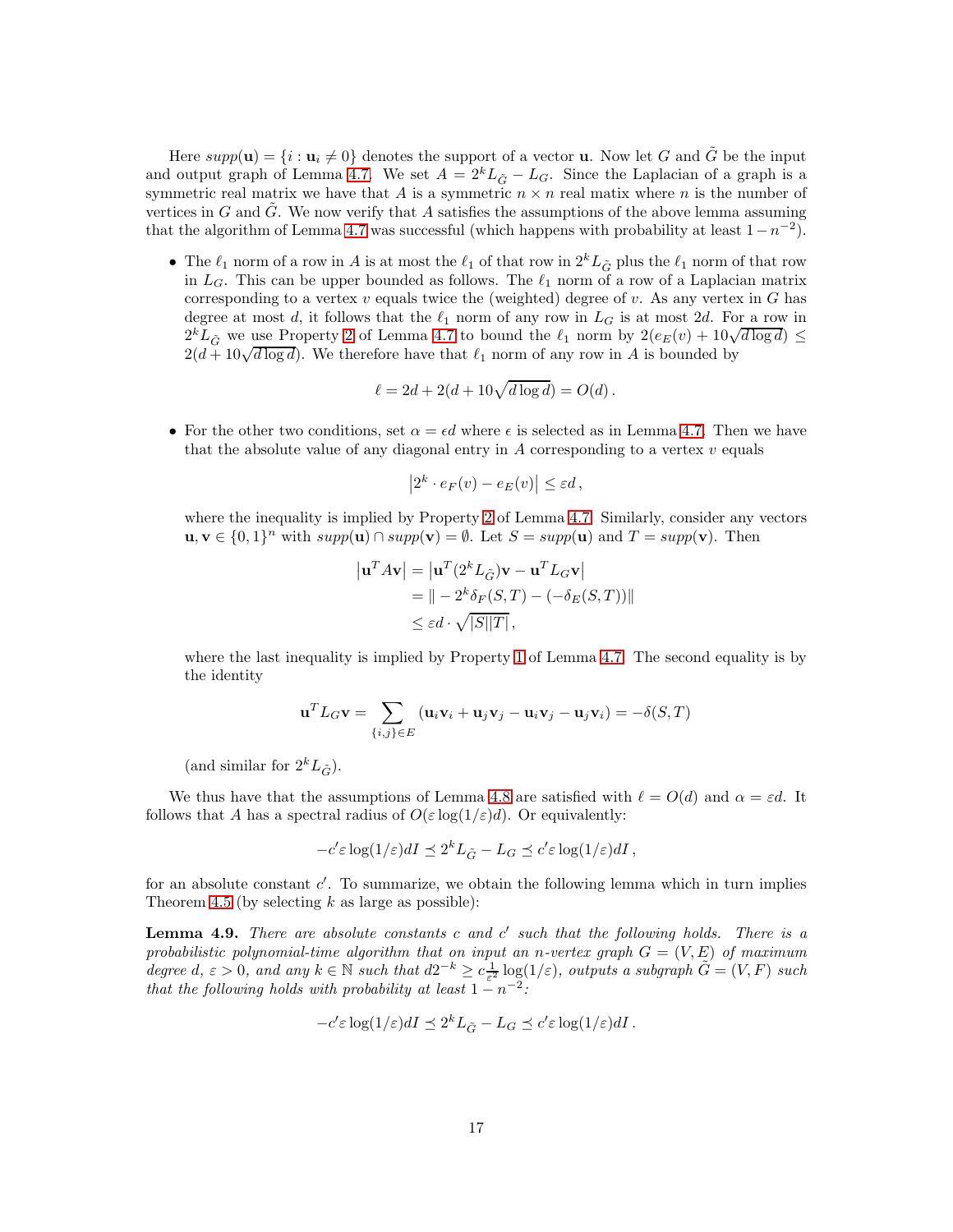Here  $supp(\mathbf{u}) = \{i : \mathbf{u}_i \neq 0\}$  denotes the support of a vector **u**. Now let G and  $\tilde{G}$  be the input and output graph of Lemma [4.7.](#page-15-2) We set  $A = 2<sup>k</sup>L_{\tilde{G}} - L_G$ . Since the Laplacian of a graph is a symmetric real matrix we have that A is a symmetric  $n \times n$  real matrix where n is the number of vertices in  $G$  and  $G$ . We now verify that  $A$  satisfies the assumptions of the above lemma assuming that the algorithm of Lemma [4.7](#page-15-2) was successful (which happens with probability at least  $1-n^{-2}$ ).

• The  $\ell_1$  norm of a row in A is at most the  $\ell_1$  of that row in  $2^k L_{\tilde{G}}$  plus the  $\ell_1$  norm of that row in  $L_G$ . This can be upper bounded as follows. The  $\ell_1$  norm of a row of a Laplacian matrix corresponding to a vertex  $v$  equals twice the (weighted) degree of  $v$ . As any vertex in  $G$  has degree at most d, it follows that the  $\ell_1$  norm of any row in  $L_G$  is at most 2d. For a row in  $2^k L_{\tilde{G}}$  we use Property [2](#page-15-2) of Lemma [4.7](#page-15-2) to bound the  $\ell_1$  norm by  $2(e_E(v) + 10\sqrt{d \log d}) \le$  $2(d+10\sqrt{d\log d})$ . We therefore have that  $\ell_1$  norm of any row in A is bounded by

$$
\ell = 2d + 2(d + 10\sqrt{d \log d}) = O(d).
$$

• For the other two conditions, set  $\alpha = \epsilon d$  where  $\epsilon$  is selected as in Lemma [4.7.](#page-15-2) Then we have that the absolute value of any diagonal entry in  $A$  corresponding to a vertex  $v$  equals

$$
\left|2^k \cdot e_F(v) - e_E(v)\right| \leq \varepsilon d\,,
$$

where the inequality is implied by Property [2](#page-15-2) of Lemma [4.7.](#page-15-2) Similarly, consider any vectors  $\mathbf{u}, \mathbf{v} \in \{0,1\}^n$  with  $supp(\mathbf{u}) \cap supp(\mathbf{v}) = \emptyset$ . Let  $S = supp(\mathbf{u})$  and  $T = supp(\mathbf{v})$ . Then

$$
|\mathbf{u}^T A \mathbf{v}| = |\mathbf{u}^T (2^k L_{\tilde{G}}) \mathbf{v} - \mathbf{u}^T L_G \mathbf{v}|
$$
  
=  $|| - 2^k \delta_F (S, T) - (-\delta_E (S, T))||$   
 $\leq \varepsilon d \cdot \sqrt{|S||T|},$ 

where the last inequality is implied by Property [1](#page-15-4) of Lemma [4.7.](#page-15-2) The second equality is by the identity

$$
\mathbf{u}^T L_G \mathbf{v} = \sum_{\{i,j\} \in E} (\mathbf{u}_i \mathbf{v}_i + \mathbf{u}_j \mathbf{v}_j - \mathbf{u}_i \mathbf{v}_j - \mathbf{u}_j \mathbf{v}_i) = -\delta(S, T)
$$

(and similar for  $2^k L_{\tilde{G}}$ ).

We thus have that the assumptions of Lemma [4.8](#page-15-5) are satisfied with  $\ell = O(d)$  and  $\alpha = \varepsilon d$ . It follows that A has a spectral radius of  $O(\varepsilon \log(1/\varepsilon)d)$ . Or equivalently:

$$
-c'\varepsilon \log(1/\varepsilon)dI \le 2^k L_{\tilde{G}} - L_G \le c'\varepsilon \log(1/\varepsilon)dI,
$$

for an absolute constant  $c'$ . To summarize, we obtain the following lemma which in turn implies Theorem [4.5](#page-15-1) (by selecting k as large as possible):

**Lemma 4.9.** There are absolute constants c and  $c'$  such that the following holds. There is a probabilistic polynomial-time algorithm that on input an n-vertex graph  $G = (V, E)$  of maximum degree  $d, \varepsilon > 0$ , and any  $k \in \mathbb{N}$  such that  $d2^{-k} \geq c \frac{1}{\varepsilon^2} \log(1/\varepsilon)$ , outputs a subgraph  $\tilde{G} = (V, F)$  such that the following holds with probability at least  $1 - n^{-2}$ :

$$
-c'\varepsilon\log(1/\varepsilon)dI\preceq 2^kL_{\tilde{G}}-L_G\preceq c'\varepsilon\log(1/\varepsilon)dI\,.
$$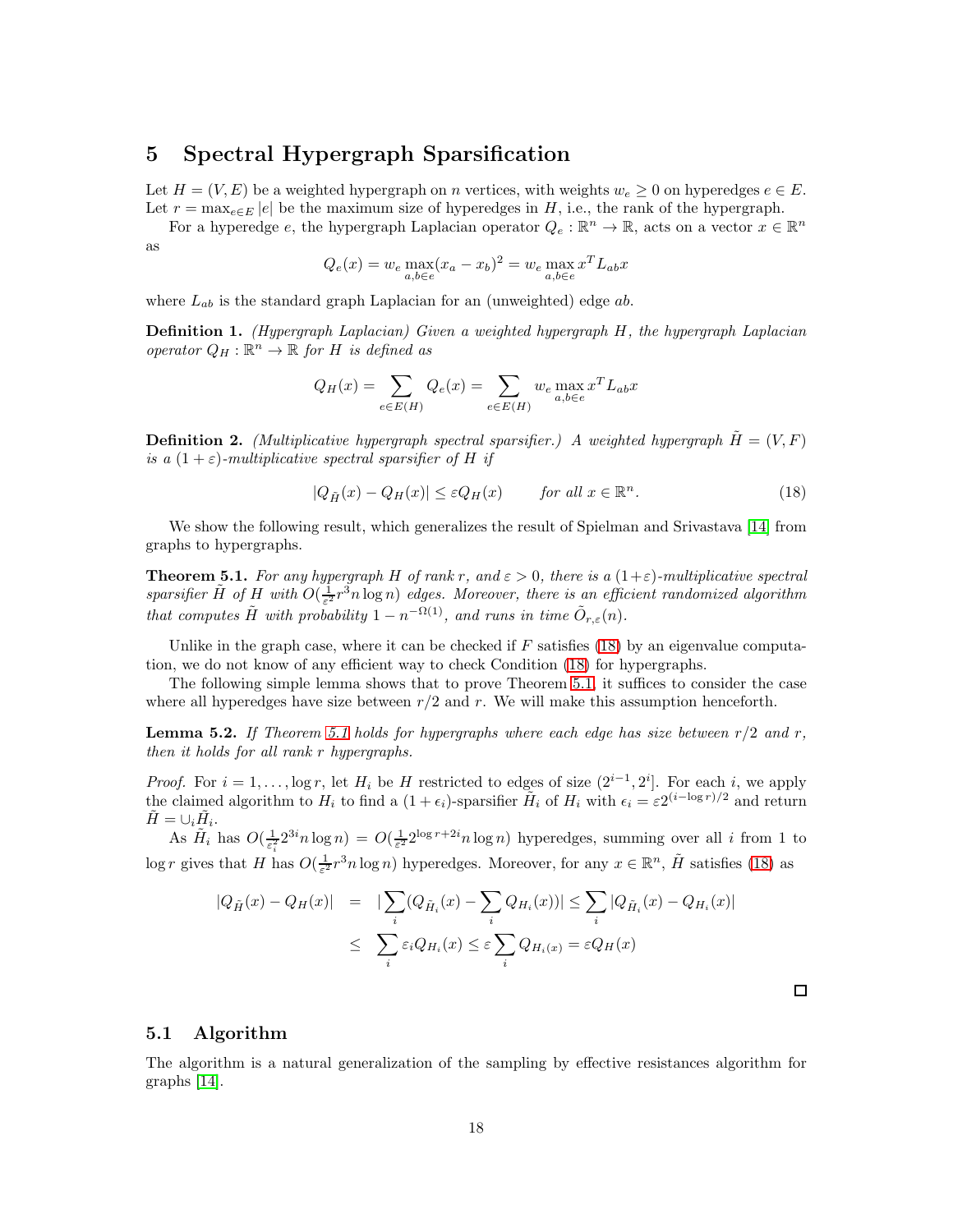# 5 Spectral Hypergraph Sparsification

Let  $H = (V, E)$  be a weighted hypergraph on n vertices, with weights  $w_e \ge 0$  on hyperedges  $e \in E$ . Let  $r = \max_{e \in E} |e|$  be the maximum size of hyperedges in H, i.e., the rank of the hypergraph.

For a hyperedge  $e$ , the hypergraph Laplacian operator  $Q_e : \mathbb{R}^n \to \mathbb{R}$ , acts on a vector  $x \in \mathbb{R}^n$ as

$$
Q_e(x) = w_e \max_{a,b \in e} (x_a - x_b)^2 = w_e \max_{a,b \in e} x^T L_{ab} x
$$

where  $L_{ab}$  is the standard graph Laplacian for an (unweighted) edge  $ab$ .

**Definition 1.** (Hypergraph Laplacian) Given a weighted hypergraph H, the hypergraph Laplacian operator  $Q_H : \mathbb{R}^n \to \mathbb{R}$  for H is defined as

$$
Q_H(x) = \sum_{e \in E(H)} Q_e(x) = \sum_{e \in E(H)} w_e \max_{a,b \in e} x^T L_{ab} x
$$

**Definition 2.** (Multiplicative hypergraph spectral sparsifier.) A weighted hypergraph  $\tilde{H} = (V, F)$ is a  $(1+\varepsilon)$ -multiplicative spectral sparsifier of H if

<span id="page-17-0"></span>
$$
|Q_{\tilde{H}}(x) - Q_H(x)| \le \varepsilon Q_H(x) \qquad \text{for all } x \in \mathbb{R}^n. \tag{18}
$$

We show the following result, which generalizes the result of Spielman and Srivastava [\[14\]](#page-30-4) from graphs to hypergraphs.

<span id="page-17-1"></span>**Theorem 5.1.** For any hypergraph H of rank r, and  $\varepsilon > 0$ , there is a  $(1+\varepsilon)$ -multiplicative spectral sparsifier  $\tilde{H}$  of H with  $O(\frac{1}{\varepsilon^2}r^3n\log n)$  edges. Moreover, there is an efficient randomized algorithm  $\sum_{k=1}^{\infty}$  (h)  $\sum_{k=1}^{\infty}$  is the U<sub>(ε</sub><sup>21</sup> n log n) clayes. Introduct, there is an e<sub>ffec</sub> (n).

Unlike in the graph case, where it can be checked if  $F$  satisfies [\(18\)](#page-17-0) by an eigenvalue computation, we do not know of any efficient way to check Condition [\(18\)](#page-17-0) for hypergraphs.

The following simple lemma shows that to prove Theorem [5.1,](#page-17-1) it suffices to consider the case where all hyperedges have size between  $r/2$  and r. We will make this assumption henceforth.

<span id="page-17-2"></span>**Lemma 5.2.** If Theorem [5.1](#page-17-1) holds for hypergraphs where each edge has size between  $r/2$  and r, then it holds for all rank r hypergraphs.

*Proof.* For  $i = 1, ..., \log r$ , let  $H_i$  be H restricted to edges of size  $(2^{i-1}, 2^i]$ . For each i, we apply the claimed algorithm to  $H_i$  to find a  $(1+\epsilon_i)$ -sparsifier  $\tilde{H}_i$  of  $H_i$  with  $\epsilon_i = \varepsilon 2^{(i-\log r)/2}$  and return  $\tilde{H} = \cup_i \tilde{H}_i.$ 

As  $\tilde{H}_i$  has  $O(\frac{1}{\varepsilon^2} 2^{3i} n \log n) = O(\frac{1}{\varepsilon^2} 2^{\log r + 2i} n \log n)$  hyperedges, summing over all i from 1 to  $\log r$  gives that H has  $O(\frac{1}{\varepsilon^2}r^3n\log n)$  hyperedges. Moreover, for any  $x \in \mathbb{R}^n$ ,  $\tilde{H}$  satisfies [\(18\)](#page-17-0) as

$$
|Q_{\tilde{H}}(x) - Q_H(x)| = |\sum_i (Q_{\tilde{H}_i}(x) - \sum_i Q_{H_i}(x))| \le \sum_i |Q_{\tilde{H}_i}(x) - Q_{H_i}(x)|
$$
  

$$
\le \sum_i \varepsilon_i Q_{H_i}(x) \le \varepsilon \sum_i Q_{H_i}(x) = \varepsilon Q_H(x)
$$

### 5.1 Algorithm

The algorithm is a natural generalization of the sampling by effective resistances algorithm for graphs [\[14\]](#page-30-4).

 $\Box$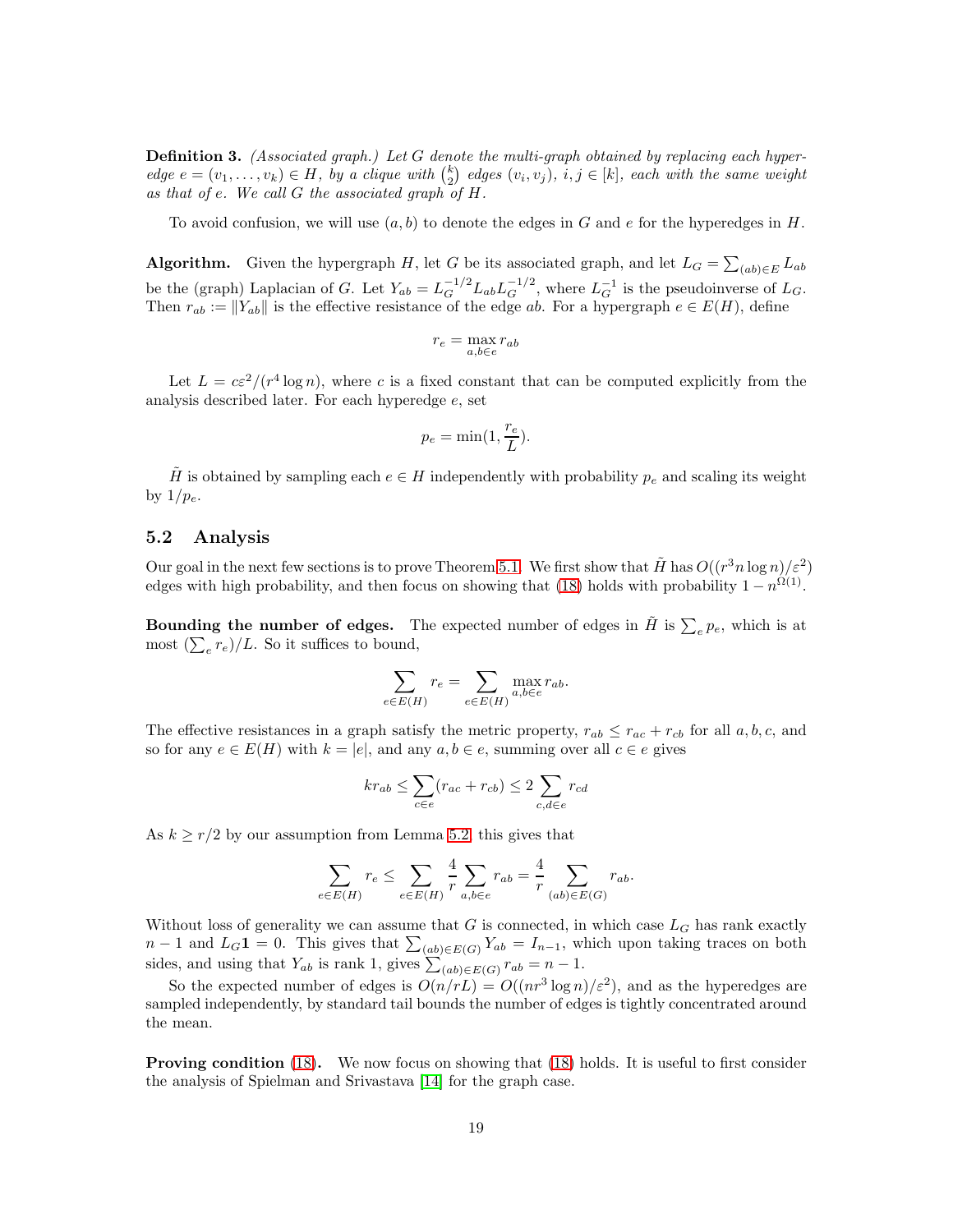**Definition 3.** (Associated graph.) Let G denote the multi-graph obtained by replacing each hyperedge  $e = (v_1, \ldots, v_k) \in H$ , by a clique with  $\binom{k}{2}$  edges  $(v_i, v_j)$ ,  $i, j \in [k]$ , each with the same weight as that of e. We call G the associated graph of H.

To avoid confusion, we will use  $(a, b)$  to denote the edges in G and e for the hyperedges in H.

**Algorithm.** Given the hypergraph H, let G be its associated graph, and let  $L_G = \sum_{(ab)\in E} L_{ab}$ be the (graph) Laplacian of G. Let  $Y_{ab} = L_G^{-1/2} L_{ab} L_G^{-1/2}$ , where  $L_G^{-1}$  is the pseudoinverse of  $L_G$ . Then  $r_{ab} := ||Y_{ab}||$  is the effective resistance of the edge ab. For a hypergraph  $e \in E(H)$ , define

$$
r_e = \max_{a,b \in e} r_{ab}
$$

Let  $L = c\epsilon^2/(r^4 \log n)$ , where c is a fixed constant that can be computed explicitly from the analysis described later. For each hyperedge e, set

$$
p_e = \min(1, \frac{r_e}{L}).
$$

 $\tilde{H}$  is obtained by sampling each  $e \in H$  independently with probability  $p_e$  and scaling its weight by  $1/p_e$ .

### 5.2 Analysis

Our goal in the next few sections is to prove Theorem [5.1.](#page-17-1) We first show that  $\tilde{H}$  has  $O((r^3 n \log n)/\varepsilon^2)$ edges with high probability, and then focus on showing that [\(18\)](#page-17-0) holds with probability  $1 - n^{\Omega(1)}$ .

**Bounding the number of edges.** The expected number of edges in  $\tilde{H}$  is  $\sum_{e} p_e$ , which is at most  $(\sum_{e} r_e)/L$ . So it suffices to bound,

$$
\sum_{e \in E(H)} r_e = \sum_{e \in E(H)} \max_{a,b \in e} r_{ab}.
$$

The effective resistances in a graph satisfy the metric property,  $r_{ab} \leq r_{ac} + r_{cb}$  for all  $a, b, c$ , and so for any  $e \in E(H)$  with  $k = |e|$ , and any  $a, b \in e$ , summing over all  $c \in e$  gives

$$
kr_{ab} \le \sum_{c \in e} (r_{ac} + r_{cb}) \le 2 \sum_{c,d \in e} r_{cd}
$$

As  $k \geq r/2$  by our assumption from Lemma [5.2,](#page-17-2) this gives that

$$
\sum_{e \in E(H)} r_e \le \sum_{e \in E(H)} \frac{4}{r} \sum_{a,b \in e} r_{ab} = \frac{4}{r} \sum_{(ab) \in E(G)} r_{ab}.
$$

Without loss of generality we can assume that  $G$  is connected, in which case  $L_G$  has rank exactly  $n-1$  and  $L_G1 = 0$ . This gives that  $\sum_{(ab)\in E(G)} Y_{ab} = I_{n-1}$ , which upon taking traces on both sides, and using that  $Y_{ab}$  is rank 1, gives  $\sum_{(ab)\in E(G)} r_{ab} = n - 1$ .

So the expected number of edges is  $O(n/rL) = O((nr^3 \log n)/\varepsilon^2)$ , and as the hyperedges are sampled independently, by standard tail bounds the number of edges is tightly concentrated around the mean.

**Proving condition** [\(18\)](#page-17-0). We now focus on showing that [\(18\)](#page-17-0) holds. It is useful to first consider the analysis of Spielman and Srivastava [\[14\]](#page-30-4) for the graph case.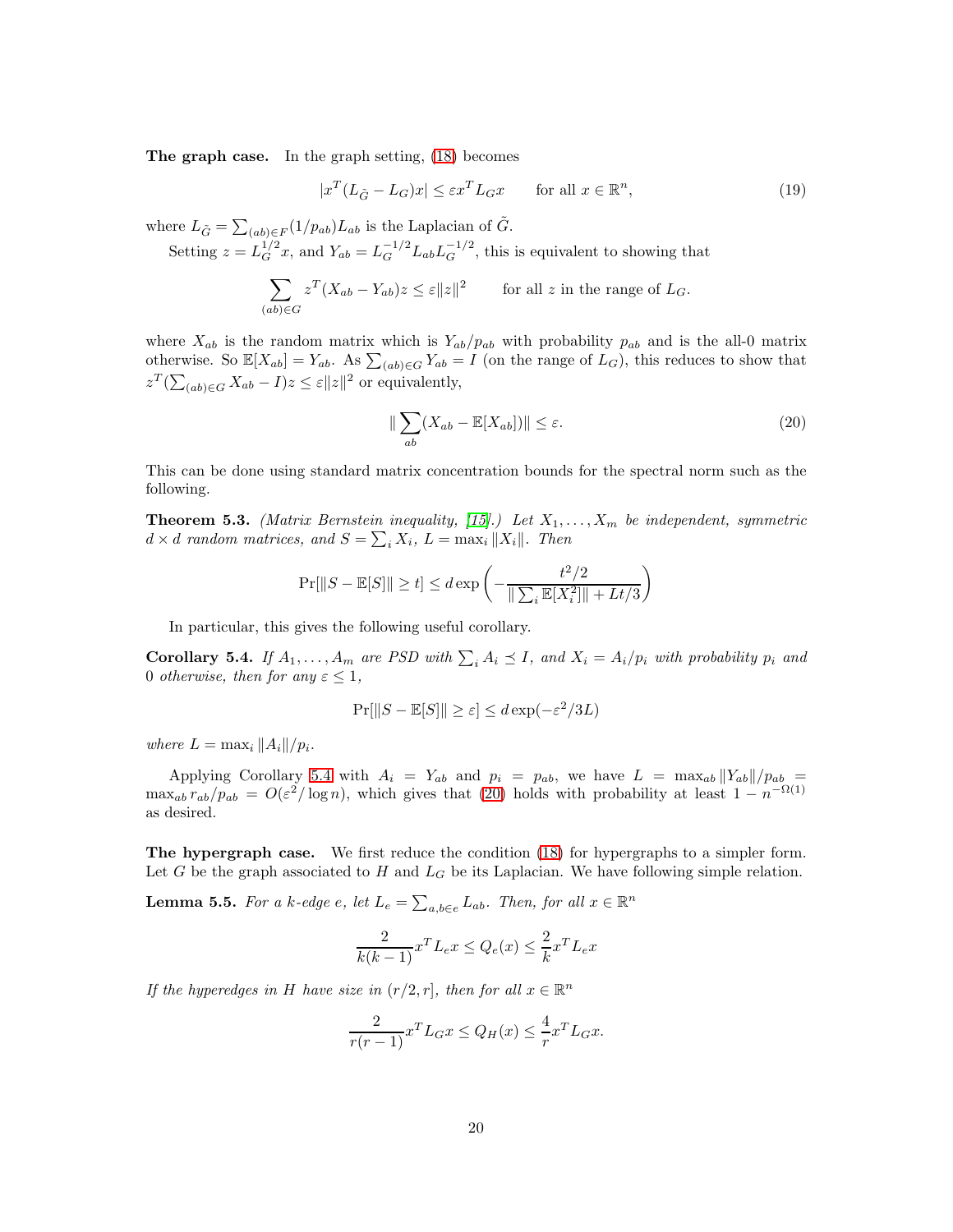The graph case. In the graph setting,  $(18)$  becomes

$$
|x^T (L_{\tilde{G}} - L_G)x| \le \varepsilon x^T L_G x \qquad \text{for all } x \in \mathbb{R}^n,
$$
 (19)

where  $L_{\tilde{G}} = \sum_{(ab)\in F} (1/p_{ab})L_{ab}$  is the Laplacian of  $\tilde{G}$ .

Setting  $z = L_G^{1/2} x$ , and  $Y_{ab} = L_G^{-1/2} L_{ab} L_G^{-1/2}$ , this is equivalent to showing that

$$
\sum_{(ab)\in G} z^T (X_{ab} - Y_{ab}) z \le \varepsilon ||z||^2 \qquad \text{for all } z \text{ in the range of } L_G.
$$

where  $X_{ab}$  is the random matrix which is  $Y_{ab}/p_{ab}$  with probability  $p_{ab}$  and is the all-0 matrix otherwise. So  $\mathbb{E}[X_{ab}] = Y_{ab}$ . As  $\sum_{(ab)\in G} Y_{ab} = I$  (on the range of  $L_G$ ), this reduces to show that  $z^T(\sum_{(ab)\in G} X_{ab} - I)z \leq \varepsilon ||z||^2$  or equivalently,

<span id="page-19-1"></span>
$$
\|\sum_{ab}(X_{ab} - \mathbb{E}[X_{ab}])\| \le \varepsilon.
$$
\n(20)

This can be done using standard matrix concentration bounds for the spectral norm such as the following.

**Theorem 5.3.** (Matrix Bernstein inequality, [\[15\]](#page-30-5).) Let  $X_1, \ldots, X_m$  be independent, symmetric  $d \times d$  random matrices, and  $S = \sum_i X_i$ ,  $L = \max_i ||X_i||$ . Then

$$
\Pr[||S - \mathbb{E}[S]|| \ge t] \le d \exp\left(-\frac{t^2/2}{\|\sum_i \mathbb{E}[X_i^2]\| + Lt/3}\right)
$$

In particular, this gives the following useful corollary.

<span id="page-19-0"></span>**Corollary 5.4.** If  $A_1, \ldots, A_m$  are PSD with  $\sum_i A_i \preceq I$ , and  $X_i = A_i/p_i$  with probability  $p_i$  and 0 otherwise, then for any  $\varepsilon \leq 1$ ,

$$
\Pr[\|S - \mathbb{E}[S]\| \ge \varepsilon] \le d \exp(-\varepsilon^2 / 3L)
$$

where  $L = \max_i ||A_i||/p_i$ .

Applying Corollary [5.4](#page-19-0) with  $A_i = Y_{ab}$  and  $p_i = p_{ab}$ , we have  $L = \max_{ab} ||Y_{ab}|| / p_{ab}$  $\max_{ab} r_{ab}/p_{ab} = O(\varepsilon^2/\log n)$ , which gives that [\(20\)](#page-19-1) holds with probability at least  $1 - n^{-\Omega(1)}$ as desired.

The hypergraph case. We first reduce the condition  $(18)$  for hypergraphs to a simpler form. Let G be the graph associated to H and  $L_G$  be its Laplacian. We have following simple relation.

<span id="page-19-2"></span>**Lemma 5.5.** For a k-edge e, let  $L_e = \sum_{a,b \in e} L_{ab}$ . Then, for all  $x \in \mathbb{R}^n$ 

$$
\frac{2}{k(k-1)}x^{T}L_{e}x \le Q_{e}(x) \le \frac{2}{k}x^{T}L_{e}x
$$

If the hyperedges in H have size in  $(r/2, r]$ , then for all  $x \in \mathbb{R}^n$ 

$$
\frac{2}{r(r-1)}x^T L_G x \le Q_H(x) \le \frac{4}{r} x^T L_G x.
$$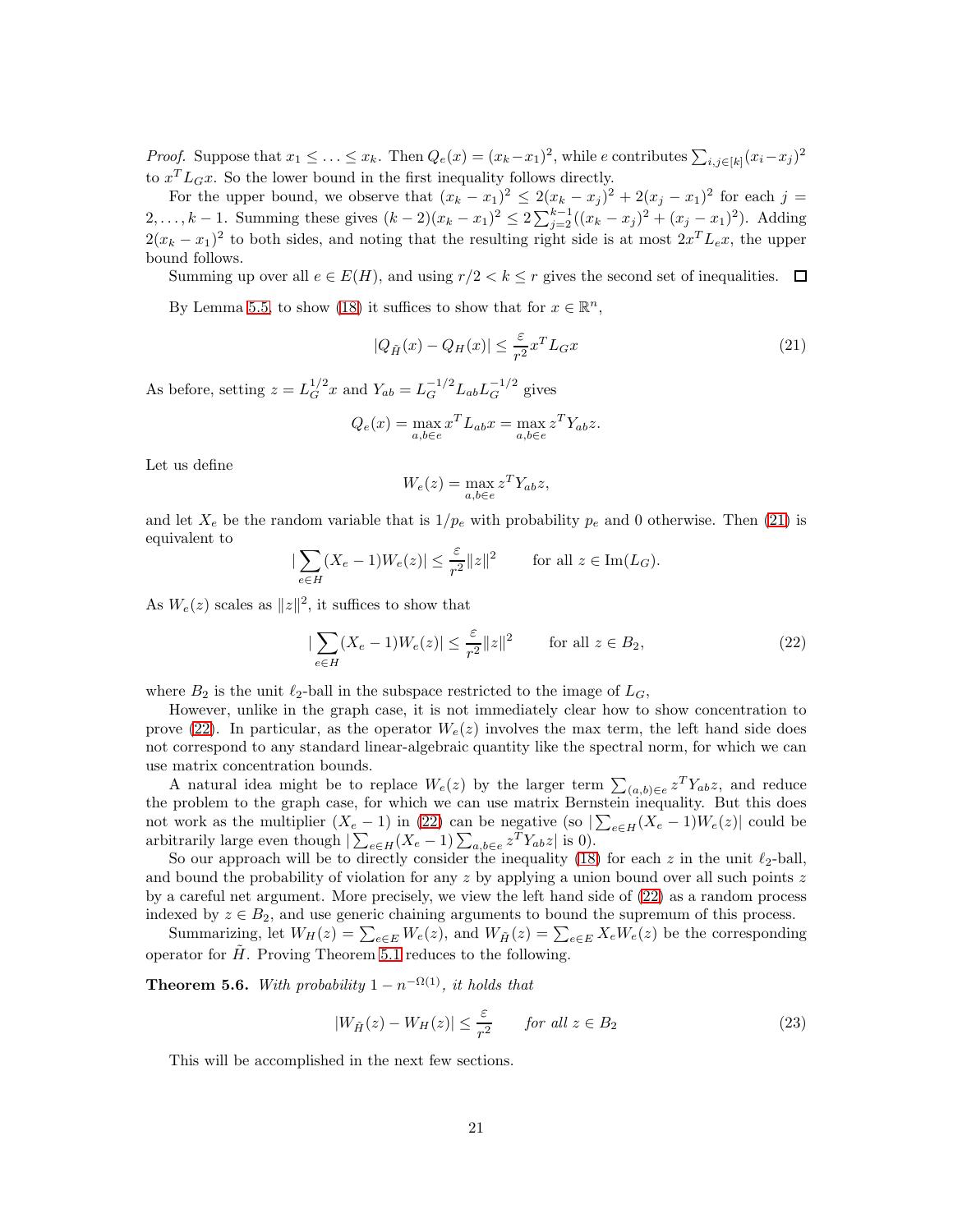*Proof.* Suppose that  $x_1 \leq \ldots \leq x_k$ . Then  $Q_e(x) = (x_k - x_1)^2$ , while e contributes  $\sum_{i,j \in [k]} (x_i - x_j)^2$ to  $x^T L_G x$ . So the lower bound in the first inequality follows directly.

For the upper bound, we observe that  $(x_k - x_1)^2 \leq 2(x_k - x_j)^2 + 2(x_j - x_1)^2$  for each  $j =$ 2,..., k – 1. Summing these gives  $(k-2)(x_k - x_1)^2 \leq 2\sum_{j=2}^{k-1}((x_k - x_j)^2 + (x_j - x_1)^2)$ . Adding  $2(x_k - x_1)^2$  to both sides, and noting that the resulting right side is at most  $2x^T L_e x$ , the upper bound follows.

Summing up over all  $e \in E(H)$ , and using  $r/2 < k < r$  gives the second set of inequalities.  $\Box$ 

By Lemma [5.5,](#page-19-2) to show [\(18\)](#page-17-0) it suffices to show that for  $x \in \mathbb{R}^n$ ,

<span id="page-20-0"></span>
$$
|Q_{\tilde{H}}(x) - Q_H(x)| \le \frac{\varepsilon}{r^2} x^T L_G x \tag{21}
$$

As before, setting  $z = L_G^{1/2} x$  and  $Y_{ab} = L_G^{-1/2} L_{ab} L_G^{-1/2}$  gives

$$
Q_e(x) = \max_{a,b \in e} x^T L_{ab} x = \max_{a,b \in e} z^T Y_{ab} z.
$$

Let us define

$$
W_e(z) = \max_{a,b \in e} z^T Y_{ab} z,
$$

and let  $X_e$  be the random variable that is  $1/p_e$  with probability  $p_e$  and 0 otherwise. Then [\(21\)](#page-20-0) is equivalent to

$$
|\sum_{e \in H} (X_e - 1)W_e(z)| \le \frac{\varepsilon}{r^2} ||z||^2 \quad \text{for all } z \in \text{Im}(L_G).
$$

As  $W_e(z)$  scales as  $||z||^2$ , it suffices to show that

<span id="page-20-1"></span>
$$
|\sum_{e \in H} (X_e - 1)W_e(z)| \le \frac{\varepsilon}{r^2} ||z||^2 \qquad \text{for all } z \in B_2,
$$
\n
$$
(22)
$$

where  $B_2$  is the unit  $\ell_2$ -ball in the subspace restricted to the image of  $L_G$ ,

However, unlike in the graph case, it is not immediately clear how to show concentration to prove [\(22\)](#page-20-1). In particular, as the operator  $W_e(z)$  involves the max term, the left hand side does not correspond to any standard linear-algebraic quantity like the spectral norm, for which we can use matrix concentration bounds.

A natural idea might be to replace  $W_e(z)$  by the larger term  $\sum_{(a,b)\in e} z^T Y_{ab} z$ , and reduce the problem to the graph case, for which we can use matrix Bernstein inequality. But this does not work as the multiplier  $(X_e - 1)$  in [\(22\)](#page-20-1) can be negative (so  $\sum_{e \in H} (X_e - 1)W_e(z)$  could be arbitrarily large even though  $\sum_{e \in H} (X_e - 1) \sum_{a,b \in e} z^T Y_{ab} z$  is 0).

So our approach will be to directly consider the inequality [\(18\)](#page-17-0) for each z in the unit  $\ell_2$ -ball, and bound the probability of violation for any  $z$  by applying a union bound over all such points  $z$ by a careful net argument. More precisely, we view the left hand side of [\(22\)](#page-20-1) as a random process indexed by  $z \in B_2$ , and use generic chaining arguments to bound the supremum of this process.

Summarizing, let  $W_H(z) = \sum_{e \in E} W_e(z)$ , and  $W_{\tilde{H}}(z) = \sum_{e \in E} X_e W_e(z)$  be the corresponding operator for  $\tilde{H}$ . Proving Theorem [5.1](#page-17-1) reduces to the following.

<span id="page-20-2"></span>**Theorem 5.6.** With probability  $1 - n^{-\Omega(1)}$ , it holds that

$$
|W_{\tilde{H}}(z) - W_H(z)| \le \frac{\varepsilon}{r^2} \qquad \text{for all } z \in B_2 \tag{23}
$$

This will be accomplished in the next few sections.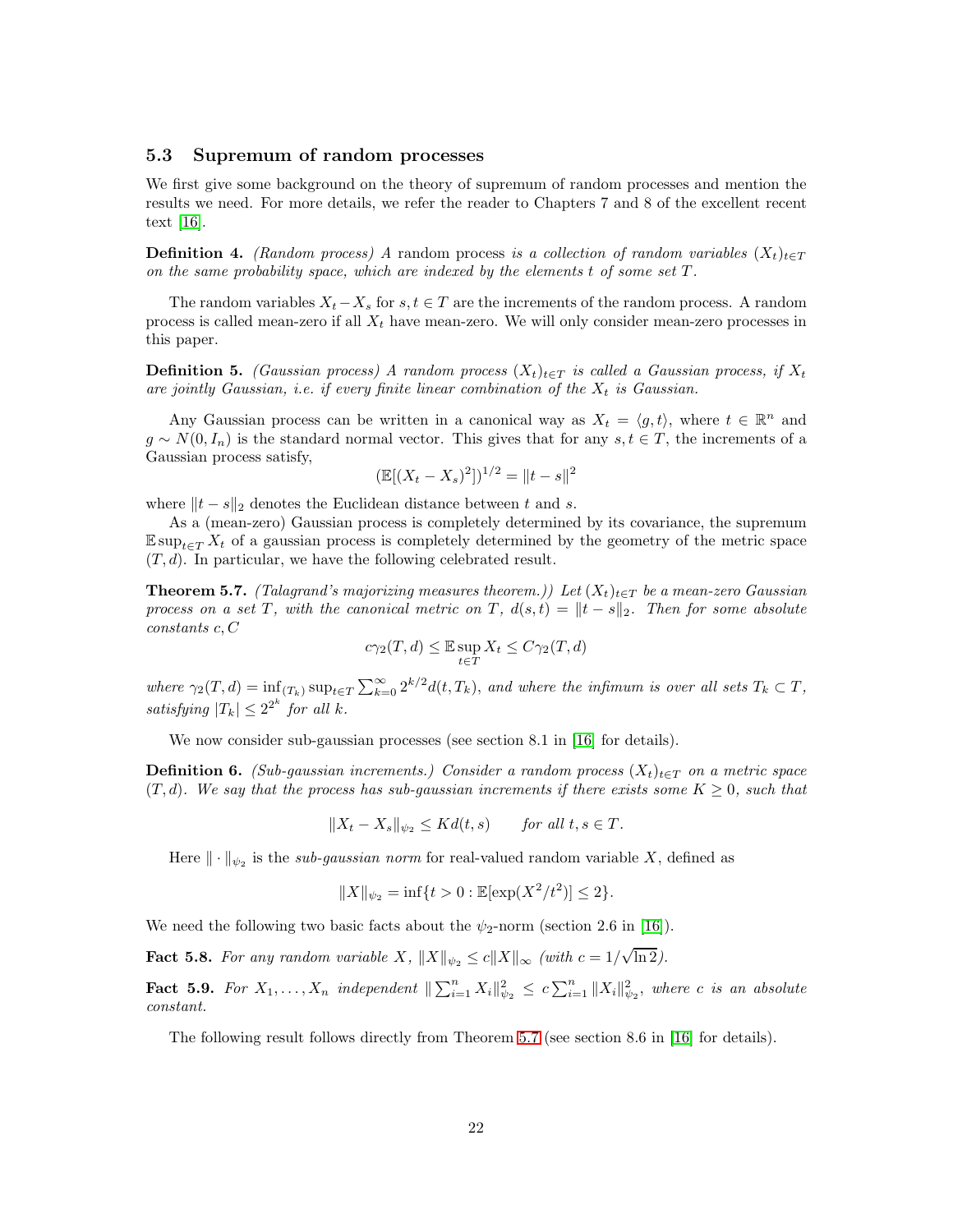### 5.3 Supremum of random processes

We first give some background on the theory of supremum of random processes and mention the results we need. For more details, we refer the reader to Chapters 7 and 8 of the excellent recent text [\[16\]](#page-30-6).

**Definition 4.** (Random process) A random process is a collection of random variables  $(X_t)_{t\in\mathcal{T}}$ on the same probability space, which are indexed by the elements  $t$  of some set  $T$ .

The random variables  $X_t-X_s$  for  $s, t \in T$  are the increments of the random process. A random process is called mean-zero if all  $X_t$  have mean-zero. We will only consider mean-zero processes in this paper.

**Definition 5.** (Gaussian process) A random process  $(X_t)_{t\in T}$  is called a Gaussian process, if  $X_t$ are jointly Gaussian, i.e. if every finite linear combination of the  $X_t$  is Gaussian.

Any Gaussian process can be written in a canonical way as  $X_t = \langle g, t \rangle$ , where  $t \in \mathbb{R}^n$  and  $g \sim N(0, I_n)$  is the standard normal vector. This gives that for any  $s, t \in T$ , the increments of a Gaussian process satisfy,

$$
(\mathbb{E}[(X_t - X_s)^2])^{1/2} = ||t - s||^2
$$

where  $||t - s||_2$  denotes the Euclidean distance between t and s.

As a (mean-zero) Gaussian process is completely determined by its covariance, the supremum  $\mathbb{E} \sup_{t \in T} X_t$  of a gaussian process is completely determined by the geometry of the metric space  $(T, d)$ . In particular, we have the following celebrated result.

<span id="page-21-0"></span>**Theorem 5.7.** (Talagrand's majorizing measures theorem.)) Let  $(X_t)_{t\in T}$  be a mean-zero Gaussian process on a set T, with the canonical metric on T,  $d(s,t) = ||t - s||_2$ . Then for some absolute constants c, C

$$
c\gamma_2(T, d) \leq \mathbb{E} \sup_{t \in T} X_t \leq C\gamma_2(T, d)
$$

where  $\gamma_2(T, d) = \inf_{(T_k)} \sup_{t \in T} \sum_{k=0}^{\infty} 2^{k/2} d(t, T_k)$ , and where the infimum is over all sets  $T_k \subset T$ , satisfying  $|T_k| \leq 2^{2^k}$  for all k.

We now consider sub-gaussian processes (see section 8.1 in [\[16\]](#page-30-6) for details).

**Definition 6.** (Sub-gaussian increments.) Consider a random process  $(X_t)_{t\in T}$  on a metric space  $(T, d)$ . We say that the process has sub-gaussian increments if there exists some  $K \geq 0$ , such that

$$
||X_t - X_s||_{\psi_2} \le Kd(t, s) \quad \text{for all } t, s \in T.
$$

Here  $\|\cdot\|_{\psi_2}$  is the *sub-gaussian norm* for real-valued random variable X, defined as

$$
||X||_{\psi_2} = \inf\{t > 0 : \mathbb{E}[\exp(X^2/t^2)] \le 2\}.
$$

We need the following two basic facts about the  $\psi_2$ -norm (section 2.6 in [\[16\]](#page-30-6)).

<span id="page-21-1"></span>**Fact 5.8.** For any random variable X,  $||X||_{\psi_2} \le c||X||_{\infty}$  (with  $c = 1/\sqrt{\ln 2}$ ).

<span id="page-21-2"></span>**Fact 5.9.** For  $X_1, \ldots, X_n$  independent  $\|\sum_{i=1}^n X_i\|_{\psi_2}^2 \le c \sum_{i=1}^n \|X_i\|_{\psi_2}^2$ , where c is an absolute constant.

The following result follows directly from Theorem [5.7](#page-21-0) (see section 8.6 in [\[16\]](#page-30-6) for details).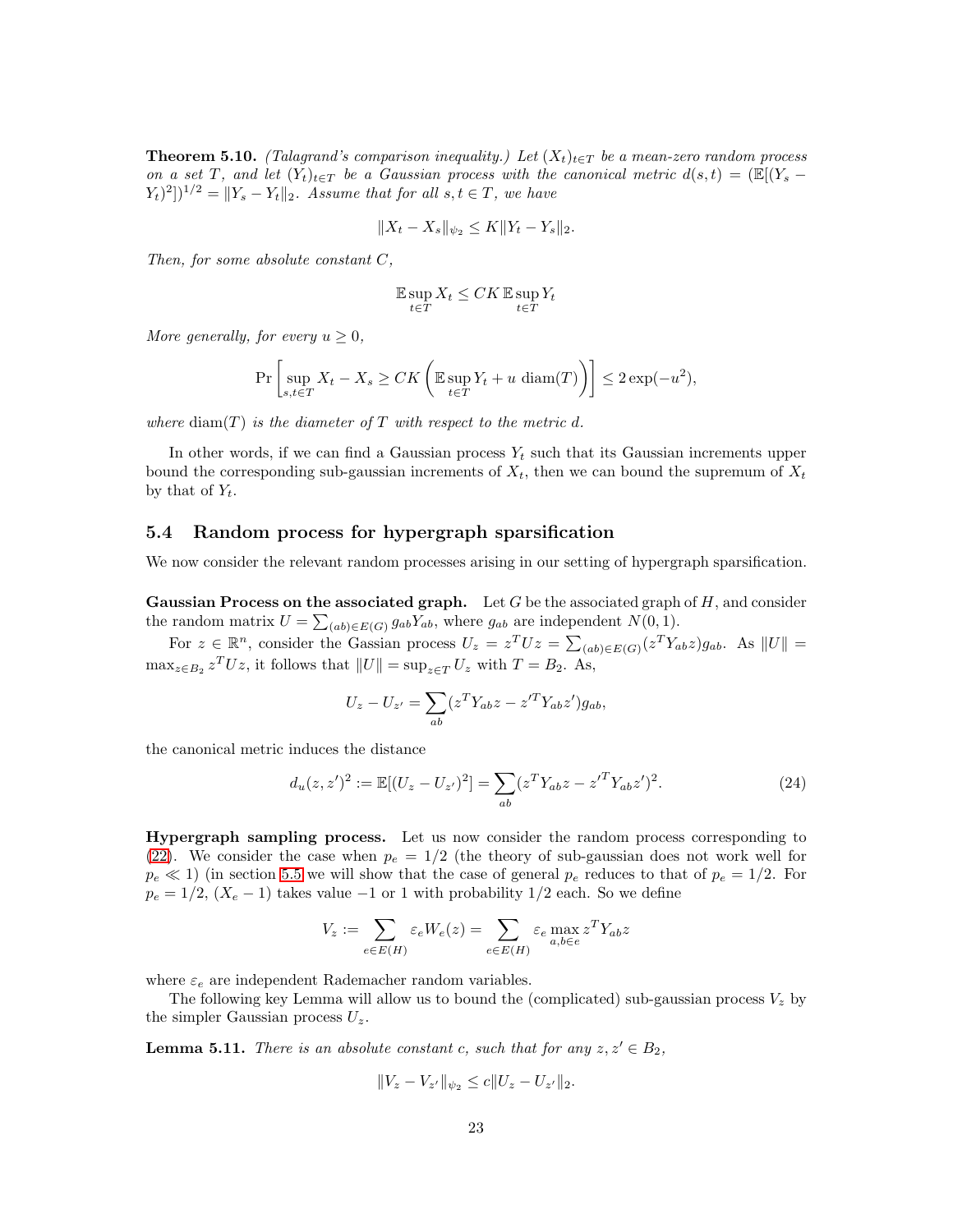<span id="page-22-2"></span>**Theorem 5.10.** (Talagrand's comparison inequality.) Let  $(X_t)_{t\in T}$  be a mean-zero random process on a set T, and let  $(Y_t)_{t\in\mathcal{T}}$  be a Gaussian process with the canonical metric  $d(s,t) = (\mathbb{E}[(Y_s (Y_t)^2$  $\vert Y_t \vert^2 = \Vert Y_s - Y_t \Vert_2$ . Assume that for all  $s, t \in T$ , we have

$$
||X_t - X_s||_{\psi_2} \le K||Y_t - Y_s||_2.
$$

Then, for some absolute constant C,

$$
\mathbb{E}\sup_{t\in T}X_t\leq CK\mathbb{E}\sup_{t\in T}Y_t
$$

More generally, for every  $u > 0$ ,

$$
\Pr\left[\sup_{s,t\in T} X_t - X_s \geq CK\left(\mathbb{E}\sup_{t\in T} Y_t + u\operatorname{diam}(T)\right)\right] \leq 2\exp(-u^2),
$$

where diam(T) is the diameter of T with respect to the metric d.

In other words, if we can find a Gaussian process  $Y_t$  such that its Gaussian increments upper bound the corresponding sub-gaussian increments of  $X_t$ , then we can bound the supremum of  $X_t$ by that of  $Y_t$ .

### 5.4 Random process for hypergraph sparsification

We now consider the relevant random processes arising in our setting of hypergraph sparsification.

**Gaussian Process on the associated graph.** Let G be the associated graph of  $H$ , and consider the random matrix  $U = \sum_{(ab) \in E(G)} g_{ab} Y_{ab}$ , where  $g_{ab}$  are independent  $N(0, 1)$ .

For  $z \in \mathbb{R}^n$ , consider the Gassian process  $U_z = z^T U z = \sum_{(ab)\in E(G)} (z^T Y_{ab} z) g_{ab}$ . As  $||U|| =$  $\max_{z \in B_2} z^T U z$ , it follows that  $||U|| = \sup_{z \in T} U_z$  with  $T = B_2$ . As,

$$
U_z - U_{z'} = \sum_{ab} (z^T Y_{ab} z - z'^T Y_{ab} z') g_{ab},
$$

the canonical metric induces the distance

<span id="page-22-1"></span>
$$
d_u(z, z')^2 := \mathbb{E}[(U_z - U_{z'})^2] = \sum_{ab} (z^T Y_{ab} z - z'^T Y_{ab} z')^2.
$$
 (24)

Hypergraph sampling process. Let us now consider the random process corresponding to [\(22\)](#page-20-1). We consider the case when  $p_e = 1/2$  (the theory of sub-gaussian does not work well for  $p_e \ll 1$ ) (in section [5.5](#page-25-0) we will show that the case of general  $p_e$  reduces to that of  $p_e = 1/2$ . For  $p_e = 1/2$ ,  $(X_e - 1)$  takes value -1 or 1 with probability 1/2 each. So we define

$$
V_z := \sum_{e \in E(H)} \varepsilon_e W_e(z) = \sum_{e \in E(H)} \varepsilon_e \max_{a,b \in e} z^T Y_{ab} z
$$

where  $\varepsilon_e$  are independent Rademacher random variables.

The following key Lemma will allow us to bound the (complicated) sub-gaussian process  $V_z$  by the simpler Gaussian process  $U_z$ .

<span id="page-22-0"></span>**Lemma 5.11.** There is an absolute constant c, such that for any  $z, z' \in B_2$ ,

$$
||V_z - V_{z'}||_{\psi_2} \le c||U_z - U_{z'}||_2.
$$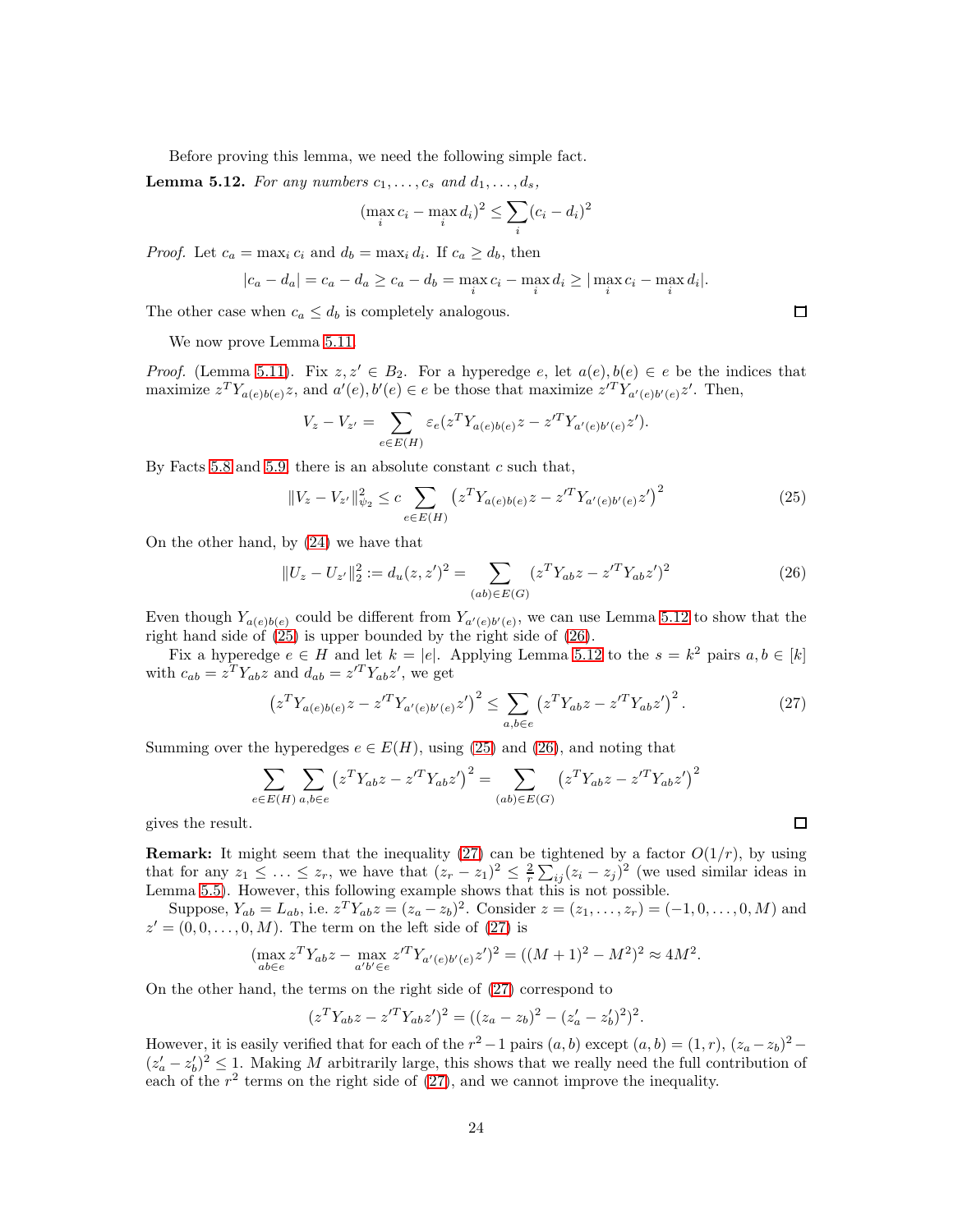Before proving this lemma, we need the following simple fact.

<span id="page-23-0"></span>**Lemma 5.12.** For any numbers  $c_1, \ldots, c_s$  and  $d_1, \ldots, d_s$ ,

$$
(\max_i c_i - \max_i d_i)^2 \le \sum_i (c_i - d_i)^2
$$

*Proof.* Let  $c_a = \max_i c_i$  and  $d_b = \max_i d_i$ . If  $c_a \geq d_b$ , then

$$
|c_a - d_a| = c_a - d_a \ge c_a - d_b = \max_i c_i - \max_i d_i \ge |\max_i c_i - \max_i d_i|.
$$

The other case when  $c_a \leq d_b$  is completely analogous.

We now prove Lemma [5.11.](#page-22-0)

*Proof.* (Lemma [5.11\)](#page-22-0). Fix  $z, z' \in B_2$ . For a hyperedge e, let  $a(e), b(e) \in e$  be the indices that maximize  $z^T Y_{a(e)b(e)} z$ , and  $a'(e), b'(e) \in e$  be those that maximize  $z'^T Y_{a'(e)b'(e)} z'$ . Then,

$$
V_z - V_{z'} = \sum_{e \in E(H)} \varepsilon_e (z^T Y_{a(e)b(e)} z - z'^T Y_{a'(e)b'(e)} z').
$$

By Facts [5.8](#page-21-1) and [5.9,](#page-21-2) there is an absolute constant  $c$  such that,

<span id="page-23-1"></span>
$$
||V_z - V_{z'}||_{\psi_2}^2 \le c \sum_{e \in E(H)} \left( z^T Y_{a(e)b(e)} z - z'^T Y_{a'(e)b'(e)} z' \right)^2
$$
\n(25)

On the other hand, by [\(24\)](#page-22-1) we have that

<span id="page-23-2"></span>
$$
||U_z - U_{z'}||_2^2 := d_u(z, z')^2 = \sum_{(ab) \in E(G)} (z^T Y_{ab} z - z'^T Y_{ab} z')^2
$$
\n(26)

Even though  $Y_{a(e)b(e)}$  could be different from  $Y_{a'(e)b'(e)}$ , we can use Lemma [5.12](#page-23-0) to show that the right hand side of [\(25\)](#page-23-1) is upper bounded by the right side of [\(26\)](#page-23-2).

Fix a hyperedge  $e \in H$  and let  $k = |e|$ . Applying Lemma [5.12](#page-23-0) to the  $s = k^2$  pairs  $a, b \in [k]$ with  $c_{ab} = z^T Y_{ab} z$  and  $d_{ab} = z'^T Y_{ab} z'$ , we get

<span id="page-23-3"></span>
$$
\left(z^T Y_{a(e)b(e)} z - z^{\prime T} Y_{a'(e)b'(e)} z'\right)^2 \le \sum_{a,b \in e} \left(z^T Y_{ab} z - z^{\prime T} Y_{ab} z'\right)^2. \tag{27}
$$

Summing over the hyperedges  $e \in E(H)$ , using [\(25\)](#page-23-1) and [\(26\)](#page-23-2), and noting that

$$
\sum_{e \in E(H)} \sum_{a,b \in e} \left( z^T Y_{ab} z - z'^T Y_{ab} z' \right)^2 = \sum_{(ab) \in E(G)} \left( z^T Y_{ab} z - z'^T Y_{ab} z' \right)^2
$$

gives the result.

**Remark:** It might seem that the inequality [\(27\)](#page-23-3) can be tightened by a factor  $O(1/r)$ , by using that for any  $z_1 \leq \ldots \leq z_r$ , we have that  $(z_r - z_1)^2 \leq \frac{2}{r} \sum_{ij} (z_i - z_j)^2$  (we used similar ideas in Lemma [5.5\)](#page-19-2). However, this following example shows that this is not possible.

Suppose,  $Y_{ab} = L_{ab}$ , i.e.  $z^T Y_{ab} z = (z_a - z_b)^2$ . Consider  $z = (z_1, ..., z_r) = (-1, 0, ..., 0, M)$  and  $z' = (0, 0, \ldots, 0, M)$ . The term on the left side of  $(27)$  is

$$
(\max_{ab \in e} z^T Y_{ab} z - \max_{a'b' \in e} z'^T Y_{a'(e)b'(e)} z')^2 = ((M+1)^2 - M^2)^2 \approx 4M^2.
$$

On the other hand, the terms on the right side of [\(27\)](#page-23-3) correspond to

$$
(z^T Y_{ab} z - z'^T Y_{ab} z')^2 = ((z_a - z_b)^2 - (z'_a - z'_b)^2)^2.
$$

However, it is easily verified that for each of the  $r^2 - 1$  pairs  $(a, b)$  except  $(a, b) = (1, r)$ ,  $(z_a - z_b)^2 (z'_a - z'_b)^2 \leq 1$ . Making M arbitrarily large, this shows that we really need the full contribution of each of the  $r^2$  terms on the right side of  $(27)$ , and we cannot improve the inequality.

 $\square$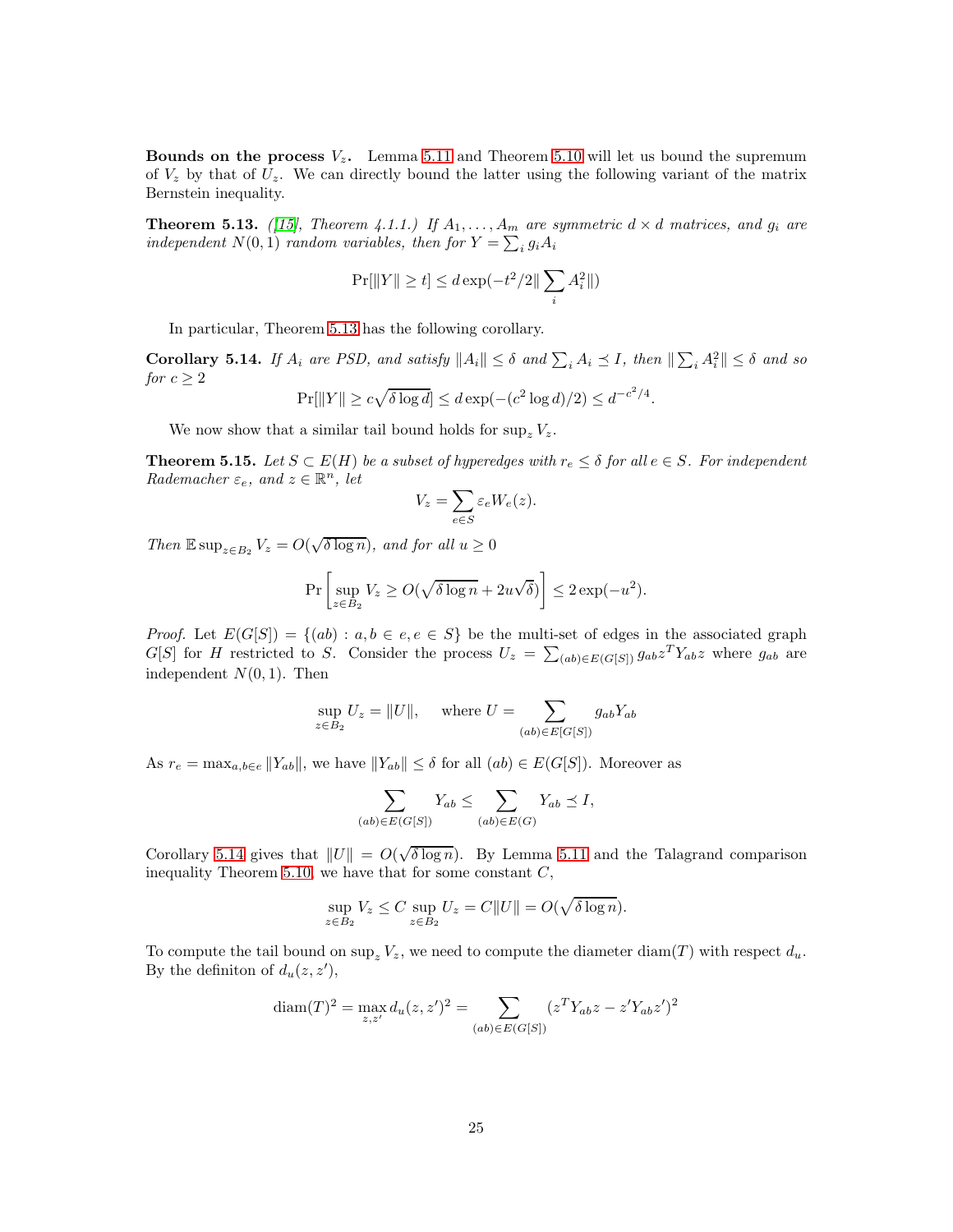**Bounds on the process**  $V_z$ . Lemma [5.11](#page-22-0) and Theorem [5.10](#page-22-2) will let us bound the supremum of  $V_z$  by that of  $U_z$ . We can directly bound the latter using the following variant of the matrix Bernstein inequality.

<span id="page-24-0"></span>**Theorem 5.13.** ([\[15\]](#page-30-5), Theorem 4.1.1.) If  $A_1, \ldots, A_m$  are symmetric  $d \times d$  matrices, and  $g_i$  are independent  $N(0,1)$  random variables, then for  $Y = \sum_i g_i A_i$ 

$$
\Pr[\|Y\|\geq t]\leq d\exp(-t^2/2\|\sum_iA_i^2\|)
$$

In particular, Theorem [5.13](#page-24-0) has the following corollary.

<span id="page-24-1"></span>**Corollary 5.14.** If  $A_i$  are PSD, and satisfy  $||A_i|| \leq \delta$  and  $\sum_i A_i \leq I$ , then  $||\sum_i A_i^2|| \leq \delta$  and so for  $c \geq 2$ 

$$
\Pr[\|Y\| \ge c\sqrt{\delta \log d}] \le d \exp(-(c^2 \log d)/2) \le d^{-c^2/4}.
$$

We now show that a similar tail bound holds for  $\sup_z V_z$ .

<span id="page-24-2"></span>**Theorem 5.15.** Let  $S \subset E(H)$  be a subset of hyperedges with  $r_e \leq \delta$  for all  $e \in S$ . For independent Rademacher  $\varepsilon_e$ , and  $z \in \mathbb{R}^n$ , let

$$
V_z = \sum_{e \in S} \varepsilon_e W_e(z).
$$

Then  $\mathbb{E} \sup_{z \in B_2} V_z = O(\sqrt{\delta \log n})$ , and for all  $u \ge 0$ 

$$
\Pr\left[\sup_{z\in B_2} V_z \ge O(\sqrt{\delta \log n} + 2u\sqrt{\delta})\right] \le 2\exp(-u^2).
$$

*Proof.* Let  $E(G[S]) = \{(ab) : a, b \in e, e \in S\}$  be the multi-set of edges in the associated graph G[S] for H restricted to S. Consider the process  $U_z = \sum_{(ab)\in E(G[S])} g_{ab}z^T Y_{ab}z$  where  $g_{ab}$  are independent  $N(0, 1)$ . Then

$$
\sup_{z \in B_2} U_z = ||U||, \quad \text{where } U = \sum_{(ab) \in E[G[S])} g_{ab} Y_{ab}
$$

As  $r_e = \max_{a,b \in e} ||Y_{ab}||$ , we have  $||Y_{ab}|| \leq \delta$  for all  $(ab) \in E(G[S])$ . Moreover as

$$
\sum_{(ab)\in E(G[S])} Y_{ab} \le \sum_{(ab)\in E(G)} Y_{ab} \preceq I,
$$

Corollary [5.14](#page-24-1) gives that  $||U|| = O(\sqrt{\delta \log n})$ . By Lemma [5.11](#page-22-0) and the Talagrand comparison inequality Theorem [5.10,](#page-22-2) we have that for some constant  $C$ ,

$$
\sup_{z \in B_2} V_z \le C \sup_{z \in B_2} U_z = C ||U|| = O(\sqrt{\delta \log n}).
$$

To compute the tail bound on sup<sub>z</sub>  $V_z$ , we need to compute the diameter diam(T) with respect  $d_u$ . By the definition of  $d_u(z, z')$ ,

$$
diam(T)^{2} = \max_{z,z'} d_{u}(z,z')^{2} = \sum_{(ab) \in E(G[S])} (z^{T}Y_{ab}z - z'Y_{ab}z')^{2}
$$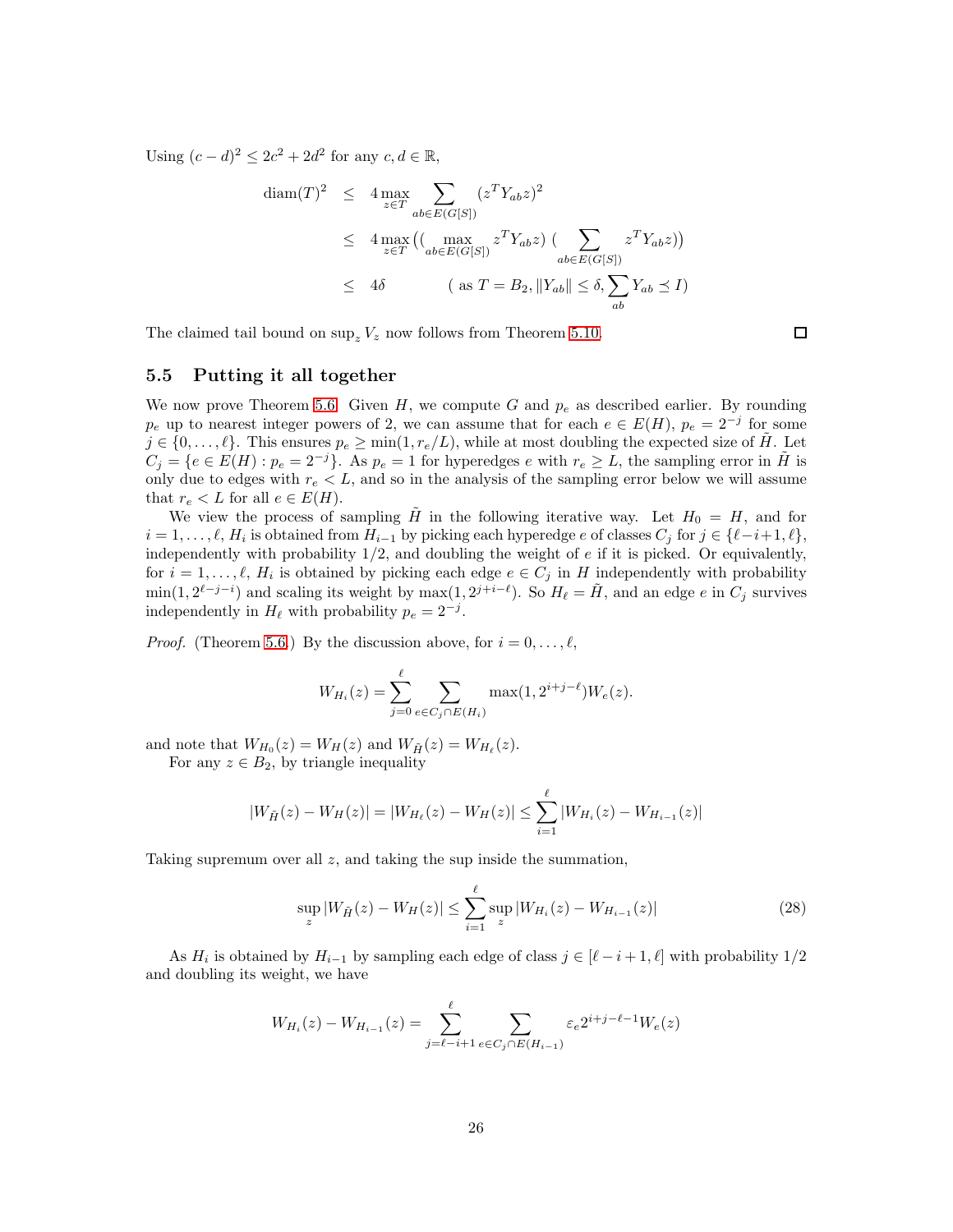Using  $(c-d)^2 \leq 2c^2 + 2d^2$  for any  $c, d \in \mathbb{R}$ ,

$$
\begin{array}{rcl}\n\text{diam}(T)^2 & \leq & 4 \max_{z \in T} \sum_{ab \in E(G[S])} (z^T Y_{ab} z)^2 \\
& \leq & 4 \max_{z \in T} \left( \max_{ab \in E(G[S])} z^T Y_{ab} z \right) \left( \sum_{ab \in E(G[S])} z^T Y_{ab} z \right) \right) \\
& \leq & 4\delta \qquad \qquad \text{(as } T = B_2, \|Y_{ab}\| \leq \delta, \sum_{ab} Y_{ab} \leq I)\n\end{array}
$$

The claimed tail bound on  $\sup_z V_z$  now follows from Theorem [5.10.](#page-22-2)

### <span id="page-25-0"></span>5.5 Putting it all together

We now prove Theorem [5.6.](#page-20-2) Given  $H$ , we compute G and  $p_e$  as described earlier. By rounding  $p_e$  up to nearest integer powers of 2, we can assume that for each  $e \in E(H)$ ,  $p_e = 2^{-j}$  for some  $j \in \{0, \ldots, \ell\}$ . This ensures  $p_e \ge \min(1, r_e/L)$ , while at most doubling the expected size of  $H$ . Let  $C_j = \{e \in E(H) : p_e = 2^{-j}\}\$ . As  $p_e = 1$  for hyperedges e with  $r_e \geq L$ , the sampling error in  $\hat{H}$  is only due to edges with  $r_e < L$ , and so in the analysis of the sampling error below we will assume that  $r_e < L$  for all  $e \in E(H)$ .

We view the process of sampling H in the following iterative way. Let  $H_0 = H$ , and for  $i = 1, \ldots, \ell, H_i$  is obtained from  $H_{i-1}$  by picking each hyperedge e of classes  $C_j$  for  $j \in {\ell-i+1, \ell},$ independently with probability  $1/2$ , and doubling the weight of  $e$  if it is picked. Or equivalently, for  $i = 1, \ldots, \ell$ ,  $H_i$  is obtained by picking each edge  $e \in C_j$  in H independently with probability  $\min(1, 2^{\ell-j-i})$  and scaling its weight by  $\max(1, 2^{j+i-\ell})$ . So  $H_{\ell} = \tilde{H}$ , and an edge e in  $C_j$  survives independently in  $H_{\ell}$  with probability  $p_e = 2^{-j}$ .

*Proof.* (Theorem [5.6.](#page-20-2)) By the discussion above, for  $i = 0, \ldots, \ell$ ,

$$
W_{H_i}(z) = \sum_{j=0}^{\ell} \sum_{e \in C_j \cap E(H_i)} \max(1, 2^{i+j-\ell}) W_e(z).
$$

and note that  $W_{H_0}(z) = W_H(z)$  and  $W_{\tilde{H}}(z) = W_{H_\ell}(z)$ . For any  $z \in B_2$ , by triangle inequality

> $|W_{\tilde{H}}(z) - W_{H}(z)| = |W_{H_{\ell}}(z) - W_{H}(z)| \le \sum$  $\ell$  $\sum_{i=1} |W_{H_i}(z) - W_{H_{i-1}}(z)|$

Taking supremum over all z, and taking the sup inside the summation,

<span id="page-25-1"></span>
$$
\sup_{z} |W_{\tilde{H}}(z) - W_{H}(z)| \le \sum_{i=1}^{\ell} \sup_{z} |W_{H_i}(z) - W_{H_{i-1}}(z)| \tag{28}
$$

As  $H_i$  is obtained by  $H_{i-1}$  by sampling each edge of class  $j \in [\ell-i+1,\ell]$  with probability  $1/2$ and doubling its weight, we have

$$
W_{H_i}(z) - W_{H_{i-1}}(z) = \sum_{j=\ell-i+1}^{\ell} \sum_{e \in C_j \cap E(H_{i-1})} \varepsilon_e 2^{i+j-\ell-1} W_e(z)
$$

 $\Box$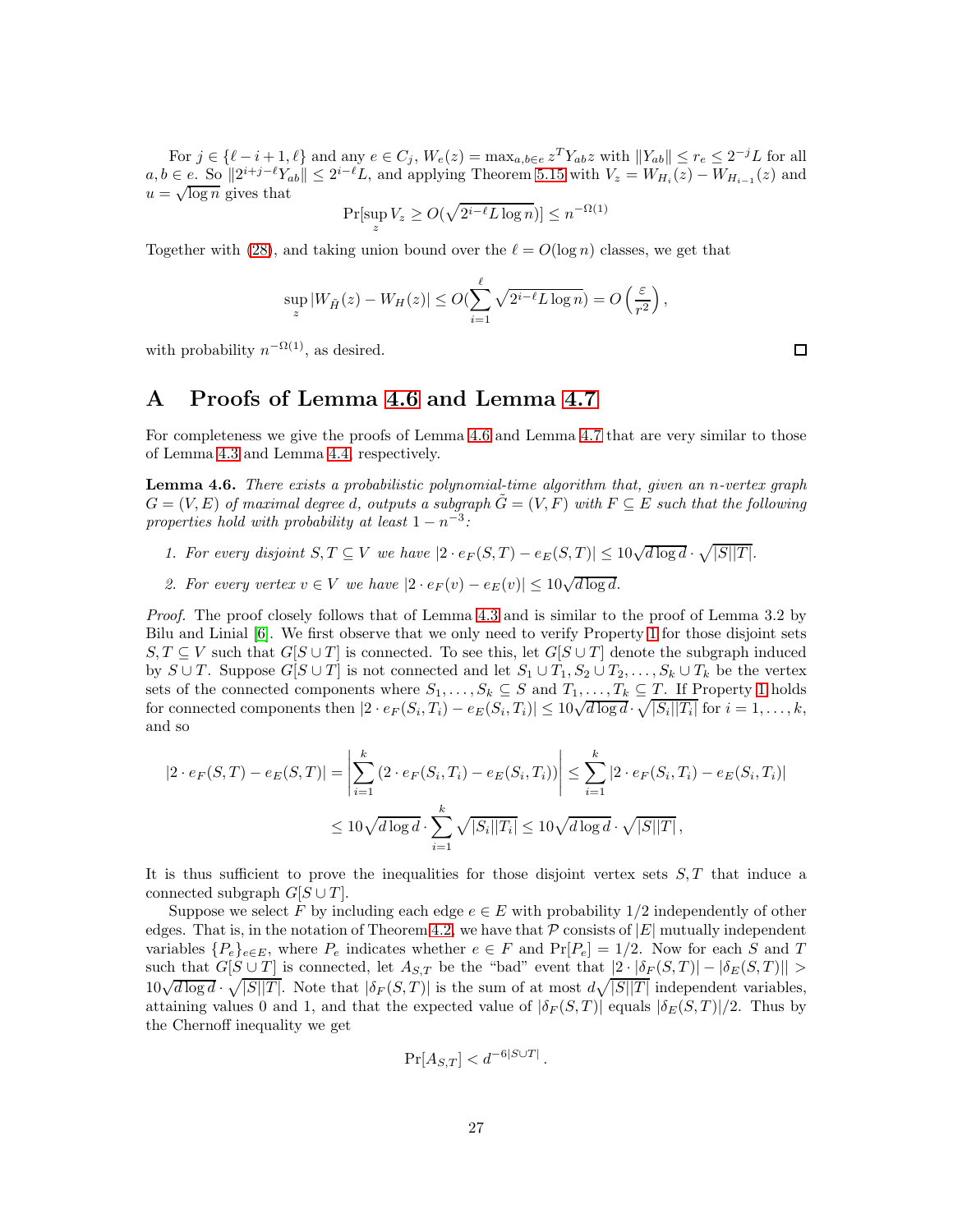For  $j \in \{\ell-i+1,\ell\}$  and any  $e \in C_j$ ,  $W_e(z) = \max_{a,b \in e} z^T Y_{ab} z$  with  $||Y_{ab}|| \leq r_e \leq 2^{-j} L$  for all  $a, b \in \mathcal{E}$ . So  $||2^{i+j-\ell}Y_{ab}|| \leq 2^{i-\ell}L$ , and applying Theorem [5.15](#page-24-2) with  $V_z = W_{H_i}(z) - W_{H_{i-1}}(z)$  and  $u = \sqrt{\log n}$  gives that

$$
\Pr[\sup_{z} V_z \ge O(\sqrt{2^{i-\ell}L\log n})] \le n^{-\Omega(1)}
$$

Together with [\(28\)](#page-25-1), and taking union bound over the  $\ell = O(\log n)$  classes, we get that

$$
\sup_{z} |W_{\tilde{H}}(z) - W_{H}(z)| \le O(\sum_{i=1}^{\ell} \sqrt{2^{i-\ell} L \log n}) = O\left(\frac{\varepsilon}{r^2}\right),
$$

<span id="page-26-0"></span>with probability  $n^{-\Omega(1)}$ , as desired.

### A Proofs of Lemma [4.6](#page-15-3) and Lemma [4.7](#page-15-2)

For completeness we give the proofs of Lemma [4.6](#page-15-3) and Lemma [4.7](#page-15-2) that are very similar to those of Lemma [4.3](#page-12-2) and Lemma [4.4,](#page-14-2) respectively.

Lemma 4.6. There exists a probabilistic polynomial-time algorithm that, given an n-vertex graph  $G = (V, E)$  of maximal degree d, outputs a subgraph  $\tilde{G} = (V, F)$  with  $F \subseteq E$  such that the following properties hold with probability at least  $1 - n^{-3}$ :

- 1. For every disjoint  $S, T \subseteq V$  we have  $|2 \cdot e_F(S,T) e_E(S,T)| \leq 10\sqrt{d \log d} \cdot \sqrt{|S||T|}$ .
- 2. For every vertex  $v \in V$  we have  $|2 \cdot e_F(v) e_E(v)| \leq 10\sqrt{d \log d}$ .

Proof. The proof closely follows that of Lemma [4.3](#page-12-2) and is similar to the proof of Lemma 3.2 by Bilu and Linial [\[6\]](#page-29-7). We first observe that we only need to verify Property [1](#page-15-6) for those disjoint sets  $S, T \subseteq V$  such that  $G[S \cup T]$  is connected. To see this, let  $G[S \cup T]$  denote the subgraph induced by  $S \cup T$ . Suppose  $G[S \cup T]$  is not connected and let  $S_1 \cup T_1, S_2 \cup T_2, \ldots, S_k \cup T_k$  be the vertex sets of the connected components where  $S_1, \ldots, S_k \subseteq S$  and  $T_1, \ldots, T_k \subseteq T$ . If Property [1](#page-15-6) holds for connected components then  $|2 \cdot e_F(S_i, T_i) - e_E(S_i, T_i)| \leq 10\sqrt{d \log d} \cdot \sqrt{|S_i||T_i|}$  for  $i = 1, ..., k$ , and so

$$
|2 \cdot e_F(S, T) - e_E(S, T)| = \left| \sum_{i=1}^k (2 \cdot e_F(S_i, T_i) - e_E(S_i, T_i)) \right| \le \sum_{i=1}^k |2 \cdot e_F(S_i, T_i) - e_E(S_i, T_i)|
$$
  

$$
\le 10 \sqrt{d \log d} \cdot \sum_{i=1}^k \sqrt{|S_i||T_i|} \le 10 \sqrt{d \log d} \cdot \sqrt{|S||T|},
$$

It is thus sufficient to prove the inequalities for those disjoint vertex sets  $S, T$  that induce a connected subgraph  $G[S \cup T]$ .

Suppose we select F by including each edge  $e \in E$  with probability 1/2 independently of other edges. That is, in the notation of Theorem [4.2,](#page-12-0) we have that  $P$  consists of  $|E|$  mutually independent variables  $\{P_e\}_{e \in E}$ , where  $P_e$  indicates whether  $e \in F$  and  $\Pr[P_e] = 1/2$ . Now for each S and T such that  $G[S \cup T]$  is connected, let  $A_{S,T}$  be the "bad" event that  $|2 \cdot |\delta_F(S,T)| - |\delta_E(S,T)| >$  $10\sqrt{d \log d} \cdot \sqrt{|S||T|}$ . Note that  $|\delta_F(S,T)|$  is the sum of at most  $d\sqrt{|S||T|}$  independent variables, attaining values 0 and 1, and that the expected value of  $|\delta_F(S,T)|$  equals  $|\delta_E(S,T)|/2$ . Thus by the Chernoff inequality we get

$$
\Pr[A_{S,T}] < d^{-6|S \cup T|}.
$$

 $\Box$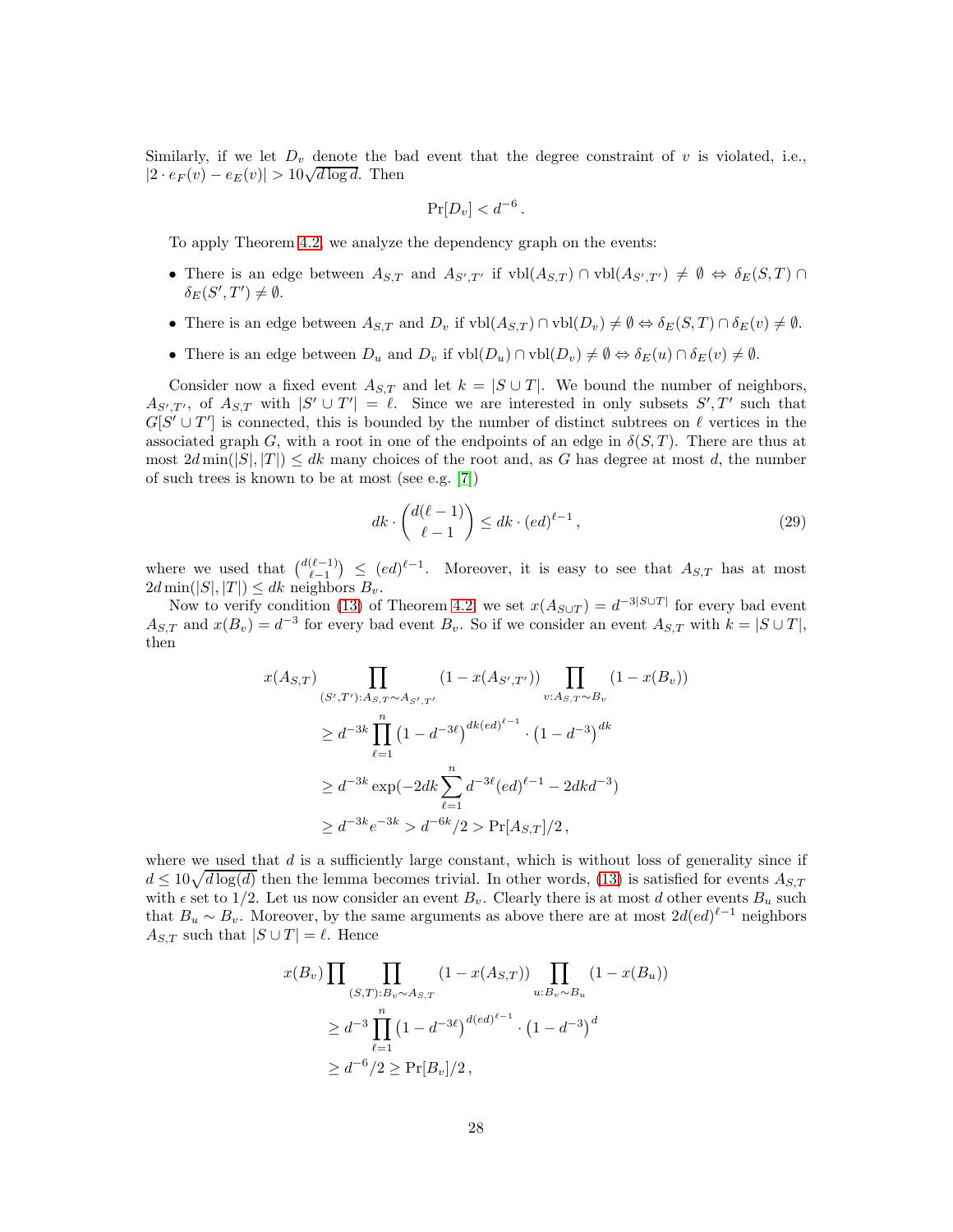Similarly, if we let  $D_v$  denote the bad event that the degree constraint of v is violated, i.e.,  $|2 \cdot e_F(v) - e_E(v)| > 10\sqrt{d \log d}$ . Then

$$
\Pr[D_v] < d^{-6} \, .
$$

To apply Theorem [4.2,](#page-12-0) we analyze the dependency graph on the events:

- There is an edge between  $A_{S,T}$  and  $A_{S',T'}$  if  $vbl(A_{S,T}) \cap vbl(A_{S',T'}) \neq \emptyset \Leftrightarrow \delta_E(S,T) \cap$  $\delta_E(S',T')\neq\emptyset.$
- There is an edge between  $A_{S,T}$  and  $D_v$  if  $\text{vbl}(A_{S,T}) \cap \text{vbl}(D_v) \neq \emptyset \Leftrightarrow \delta_E(S,T) \cap \delta_E(v) \neq \emptyset$ .
- There is an edge between  $D_u$  and  $D_v$  if  $vbl(D_u) \cap vbl(D_v) \neq \emptyset \Leftrightarrow \delta_E(u) \cap \delta_E(v) \neq \emptyset$ .

Consider now a fixed event  $A_{S,T}$  and let  $k = |S \cup T|$ . We bound the number of neighbors,  $A_{S',T'}$ , of  $A_{S,T}$  with  $|S' \cup T'| = \ell$ . Since we are interested in only subsets  $S',T'$  such that  $G[S' \cup T']$  is connected, this is bounded by the number of distinct subtrees on  $\ell$  vertices in the associated graph G, with a root in one of the endpoints of an edge in  $\delta(S,T)$ . There are thus at most  $2d \min(|S|, |T|) \leq dk$  many choices of the root and, as G has degree at most d, the number of such trees is known to be at most (see e.g. [\[7\]](#page-29-4))

<span id="page-27-0"></span>
$$
dk \cdot \binom{d(\ell-1)}{\ell-1} \le dk \cdot (ed)^{\ell-1},\tag{29}
$$

where we used that  $\binom{d(\ell-1)}{\ell-1} \leq (ed)^{\ell-1}$ . Moreover, it is easy to see that  $A_{S,T}$  has at most  $2d \min(|S|, |T|) \leq dk$  neighbors  $B_v$ .

Now to verify condition [\(13\)](#page-12-0) of Theorem [4.2,](#page-12-0) we set  $x(A_{S\cup T}) = d^{-3|S\cup T|}$  for every bad event  $A_{S,T}$  and  $x(B_v) = d^{-3}$  for every bad event  $B_v$ . So if we consider an event  $A_{S,T}$  with  $k = |S \cup T|$ , then

$$
x(A_{S,T}) \prod_{(S',T'): A_{S,T} \sim A_{S',T'}} (1 - x(A_{S',T'})) \prod_{v:A_{S,T} \sim B_v} (1 - x(B_v))
$$
  
\n
$$
\geq d^{-3k} \prod_{\ell=1}^n (1 - d^{-3\ell})^{dk(ed)^{\ell-1}} \cdot (1 - d^{-3})^{dk}
$$
  
\n
$$
\geq d^{-3k} \exp(-2dk \sum_{\ell=1}^n d^{-3\ell} (ed)^{\ell-1} - 2dkd^{-3})
$$
  
\n
$$
\geq d^{-3k} e^{-3k} > d^{-6k}/2 > \Pr[A_{S,T}]/2,
$$

where we used that  $d$  is a sufficiently large constant, which is without loss of generality since if  $d \leq 10\sqrt{d\log(d)}$  then the lemma becomes trivial. In other words, [\(13\)](#page-12-0) is satisfied for events  $A_{S,T}$ with  $\epsilon$  set to 1/2. Let us now consider an event  $B_v$ . Clearly there is at most d other events  $B_u$  such that  $B_u \sim B_v$ . Moreover, by the same arguments as above there are at most  $2d(ed)^{\ell-1}$  neighbors  $A_{S,T}$  such that  $|S \cup T| = \ell$ . Hence

$$
x(B_v) \prod_{(S,T):B_v \sim A_{S,T}} (1 - x(A_{S,T})) \prod_{u:B_v \sim B_u} (1 - x(B_u))
$$
  
\n
$$
\geq d^{-3} \prod_{\ell=1}^n (1 - d^{-3\ell})^{d(ed)^{\ell-1}} \cdot (1 - d^{-3})^d
$$
  
\n
$$
\geq d^{-6}/2 \geq \Pr[B_v]/2,
$$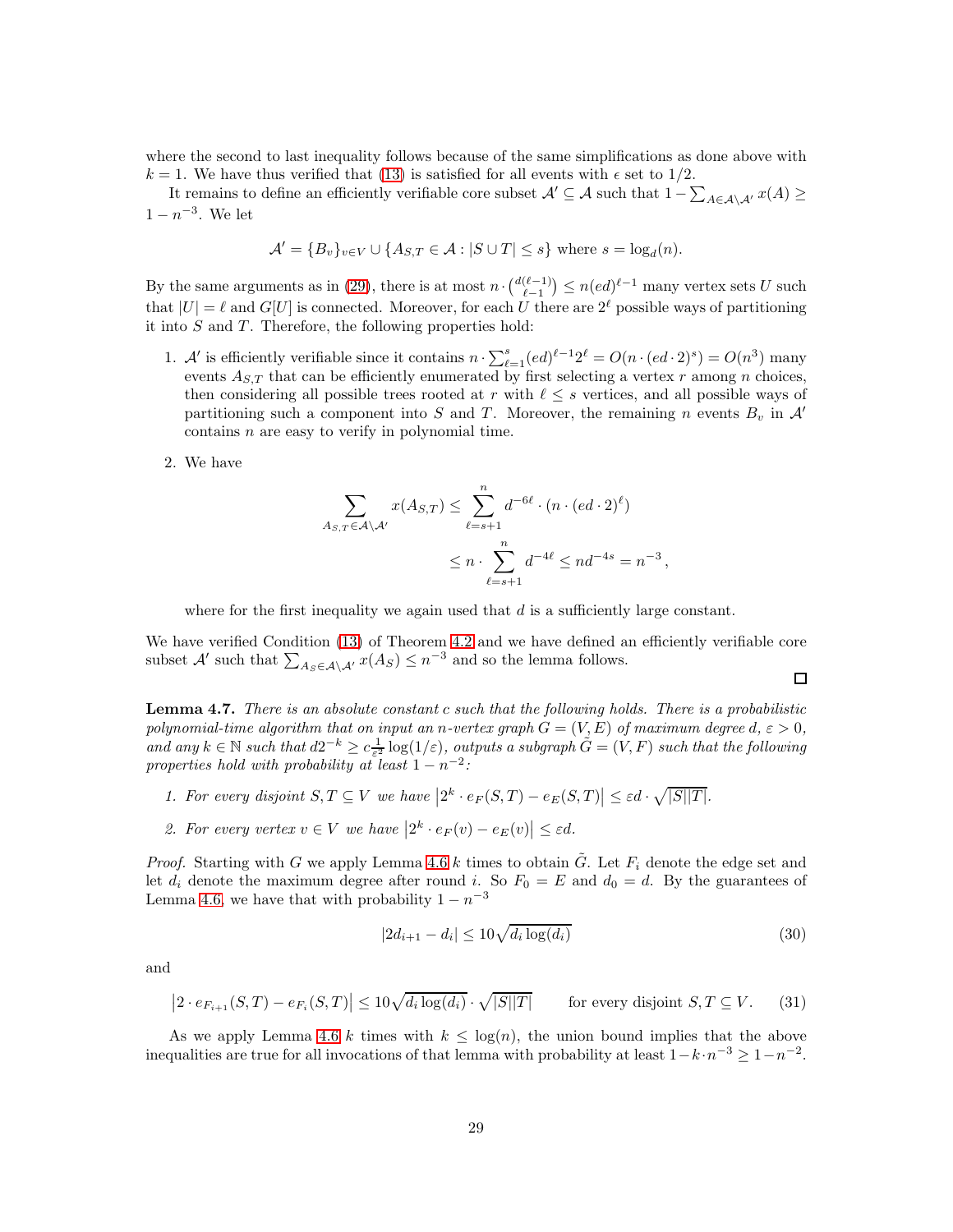where the second to last inequality follows because of the same simplifications as done above with  $k = 1$ . We have thus verified that [\(13\)](#page-12-0) is satisfied for all events with  $\epsilon$  set to 1/2.

It remains to define an efficiently verifiable core subset  $\mathcal{A}' \subseteq \mathcal{A}$  such that  $1 - \sum_{A \in \mathcal{A} \setminus \mathcal{A}'} x(A) \ge$  $1 - n^{-3}$ . We let

$$
\mathcal{A}' = \{B_v\}_{v \in V} \cup \{A_{S,T} \in \mathcal{A} : |S \cup T| \le s\} \text{ where } s = \log_d(n).
$$

By the same arguments as in [\(29\)](#page-27-0), there is at most  $n \cdot {d(\ell-1) \choose \ell-1} \le n(ed)^{\ell-1}$  many vertex sets U such that  $|U| = \ell$  and  $G[U]$  is connected. Moreover, for each U there are  $2^{\ell}$  possible ways of partitioning it into  $S$  and  $T$ . Therefore, the following properties hold:

- 1. A' is efficiently verifiable since it contains  $n \cdot \sum_{\ell=1}^{s} (ed)^{\ell-1} 2^{\ell} = O(n \cdot (ed \cdot 2)^s) = O(n^3)$  many events  $A_{S,T}$  that can be efficiently enumerated by first selecting a vertex r among n choices, then considering all possible trees rooted at r with  $\ell \leq s$  vertices, and all possible ways of partitioning such a component into S and T. Moreover, the remaining n events  $B_v$  in  $\mathcal{A}'$ contains n are easy to verify in polynomial time.
- 2. We have

$$
\sum_{A_{S,T} \in \mathcal{A} \setminus \mathcal{A}'} x(A_{S,T}) \le \sum_{\ell=s+1}^n d^{-6\ell} \cdot (n \cdot (ed \cdot 2)^\ell)
$$
  

$$
\le n \cdot \sum_{\ell=s+1}^n d^{-4\ell} \le nd^{-4s} = n^{-3},
$$

where for the first inequality we again used that  $d$  is a sufficiently large constant.

We have verified Condition [\(13\)](#page-12-0) of Theorem [4.2](#page-12-0) and we have defined an efficiently verifiable core subset A' such that  $\sum_{A_S \in \mathcal{A} \setminus \mathcal{A}'} x(A_S) \leq n^{-3}$  and so the lemma follows.

**Lemma 4.7.** There is an absolute constant c such that the following holds. There is a probabilistic polynomial-time algorithm that on input an n-vertex graph  $G = (V, E)$  of maximum degree d,  $\varepsilon > 0$ , and any  $k \in \mathbb{N}$  such that  $d2^{-k} \geq c \frac{1}{\varepsilon^2} \log(1/\varepsilon)$ , outputs a subgraph  $\tilde{G} = (V, F)$  such that the following properties hold with probability at least  $1 - n^{-2}$ :

- 1. For every disjoint  $S, T \subseteq V$  we have  $|2^k \cdot e_F(S,T) e_E(S,T)| \leq \varepsilon d \cdot \sqrt{|S||T|}$ .
- 2. For every vertex  $v \in V$  we have  $|2^k \cdot e_F(v) e_E(v)| \leq \varepsilon d$ .

*Proof.* Starting with G we apply Lemma [4.6](#page-15-3) k times to obtain  $\tilde{G}$ . Let  $F_i$  denote the edge set and let  $d_i$  denote the maximum degree after round i. So  $F_0 = E$  and  $d_0 = d$ . By the guarantees of Lemma [4.6,](#page-15-3) we have that with probability  $1 - n^{-3}$ 

$$
|2d_{i+1} - d_i| \le 10\sqrt{d_i \log(d_i)}\tag{30}
$$

<span id="page-28-1"></span><span id="page-28-0"></span> $\Box$ 

and

$$
\left|2 \cdot e_{F_{i+1}}(S,T) - e_{F_i}(S,T)\right| \le 10\sqrt{d_i \log(d_i)} \cdot \sqrt{|S||T|} \qquad \text{for every disjoint } S, T \subseteq V. \tag{31}
$$

As we apply Lemma [4.6](#page-15-3) k times with  $k \leq \log(n)$ , the union bound implies that the above inequalities are true for all invocations of that lemma with probability at least  $1-k \cdot n^{-3} \geq 1-n^{-2}$ .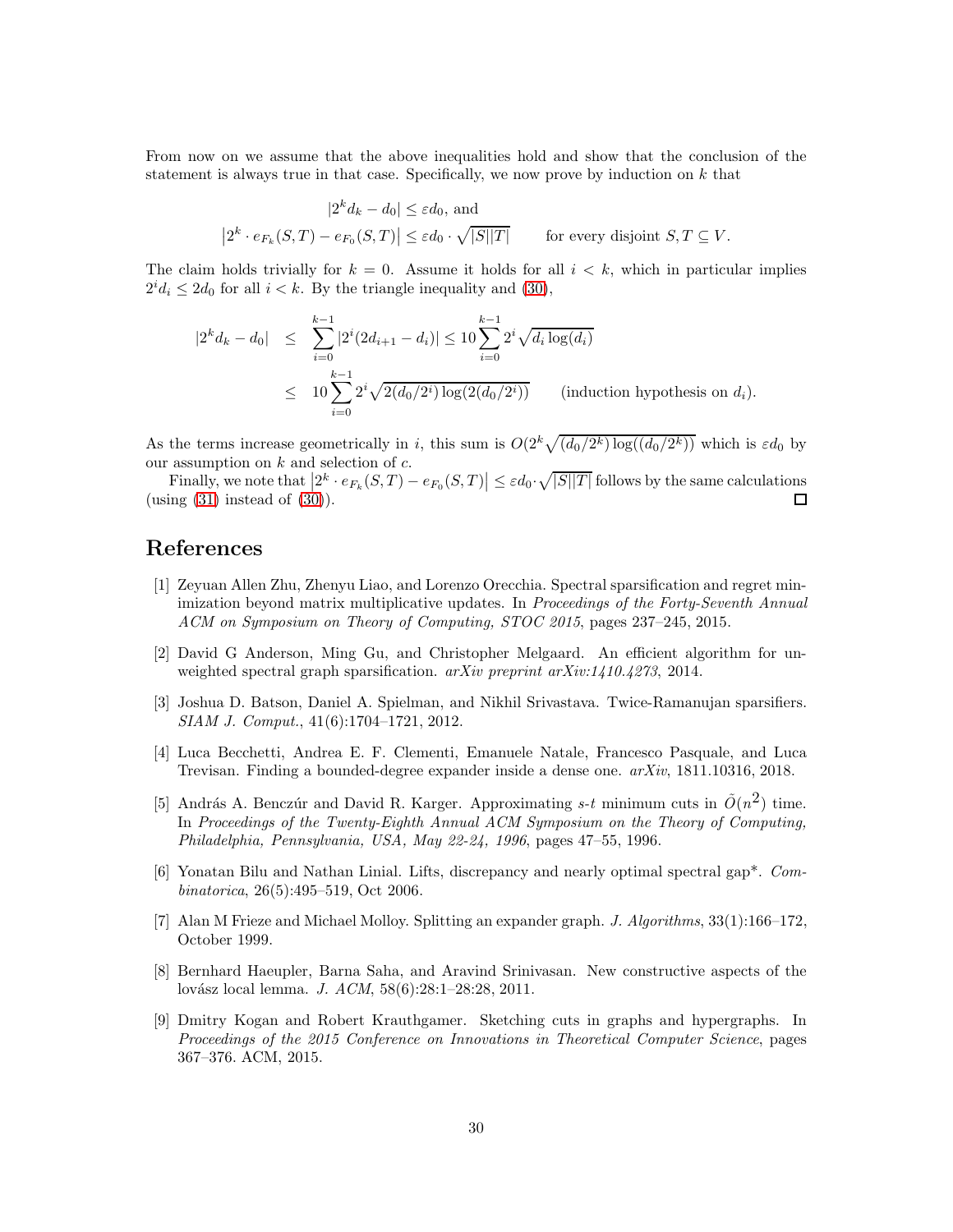From now on we assume that the above inequalities hold and show that the conclusion of the statement is always true in that case. Specifically, we now prove by induction on  $k$  that

$$
|2^k d_k - d_0| \le \varepsilon d_0, \text{ and}
$$
  

$$
|2^k \cdot e_{F_k}(S, T) - e_{F_0}(S, T)| \le \varepsilon d_0 \cdot \sqrt{|S||T|} \qquad \text{for every disjoint } S, T \subseteq V.
$$

The claim holds trivially for  $k = 0$ . Assume it holds for all  $i < k$ , which in particular implies  $2^{i}d_{i} \leq 2d_{0}$  for all  $i < k$ . By the triangle inequality and [\(30\)](#page-28-0),

$$
|2^{k}d_{k} - d_{0}| \leq \sum_{i=0}^{k-1} |2^{i}(2d_{i+1} - d_{i})| \leq 10 \sum_{i=0}^{k-1} 2^{i} \sqrt{d_{i} \log(d_{i})}
$$
  
 
$$
\leq 10 \sum_{i=0}^{k-1} 2^{i} \sqrt{2(d_{0}/2^{i}) \log(2(d_{0}/2^{i}))}
$$
 (induction hypothesis on  $d_{i}$ ).

As the terms increase geometrically in i, this sum is  $O(2^k \sqrt{(d_0/2^k) \log((d_0/2^k))}$  which is  $\varepsilon d_0$  by our assumption on  $k$  and selection of  $c$ .

Finally, we note that  $|2^k \cdot e_{F_k}(S,T) - e_{F_0}(S,T)| \leq \varepsilon d_0 \cdot \sqrt{|S||T|}$  follows by the same calculations (using  $(31)$  instead of  $(30)$ ).

# <span id="page-29-3"></span>References

- [1] Zeyuan Allen Zhu, Zhenyu Liao, and Lorenzo Orecchia. Spectral sparsification and regret minimization beyond matrix multiplicative updates. In *Proceedings of the Forty-Seventh Annual* ACM on Symposium on Theory of Computing, STOC 2015, pages 237–245, 2015.
- <span id="page-29-2"></span>[2] David G Anderson, Ming Gu, and Christopher Melgaard. An efficient algorithm for unweighted spectral graph sparsification. arXiv preprint arXiv:1410.4273, 2014.
- <span id="page-29-1"></span>[3] Joshua D. Batson, Daniel A. Spielman, and Nikhil Srivastava. Twice-Ramanujan sparsifiers. SIAM J. Comput., 41(6):1704–1721, 2012.
- <span id="page-29-5"></span>[4] Luca Becchetti, Andrea E. F. Clementi, Emanuele Natale, Francesco Pasquale, and Luca Trevisan. Finding a bounded-degree expander inside a dense one. arXiv, 1811.10316, 2018.
- <span id="page-29-0"></span>[5] András A. Benczúr and David R. Karger. Approximating s-t minimum cuts in  $\tilde{O}(n^2)$  time. In Proceedings of the Twenty-Eighth Annual ACM Symposium on the Theory of Computing, Philadelphia, Pennsylvania, USA, May 22-24, 1996, pages 47–55, 1996.
- <span id="page-29-7"></span>[6] Yonatan Bilu and Nathan Linial. Lifts, discrepancy and nearly optimal spectral gap\*. Combinatorica, 26(5):495–519, Oct 2006.
- <span id="page-29-8"></span><span id="page-29-4"></span>[7] Alan M Frieze and Michael Molloy. Splitting an expander graph. J. Algorithms, 33(1):166–172, October 1999.
- [8] Bernhard Haeupler, Barna Saha, and Aravind Srinivasan. New constructive aspects of the lovász local lemma. J. ACM, 58(6):28:1–28:28, 2011.
- <span id="page-29-6"></span>[9] Dmitry Kogan and Robert Krauthgamer. Sketching cuts in graphs and hypergraphs. In Proceedings of the 2015 Conference on Innovations in Theoretical Computer Science, pages 367–376. ACM, 2015.